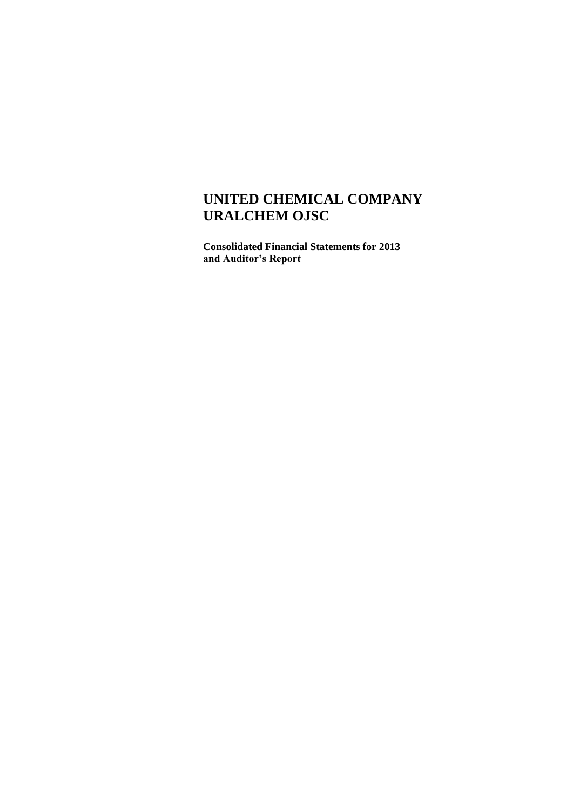**Consolidated Financial Statements for 2013 and Auditor's Report**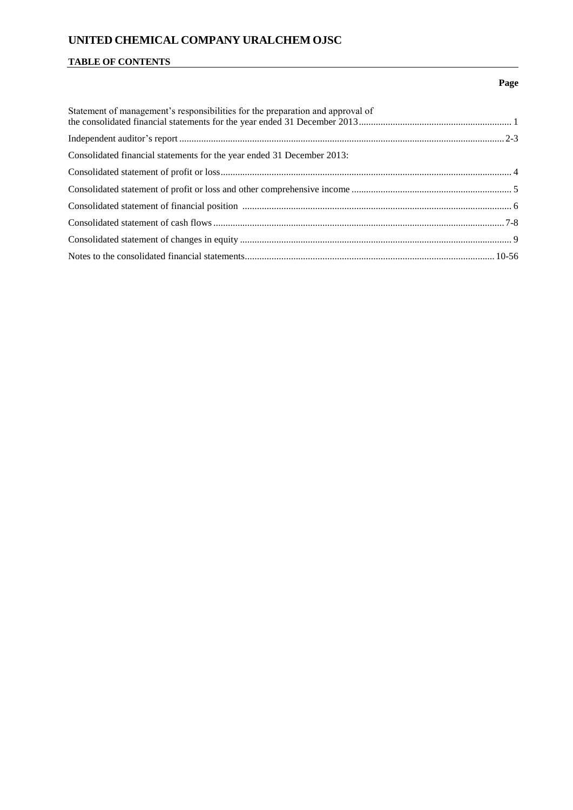# **TABLE OF CONTENTS**

### **Page**

| Statement of management's responsibilities for the preparation and approval of |  |
|--------------------------------------------------------------------------------|--|
|                                                                                |  |
| Consolidated financial statements for the year ended 31 December 2013:         |  |
|                                                                                |  |
|                                                                                |  |
|                                                                                |  |
|                                                                                |  |
|                                                                                |  |
|                                                                                |  |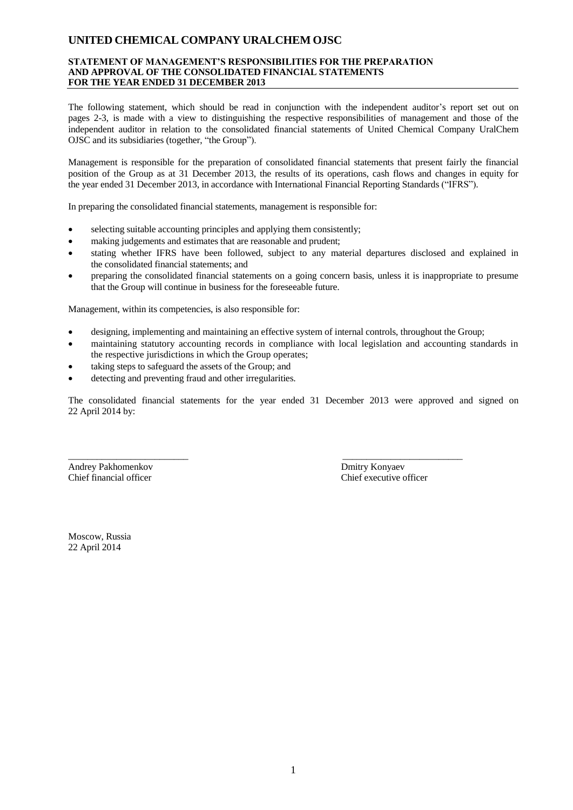### **STATEMENT OF MANAGEMENT'S RESPONSIBILITIES FOR THE PREPARATION AND APPROVAL OF THE CONSOLIDATED FINANCIAL STATEMENTS FOR THE YEAR ENDED 31 DECEMBER 2013**

The following statement, which should be read in conjunction with the independent auditor's report set out on pages 2-3, is made with a view to distinguishing the respective responsibilities of management and those of the independent auditor in relation to the consolidated financial statements of United Chemical Company UralChem OJSC and its subsidiaries (together, "the Group").

Management is responsible for the preparation of consolidated financial statements that present fairly the financial position of the Group as at 31 December 2013, the results of its operations, cash flows and changes in equity for the year ended 31 December 2013, in accordance with International Financial Reporting Standards ("IFRS").

In preparing the consolidated financial statements, management is responsible for:

- selecting suitable accounting principles and applying them consistently;
- making judgements and estimates that are reasonable and prudent;
- stating whether IFRS have been followed, subject to any material departures disclosed and explained in the consolidated financial statements; and
- preparing the consolidated financial statements on a going concern basis, unless it is inappropriate to presume that the Group will continue in business for the foreseeable future.

Management, within its competencies, is also responsible for:

designing, implementing and maintaining an effective system of internal controls, throughout the Group;

\_\_\_\_\_\_\_\_\_\_\_\_\_\_\_\_\_\_\_\_\_\_\_\_\_ \_\_\_\_\_\_\_\_\_\_\_\_\_\_\_\_\_\_\_\_\_\_\_\_\_

- maintaining statutory accounting records in compliance with local legislation and accounting standards in the respective jurisdictions in which the Group operates;
- taking steps to safeguard the assets of the Group; and
- detecting and preventing fraud and other irregularities.

The consolidated financial statements for the year ended 31 December 2013 were approved and signed on 22 April 2014 by:

Andrey Pakhomenkov Dmitry Konyaev Chief financial officer Chief executive officer

Moscow, Russia 22 April 2014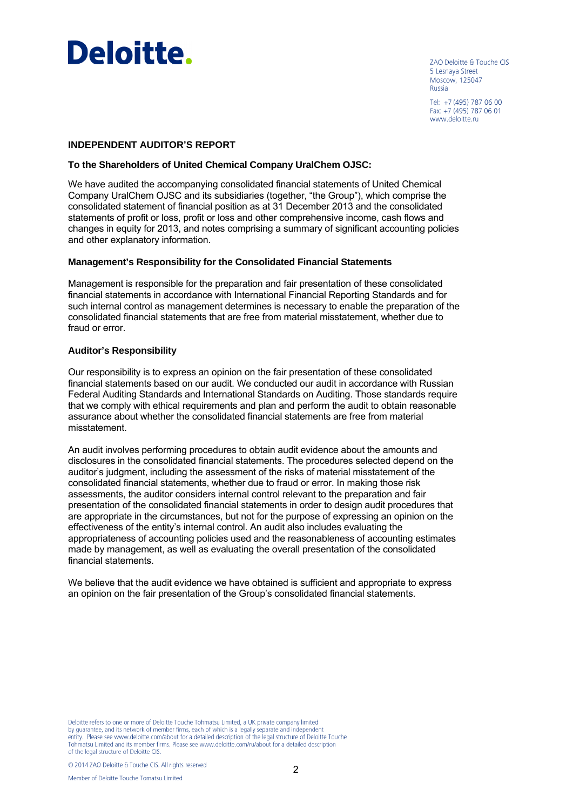# **Deloitte.**

ZAO Deloitte & Touche CIS 5 Lesnava Street Moscow, 125047 Russia

Tel: +7 (495) 787 06 00 Fax: +7 (495) 787 06 01 www.deloitte.ru

### **INDEPENDENT AUDITOR'S REPORT**

### **To the Shareholders of United Chemical Company UralChem OJSC:**

We have audited the accompanying consolidated financial statements of United Chemical Company UralChem OJSC and its subsidiaries (together, "the Group"), which comprise the consolidated statement of financial position as at 31 December 2013 and the consolidated statements of profit or loss, profit or loss and other comprehensive income, cash flows and changes in equity for 2013, and notes comprising a summary of significant accounting policies and other explanatory information.

### **Management's Responsibility for the Consolidated Financial Statements**

Management is responsible for the preparation and fair presentation of these consolidated financial statements in accordance with International Financial Reporting Standards and for such internal control as management determines is necessary to enable the preparation of the consolidated financial statements that are free from material misstatement, whether due to fraud or error.

### **Auditor's Responsibility**

Our responsibility is to express an opinion on the fair presentation of these consolidated financial statements based on our audit. We conducted our audit in accordance with Russian Federal Auditing Standards and International Standards on Auditing. Those standards require that we comply with ethical requirements and plan and perform the audit to obtain reasonable assurance about whether the consolidated financial statements are free from material misstatement.

An audit involves performing procedures to obtain audit evidence about the amounts and disclosures in the consolidated financial statements. The procedures selected depend on the auditor's judgment, including the assessment of the risks of material misstatement of the consolidated financial statements, whether due to fraud or error. In making those risk assessments, the auditor considers internal control relevant to the preparation and fair presentation of the consolidated financial statements in order to design audit procedures that are appropriate in the circumstances, but not for the purpose of expressing an opinion on the effectiveness of the entity's internal control. An audit also includes evaluating the appropriateness of accounting policies used and the reasonableness of accounting estimates made by management, as well as evaluating the overall presentation of the consolidated financial statements.

We believe that the audit evidence we have obtained is sufficient and appropriate to express an opinion on the fair presentation of the Group's consolidated financial statements.

Deloitte refers to one or more of Deloitte Touche Tohmatsu Limited, a UK private company limited by guarantee, and its network of member firms, each of which is a legally separate and independent entity. Please see www.deloitte.com/about for a detailed description of the legal structure of Deloitte Touche Tohmatsu Limited and its member firms. Please see www.deloitte.com/ru/about for a detailed description of the legal structure of Deloitte CIS.

© 2014 ZAO Deloitte & Touche CIS. All rights reserved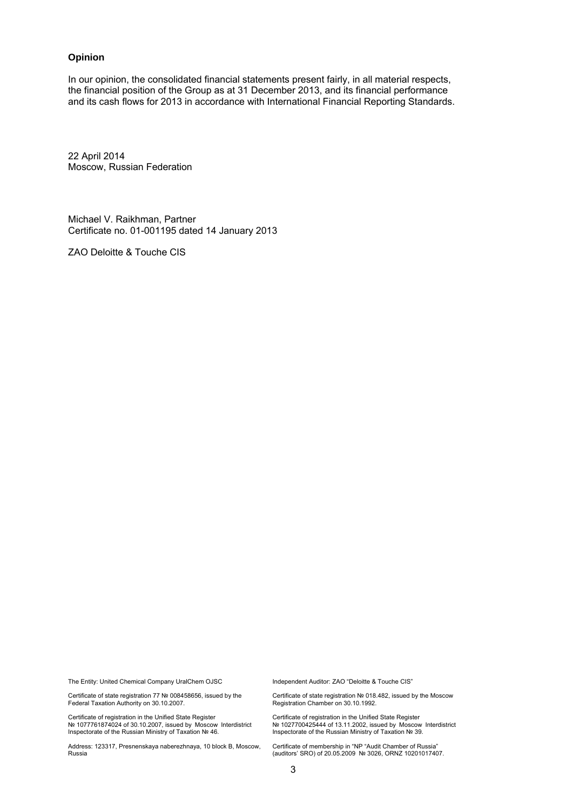### **Opinion**

In our opinion, the consolidated financial statements present fairly, in all material respects, the financial position of the Group as at 31 December 2013, and its financial performance and its cash flows for 2013 in accordance with International Financial Reporting Standards.

22 April 2014 Moscow, Russian Federation

Michael V. Raikhman, Partner Certificate no. 01-001195 dated 14 January 2013

ZAO Deloitte & Touche CIS

The Entity: United Chemical Company UralChem OJSC

Certificate of state registration 77 № 008458656, issued by the Federal Taxation Authority on 30.10.2007.

Certificate of registration in the Unified State Register № 1077761874024 of 30.10.2007, issued by Moscow Interdistrict Inspectorate of the Russian Ministry of Taxation № 46.

Address: 123317, Presnenskaya naberezhnaya, 10 block B, Moscow, Russia

Independent Auditor: ZAO "Deloitte & Touche CIS"

Certificate of state registration № 018.482, issued by the Moscow Registration Chamber on 30.10.1992.

Certificate of registration in the Unified State Register № 1027700425444 of 13.11.2002, issued by Moscow Interdistrict Inspectorate of the Russian Ministry of Taxation № 39.

Certificate of membership in "NP "Audit Chamber of Russia" (auditors' SRO) of 20.05.2009 № 3026, ORNZ 10201017407.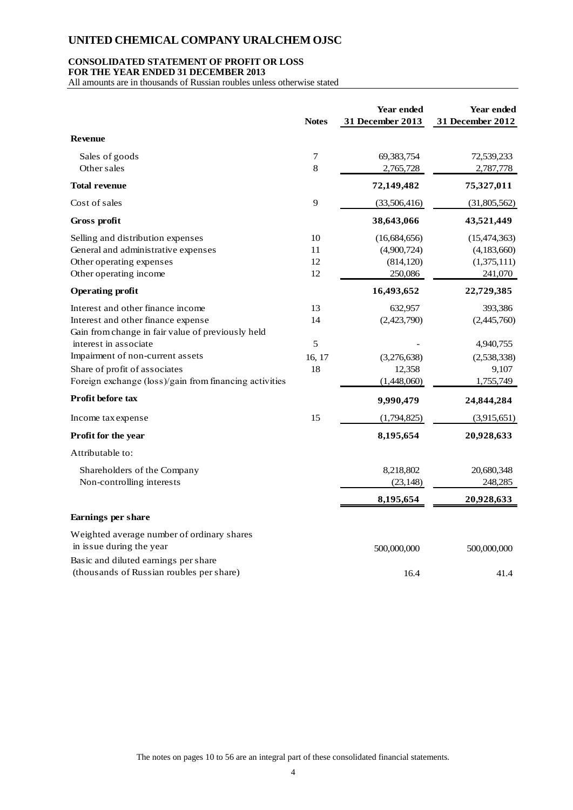# **CONSOLIDATED STATEMENT OF PROFIT OR LOSS**

**FOR THE YEAR ENDED 31 DECEMBER 2013**

All amounts are in thousands of Russian roubles unless otherwise stated

|                                                        | <b>Notes</b> | Year ended<br>31 December 2013 | Year ended<br>31 December 2012 |
|--------------------------------------------------------|--------------|--------------------------------|--------------------------------|
| <b>Revenue</b>                                         |              |                                |                                |
| Sales of goods                                         | 7            | 69,383,754                     | 72,539,233                     |
| Other sales                                            | 8            | 2,765,728                      | 2,787,778                      |
| <b>Total revenue</b>                                   |              | 72,149,482                     | 75,327,011                     |
| Cost of sales                                          | 9            | (33,506,416)                   | (31, 805, 562)                 |
| Gross profit                                           |              | 38,643,066                     | 43,521,449                     |
| Selling and distribution expenses                      | 10           | (16,684,656)                   | (15, 474, 363)                 |
| General and administrative expenses                    | 11           | (4,900,724)                    | (4,183,660)                    |
| Other operating expenses                               | 12           | (814, 120)                     | (1,375,111)                    |
| Other operating income                                 | 12           | 250,086                        | 241,070                        |
| <b>Operating profit</b>                                |              | 16,493,652                     | 22,729,385                     |
| Interest and other finance income                      | 13           | 632,957                        | 393,386                        |
| Interest and other finance expense                     | 14           | (2,423,790)                    | (2,445,760)                    |
| Gain from change in fair value of previously held      |              |                                |                                |
| interest in associate                                  | 5            |                                | 4,940,755                      |
| Impairment of non-current assets                       | 16, 17       | (3,276,638)                    | (2,538,338)                    |
| Share of profit of associates                          | 18           | 12,358                         | 9,107                          |
| Foreign exchange (loss)/gain from financing activities |              | (1,448,060)                    | 1,755,749                      |
| Profit before tax                                      |              | 9,990,479                      | 24,844,284                     |
| Income tax expense                                     | 15           | (1,794,825)                    | (3,915,651)                    |
| Profit for the year                                    |              | 8,195,654                      | 20,928,633                     |
| Attributable to:                                       |              |                                |                                |
| Shareholders of the Company                            |              | 8,218,802                      | 20,680,348                     |
| Non-controlling interests                              |              | (23, 148)                      | 248,285                        |
|                                                        |              | 8,195,654                      | 20,928,633                     |
| Earnings per share                                     |              |                                |                                |
| Weighted average number of ordinary shares             |              |                                |                                |
| in issue during the year                               |              |                                |                                |
|                                                        |              | 500,000,000                    | 500,000,000                    |
| Basic and diluted earnings per share                   |              |                                |                                |
| (thousands of Russian roubles per share)               |              | 16.4                           | 41.4                           |

The notes on pages 10 to 56 are an integral part of these consolidated financial statements.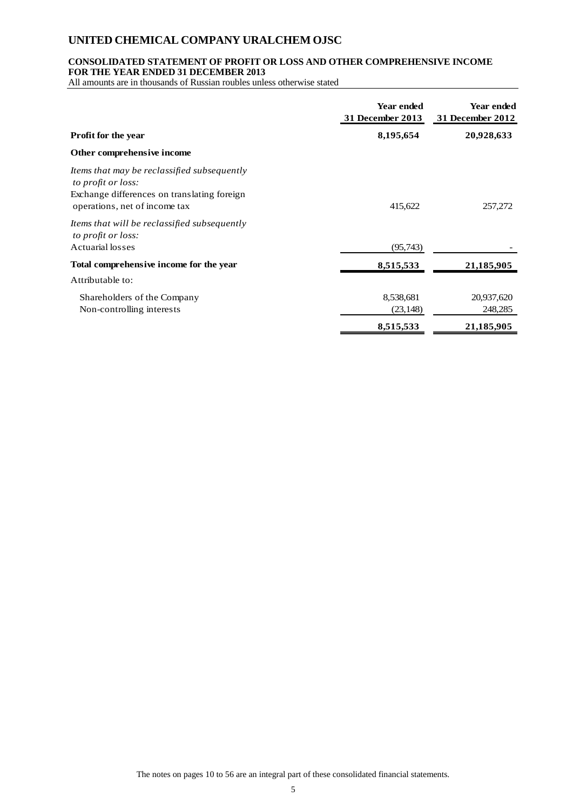### **CONSOLIDATED STATEMENT OF PROFIT OR LOSS AND OTHER COMPREHENSIVE INCOME FOR THE YEAR ENDED 31 DECEMBER 2013**

All amounts are in thousands of Russian roubles unless otherwise stated

|                                                                                                                  | Year ended<br><b>31 December 2013</b> | Year ended<br>31 December 2012 |
|------------------------------------------------------------------------------------------------------------------|---------------------------------------|--------------------------------|
| <b>Profit for the year</b>                                                                                       | 8,195,654                             | 20,928,633                     |
| Other comprehensive income                                                                                       |                                       |                                |
| Items that may be reclassified subsequently<br>to profit or loss:<br>Exchange differences on translating foreign |                                       |                                |
| operations, net of income tax                                                                                    | 415,622                               | 257,272                        |
| Items that will be reclassified subsequently<br>to profit or loss:                                               |                                       |                                |
| Actuarial losses                                                                                                 | (95,743)                              |                                |
| Total comprehensive income for the year                                                                          | 8,515,533                             | 21,185,905                     |
| Attributable to:                                                                                                 |                                       |                                |
| Shareholders of the Company<br>Non-controlling interests                                                         | 8,538,681<br>(23, 148)                | 20,937,620<br>248,285          |
|                                                                                                                  | 8,515,533                             | 21,185,905                     |

The notes on pages 10 to 56 are an integral part of these consolidated financial statements.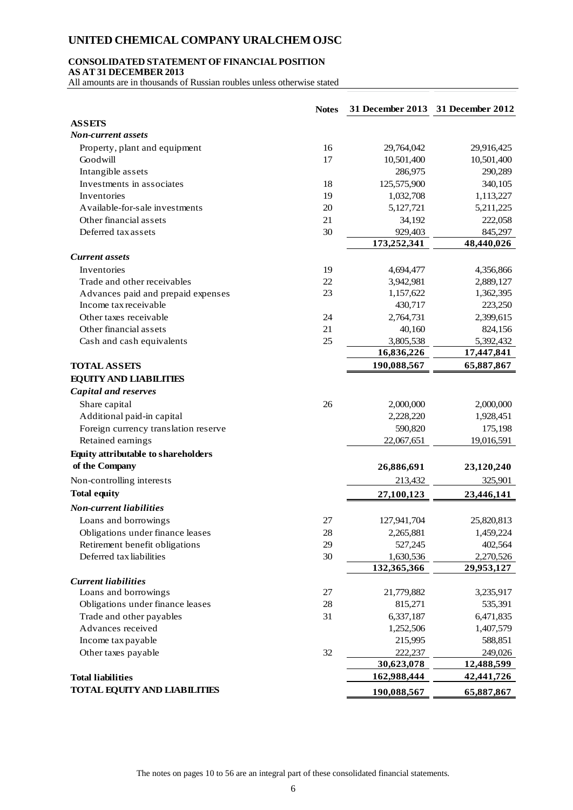### **CONSOLIDATED STATEMENT OF FINANCIAL POSITION**

**AS AT 31 DECEMBER 2013**

All amounts are in thousands of Russian roubles unless otherwise stated

|                                      | <b>Notes</b> |             | 31 December 2013 31 December 2012 |
|--------------------------------------|--------------|-------------|-----------------------------------|
| <b>ASSETS</b>                        |              |             |                                   |
| <b>Non-current assets</b>            |              |             |                                   |
| Property, plant and equipment        | 16           | 29,764,042  | 29,916,425                        |
| Goodwill                             | 17           | 10,501,400  | 10,501,400                        |
| Intangible assets                    |              | 286,975     | 290,289                           |
| Investments in associates            | 18           | 125,575,900 | 340,105                           |
| Inventories                          | 19           | 1,032,708   | 1,113,227                         |
| Available-for-sale investments       | 20           | 5,127,721   | 5,211,225                         |
| Other financial assets               | 21           | 34,192      | 222,058                           |
| Deferred tax assets                  | 30           | 929,403     | 845,297                           |
|                                      |              | 173,252,341 | 48,440,026                        |
| <b>Current assets</b>                |              |             |                                   |
| Inventories                          | 19           | 4,694,477   | 4,356,866                         |
| Trade and other receivables          | 22           | 3,942,981   | 2,889,127                         |
| Advances paid and prepaid expenses   | 23           | 1,157,622   | 1,362,395                         |
| Income tax receivable                |              | 430,717     | 223,250                           |
| Other taxes receivable               | 24           | 2,764,731   | 2,399,615                         |
| Other financial assets               | 21           | 40,160      | 824,156                           |
| Cash and cash equivalents            | 25           | 3,805,538   | 5,392,432                         |
|                                      |              | 16,836,226  | 17,447,841                        |
| <b>TOTAL ASSETS</b>                  |              | 190,088,567 | 65,887,867                        |
| <b>EQUITY AND LIABILITIES</b>        |              |             |                                   |
| <b>Capital and reserves</b>          |              |             |                                   |
| Share capital                        | 26           | 2,000,000   | 2,000,000                         |
| Additional paid-in capital           |              | 2,228,220   | 1,928,451                         |
| Foreign currency translation reserve |              | 590,820     | 175,198                           |
| Retained earnings                    |              | 22,067,651  | 19,016,591                        |
| Equity attributable to shareholders  |              |             |                                   |
| of the Company                       |              | 26,886,691  | 23,120,240                        |
| Non-controlling interests            |              | 213,432     | 325,901                           |
| <b>Total equity</b>                  |              |             |                                   |
|                                      |              | 27,100,123  | 23,446,141                        |
| <b>Non-current liabilities</b>       |              |             |                                   |
| Loans and borrowings                 | 27           | 127,941,704 | 25,820,813                        |
| Obligations under finance leases     | 28           | 2,265,881   | 1,459,224                         |
| Retirement benefit obligations       | 29           | 527,245     | 402,564                           |
| Deferred tax liabilities             | 30           | 1,630,536   | 2,270,526                         |
|                                      |              | 132,365,366 | 29,953,127                        |
| <b>Current liabilities</b>           |              |             |                                   |
| Loans and borrowings                 | 27           | 21,779,882  | 3,235,917                         |
| Obligations under finance leases     | 28           | 815,271     | 535,391                           |
| Trade and other payables             | 31           | 6,337,187   | 6,471,835                         |
| Advances received                    |              | 1,252,506   | 1,407,579                         |
| Income tax payable                   |              | 215,995     | 588,851                           |
| Other taxes payable                  | 32           | 222,237     | 249,026                           |
|                                      |              | 30,623,078  | 12,488,599                        |
| <b>Total liabilities</b>             |              | 162,988,444 | 42,441,726                        |
| <b>TOTAL EQUITY AND LIABILITIES</b>  |              | 190,088,567 | 65,887,867                        |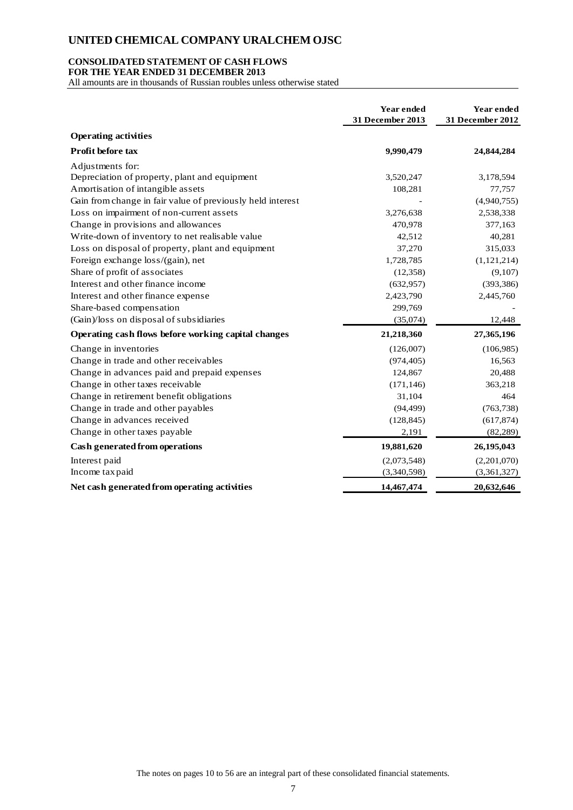### **CONSOLIDATED STATEMENT OF CASH FLOWS**

**FOR THE YEAR ENDED 31 DECEMBER 2013**

All amounts are in thousands of Russian roubles unless otherwise stated

|                                                            | Year ended<br>31 December 2013 | Year ended<br>31 December 2012 |
|------------------------------------------------------------|--------------------------------|--------------------------------|
| <b>Operating activities</b>                                |                                |                                |
| <b>Profit before tax</b>                                   | 9,990,479                      | 24,844,284                     |
| Adjustments for:                                           |                                |                                |
| Depreciation of property, plant and equipment              | 3,520,247                      | 3,178,594                      |
| Amortisation of intangible assets                          | 108,281                        | 77,757                         |
| Gain from change in fair value of previously held interest |                                | (4,940,755)                    |
| Loss on impairment of non-current assets                   | 3,276,638                      | 2,538,338                      |
| Change in provisions and allowances                        | 470,978                        | 377,163                        |
| Write-down of inventory to net realisable value            | 42,512                         | 40,281                         |
| Loss on disposal of property, plant and equipment          | 37,270                         | 315,033                        |
| Foreign exchange loss/(gain), net                          | 1,728,785                      | (1, 121, 214)                  |
| Share of profit of associates                              | (12, 358)                      | (9,107)                        |
| Interest and other finance income                          | (632, 957)                     | (393, 386)                     |
| Interest and other finance expense                         | 2,423,790                      | 2,445,760                      |
| Share-based compensation                                   | 299,769                        |                                |
| (Gain)/loss on disposal of subsidiaries                    | (35,074)                       | 12,448                         |
| Operating cash flows before working capital changes        | 21,218,360                     | 27,365,196                     |
| Change in inventories                                      | (126,007)                      | (106, 985)                     |
| Change in trade and other receivables                      | (974, 405)                     | 16,563                         |
| Change in advances paid and prepaid expenses               | 124,867                        | 20,488                         |
| Change in other taxes receivable                           | (171, 146)                     | 363,218                        |
| Change in retirement benefit obligations                   | 31,104                         | 464                            |
| Change in trade and other payables                         | (94, 499)                      | (763, 738)                     |
| Change in advances received                                | (128, 845)                     | (617, 874)                     |
| Change in other taxes payable                              | 2,191                          | (82, 289)                      |
| Cash generated from operations                             | 19,881,620                     | 26,195,043                     |
| Interest paid                                              | (2,073,548)                    | (2,201,070)                    |
| Income tax paid                                            | (3,340,598)                    | (3,361,327)                    |
| Net cash generated from operating activities               | 14,467,474                     | 20,632,646                     |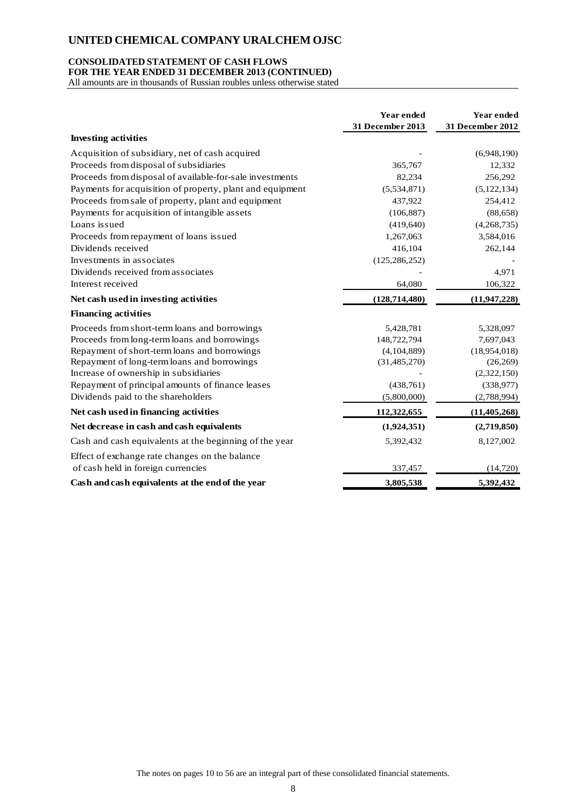### **CONSOLIDATED STATEMENT OF CASH FLOWS**

**FOR THE YEAR ENDED 31 DECEMBER 2013 (CONTINUED)**

All amounts are in thousands of Russian roubles unless otherwise stated

|                                                           | Year ended<br>31 December 2013 | <b>Year ended</b><br>31 December 2012 |
|-----------------------------------------------------------|--------------------------------|---------------------------------------|
| <b>Investing activities</b>                               |                                |                                       |
| Acquisition of subsidiary, net of cash acquired           |                                | (6,948,190)                           |
| Proceeds from disposal of subsidiaries                    | 365,767                        | 12,332                                |
| Proceeds from disposal of available-for-sale investments  | 82,234                         | 256,292                               |
| Payments for acquisition of property, plant and equipment | (5,534,871)                    | (5, 122, 134)                         |
| Proceeds from sale of property, plant and equipment       | 437,922                        | 254,412                               |
| Payments for acquisition of intangible assets             | (106, 887)                     | (88, 658)                             |
| Loans issued                                              | (419, 640)                     | (4,268,735)                           |
| Proceeds from repayment of loans issued                   | 1,267,063                      | 3,584,016                             |
| Dividends received                                        | 416,104                        | 262,144                               |
| Investments in associates                                 | (125, 286, 252)                |                                       |
| Dividends received from associates                        |                                | 4,971                                 |
| Interest received                                         | 64,080                         | 106,322                               |
| Net cash used in investing activities                     | (128, 714, 480)                | (11, 947, 228)                        |
| <b>Financing activities</b>                               |                                |                                       |
| Proceeds from short-term loans and borrowings             | 5,428,781                      | 5,328,097                             |
| Proceeds from long-term loans and borrowings              | 148,722,794                    | 7,697,043                             |
| Repayment of short-term loans and borrowings              | (4,104,889)                    | (18,954,018)                          |
| Repayment of long-term loans and borrowings               | (31, 485, 270)                 | (26, 269)                             |
| Increase of ownership in subsidiaries                     |                                | (2,322,150)                           |
| Repayment of principal amounts of finance leases          | (438,761)                      | (338,977)                             |
| Dividends paid to the shareholders                        | (5,800,000)                    | (2,788,994)                           |
| Net cash used in financing activities                     | 112,322,655                    | (11, 405, 268)                        |
| Net decrease in cash and cash equivalents                 | (1,924,351)                    | (2,719,850)                           |
| Cash and cash equivalents at the beginning of the year    | 5,392,432                      | 8,127,002                             |
| Effect of exchange rate changes on the balance            |                                |                                       |
| of cash held in foreign currencies                        | 337,457                        | (14, 720)                             |
| Cash and cash equivalents at the end of the year          | 3,805,538                      | 5,392,432                             |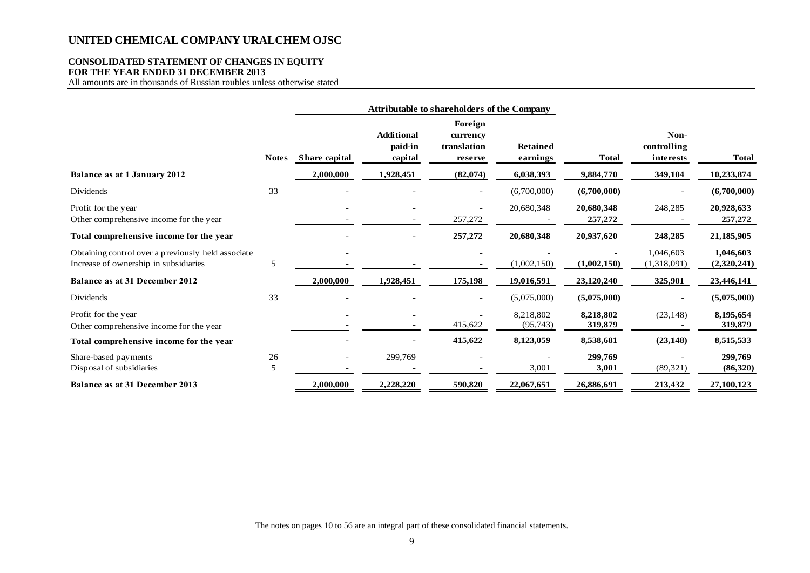### **CONSOLIDATED STATEMENT OF CHANGES IN EQUITY FOR THE YEAR ENDED 31 DECEMBER 2013**

All amounts are in thousands of Russian roubles unless otherwise stated

|                                                                                             |              | <b>Attributable to shareholders of the Company</b> |                                         |                                               |                        |                       |                                  |                          |
|---------------------------------------------------------------------------------------------|--------------|----------------------------------------------------|-----------------------------------------|-----------------------------------------------|------------------------|-----------------------|----------------------------------|--------------------------|
|                                                                                             | <b>Notes</b> | Share capital                                      | <b>Additional</b><br>paid-in<br>capital | Foreign<br>currency<br>translation<br>reserve | Retained<br>earnings   | <b>Total</b>          | Non-<br>controlling<br>interests | Total                    |
| <b>Balance as at 1 January 2012</b>                                                         |              | 2,000,000                                          | 1,928,451                               | (82,074)                                      | 6,038,393              | 9,884,770             | 349,104                          | 10,233,874               |
| Dividends                                                                                   | 33           |                                                    |                                         |                                               | (6,700,000)            | (6,700,000)           |                                  | (6,700,000)              |
| Profit for the year<br>Other comprehensive income for the year                              |              |                                                    |                                         | 257,272                                       | 20,680,348             | 20,680,348<br>257,272 | 248,285                          | 20,928,633<br>257,272    |
| Total comprehensive income for the year                                                     |              |                                                    | $\sim$                                  | 257,272                                       | 20,680,348             | 20,937,620            | 248,285                          | 21,185,905               |
| Obtaining control over a previously held associate<br>Increase of ownership in subsidiaries | 5            |                                                    |                                         |                                               | (1,002,150)            | (1,002,150)           | 1,046,603<br>(1,318,091)         | 1,046,603<br>(2,320,241) |
| <b>Balance as at 31 December 2012</b>                                                       |              | 2,000,000                                          | 1,928,451                               | 175,198                                       | 19,016,591             | 23,120,240            | 325,901                          | 23,446,141               |
| <b>Dividends</b>                                                                            | 33           |                                                    |                                         |                                               | (5,075,000)            | (5,075,000)           |                                  | (5,075,000)              |
| Profit for the year<br>Other comprehensive income for the year                              |              |                                                    |                                         | 415,622                                       | 8,218,802<br>(95, 743) | 8,218,802<br>319,879  | (23, 148)                        | 8,195,654<br>319,879     |
| Total comprehensive income for the year                                                     |              |                                                    |                                         | 415,622                                       | 8,123,059              | 8,538,681             | (23, 148)                        | 8,515,533                |
| Share-based payments<br>Disposal of subsidiaries                                            | 26<br>5      |                                                    | 299,769                                 |                                               | 3,001                  | 299,769<br>3,001      | (89, 321)                        | 299,769<br>(86,320)      |
| <b>Balance as at 31 December 2013</b>                                                       |              | 2,000,000                                          | 2,228,220                               | 590,820                                       | 22,067,651             | 26,886,691            | 213,432                          | 27,100,123               |

The notes on pages 10 to 56 are an integral part of these consolidated financial statements.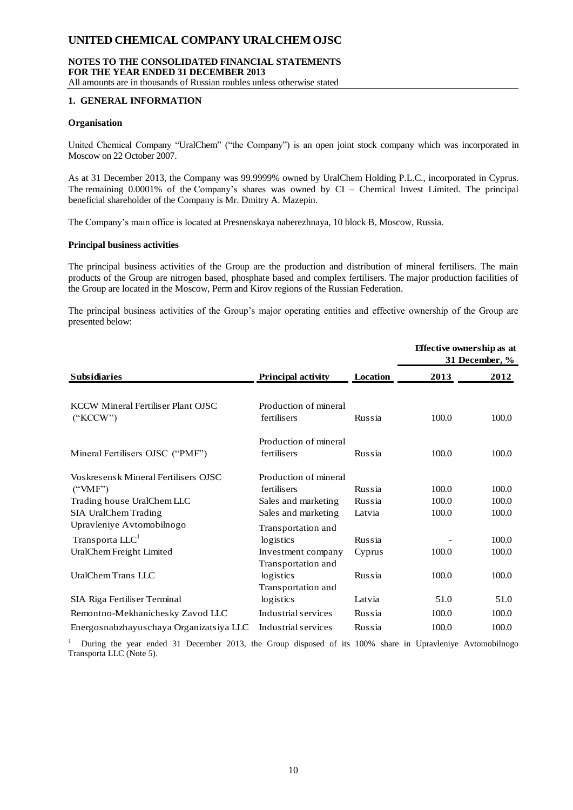#### **NOTES TO THE CONSOLIDATED FINANCIAL STATEMENTS FOR THE YEAR ENDED 31 DECEMBER 2013** All amounts are in thousands of Russian roubles unless otherwise stated

### **1. GENERAL INFORMATION**

#### **Organisation**

United Chemical Company "UralChem" ("the Company") is an open joint stock company which was incorporated in Moscow on 22 October 2007.

As at 31 December 2013, the Company was 99.9999% owned by UralChem Holding P.L.C., incorporated in Cyprus. The remaining 0.0001% of the Company's shares was owned by CI – Chemical Invest Limited. The principal beneficial shareholder of the Company is Mr. Dmitry A. Mazepin.

The Company's main office is located at Presnenskaya naberezhnaya, 10 block B, Moscow, Russia.

#### **Principal business activities**

The principal business activities of the Group are the production and distribution of mineral fertilisers. The main products of the Group are nitrogen based, phosphate based and complex fertilisers. The major production facilities of the Group are located in the Moscow, Perm and Kirov regions of the Russian Federation.

The principal business activities of the Group's major operating entities and effective ownership of the Group are presented below:

|                                                         |                                          |                 | <b>Effective ownership as at</b><br>31 December, % |       |  |
|---------------------------------------------------------|------------------------------------------|-----------------|----------------------------------------------------|-------|--|
| <b>Subsidiaries</b>                                     | <b>Principal activity</b>                | <b>Location</b> | 2013                                               | 2012  |  |
| <b>KCCW</b> Mineral Fertiliser Plant OJSC<br>$(*KCCW")$ | Production of mineral<br>fertilisers     | Russia          | 100.0                                              | 100.0 |  |
| Mineral Fertilisers OJSC ("PMF")                        | Production of mineral<br>fertilisers     | Russia          | 100.0                                              | 100.0 |  |
| Voskresensk Mineral Fertilisers OJSC<br>$($ "VMF" $)$   | Production of mineral<br>fertilisers     | Russia          | 100.0                                              | 100.0 |  |
| Trading house UralChem LLC                              | Sales and marketing                      | Russia          | 100.0                                              | 100.0 |  |
| SIA UralChem Trading                                    | Sales and marketing                      | Latvia          | 100.0                                              | 100.0 |  |
| Upravleniye Avtomobilnogo                               | Transportation and                       |                 |                                                    |       |  |
| Transporta LLC <sup>1</sup>                             | logistics                                | Russia          |                                                    | 100.0 |  |
| UralChem Freight Limited                                | Investment company<br>Transportation and | Cyprus          | 100.0                                              | 100.0 |  |
| UralChem Trans LLC                                      | logistics<br>Transportation and          | Russia          | 100.0                                              | 100.0 |  |
| SIA Riga Fertiliser Terminal                            | logistics                                | Latvia          | 51.0                                               | 51.0  |  |
| Remontno-Mekhanichesky Zavod LLC                        | Industrial services                      | Russia          | 100.0                                              | 100.0 |  |
| Energosnabzhayuschaya Organizatsiya LLC                 | Industrial services                      | Russia          | 100.0                                              | 100.0 |  |

<sup>1</sup> During the year ended 31 December 2013, the Group disposed of its 100% share in Upravleniye Avtomobilnogo Transporta LLC (Note 5).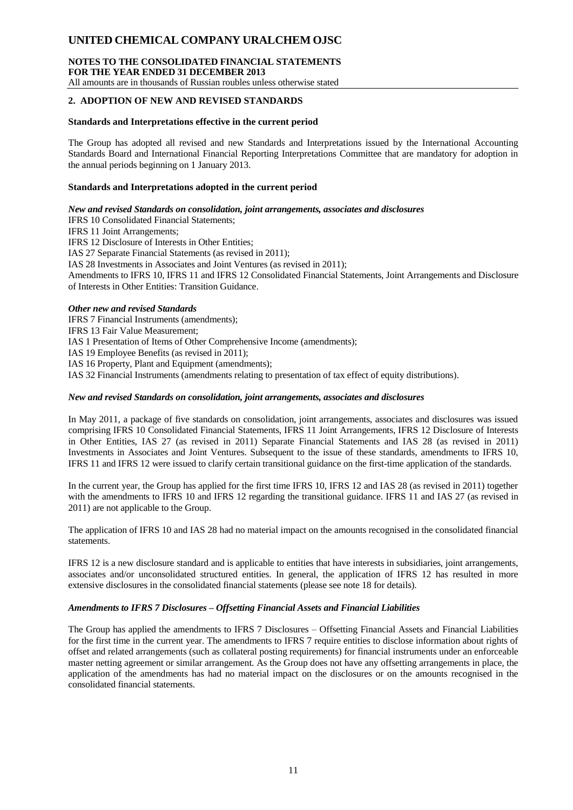#### **NOTES TO THE CONSOLIDATED FINANCIAL STATEMENTS FOR THE YEAR ENDED 31 DECEMBER 2013** All amounts are in thousands of Russian roubles unless otherwise stated

### **2. ADOPTION OF NEW AND REVISED STANDARDS**

### **Standards and Interpretations effective in the current period**

The Group has adopted all revised and new Standards and Interpretations issued by the International Accounting Standards Board and International Financial Reporting Interpretations Committee that are mandatory for adoption in the annual periods beginning on 1 January 2013.

### **Standards and Interpretations adopted in the current period**

*New and revised Standards on consolidation, joint arrangements, associates and disclosures*

IFRS 10 Consolidated Financial Statements; IFRS 11 Joint Arrangements; IFRS 12 Disclosure of Interests in Other Entities; IAS 27 Separate Financial Statements (as revised in 2011); IAS 28 Investments in Associates and Joint Ventures (as revised in 2011); Amendments to IFRS 10, IFRS 11 and IFRS 12 Consolidated Financial Statements, Joint Arrangements and Disclosure of Interests in Other Entities: Transition Guidance.

### *Other new and revised Standards*

IFRS 7 Financial Instruments (amendments); IFRS 13 Fair Value Measurement; IAS 1 Presentation of Items of Other Comprehensive Income (amendments); IAS 19 Employee Benefits (as revised in 2011); IAS 16 Property, Plant and Equipment (amendments); IAS 32 Financial Instruments (amendments relating to presentation of tax effect of equity distributions).

### *New and revised Standards on consolidation, joint arrangements, associates and disclosures*

In May 2011, a package of five standards on consolidation, joint arrangements, associates and disclosures was issued comprising IFRS 10 Consolidated Financial Statements, IFRS 11 Joint Arrangements, IFRS 12 Disclosure of Interests in Other Entities, IAS 27 (as revised in 2011) Separate Financial Statements and IAS 28 (as revised in 2011) Investments in Associates and Joint Ventures. Subsequent to the issue of these standards, amendments to IFRS 10, IFRS 11 and IFRS 12 were issued to clarify certain transitional guidance on the first-time application of the standards.

In the current year, the Group has applied for the first time IFRS 10, IFRS 12 and IAS 28 (as revised in 2011) together with the amendments to IFRS 10 and IFRS 12 regarding the transitional guidance. IFRS 11 and IAS 27 (as revised in 2011) are not applicable to the Group.

The application of IFRS 10 and IAS 28 had no material impact on the amounts recognised in the consolidated financial statements.

IFRS 12 is a new disclosure standard and is applicable to entities that have interests in subsidiaries, joint arrangements, associates and/or unconsolidated structured entities. In general, the application of IFRS 12 has resulted in more extensive disclosures in the consolidated financial statements (please see note 18 for details).

#### *Amendments to IFRS 7 Disclosures – Offsetting Financial Assets and Financial Liabilities*

The Group has applied the amendments to IFRS 7 Disclosures – Offsetting Financial Assets and Financial Liabilities for the first time in the current year. The amendments to IFRS 7 require entities to disclose information about rights of offset and related arrangements (such as collateral posting requirements) for financial instruments under an enforceable master netting agreement or similar arrangement. As the Group does not have any offsetting arrangements in place, the application of the amendments has had no material impact on the disclosures or on the amounts recognised in the consolidated financial statements.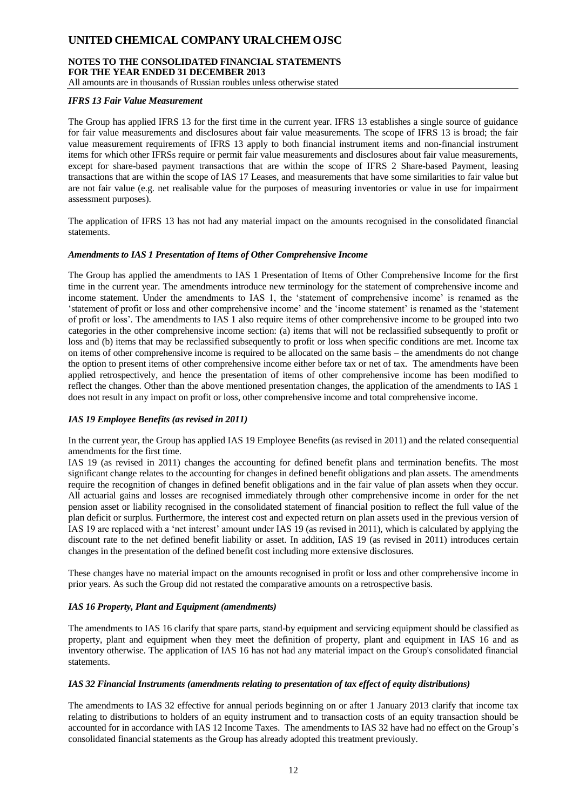# **NOTES TO THE CONSOLIDATED FINANCIAL STATEMENTS FOR THE YEAR ENDED 31 DECEMBER 2013**

### All amounts are in thousands of Russian roubles unless otherwise stated

### *IFRS 13 Fair Value Measurement*

The Group has applied IFRS 13 for the first time in the current year. IFRS 13 establishes a single source of guidance for fair value measurements and disclosures about fair value measurements. The scope of IFRS 13 is broad; the fair value measurement requirements of IFRS 13 apply to both financial instrument items and non-financial instrument items for which other IFRSs require or permit fair value measurements and disclosures about fair value measurements, except for share-based payment transactions that are within the scope of IFRS 2 Share-based Payment, leasing transactions that are within the scope of IAS 17 Leases, and measurements that have some similarities to fair value but are not fair value (e.g. net realisable value for the purposes of measuring inventories or value in use for impairment assessment purposes).

The application of IFRS 13 has not had any material impact on the amounts recognised in the consolidated financial statements.

### *Amendments to IAS 1 Presentation of Items of Other Comprehensive Income*

The Group has applied the amendments to IAS 1 Presentation of Items of Other Comprehensive Income for the first time in the current year. The amendments introduce new terminology for the statement of comprehensive income and income statement. Under the amendments to IAS 1, the 'statement of comprehensive income' is renamed as the 'statement of profit or loss and other comprehensive income' and the 'income statement' is renamed as the 'statement of profit or loss'. The amendments to IAS 1 also require items of other comprehensive income to be grouped into two categories in the other comprehensive income section: (a) items that will not be reclassified subsequently to profit or loss and (b) items that may be reclassified subsequently to profit or loss when specific conditions are met. Income tax on items of other comprehensive income is required to be allocated on the same basis – the amendments do not change the option to present items of other comprehensive income either before tax or net of tax. The amendments have been applied retrospectively, and hence the presentation of items of other comprehensive income has been modified to reflect the changes. Other than the above mentioned presentation changes, the application of the amendments to IAS 1 does not result in any impact on profit or loss, other comprehensive income and total comprehensive income.

### *IAS 19 Employee Benefits (as revised in 2011)*

In the current year, the Group has applied IAS 19 Employee Benefits (as revised in 2011) and the related consequential amendments for the first time.

IAS 19 (as revised in 2011) changes the accounting for defined benefit plans and termination benefits. The most significant change relates to the accounting for changes in defined benefit obligations and plan assets. The amendments require the recognition of changes in defined benefit obligations and in the fair value of plan assets when they occur. All actuarial gains and losses are recognised immediately through other comprehensive income in order for the net pension asset or liability recognised in the consolidated statement of financial position to reflect the full value of the plan deficit or surplus. Furthermore, the interest cost and expected return on plan assets used in the previous version of IAS 19 are replaced with a 'net interest' amount under IAS 19 (as revised in 2011), which is calculated by applying the discount rate to the net defined benefit liability or asset. In addition, IAS 19 (as revised in 2011) introduces certain changes in the presentation of the defined benefit cost including more extensive disclosures.

These changes have no material impact on the amounts recognised in profit or loss and other comprehensive income in prior years. As such the Group did not restated the comparative amounts on a retrospective basis.

### *IAS 16 Property, Plant and Equipment (amendments)*

The amendments to IAS 16 clarify that spare parts, stand-by equipment and servicing equipment should be classified as property, plant and equipment when they meet the definition of property, plant and equipment in IAS 16 and as inventory otherwise. The application of IAS 16 has not had any material impact on the Group's consolidated financial statements.

#### *IAS 32 Financial Instruments (amendments relating to presentation of tax effect of equity distributions)*

The amendments to IAS 32 effective for annual periods beginning on or after 1 January 2013 clarify that income tax relating to distributions to holders of an equity instrument and to transaction costs of an equity transaction should be accounted for in accordance with IAS 12 Income Taxes. The amendments to IAS 32 have had no effect on the Group's consolidated financial statements as the Group has already adopted this treatment previously.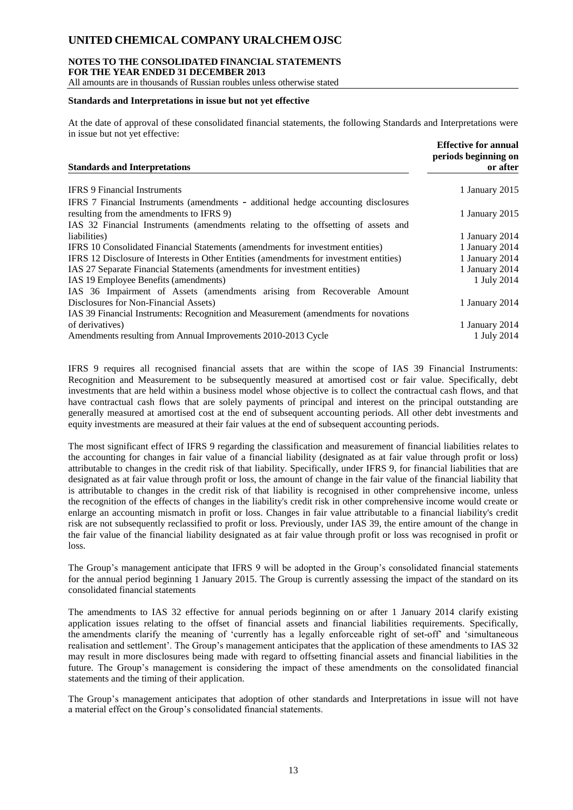# **NOTES TO THE CONSOLIDATED FINANCIAL STATEMENTS**

**FOR THE YEAR ENDED 31 DECEMBER 2013**

All amounts are in thousands of Russian roubles unless otherwise stated

### **Standards and Interpretations in issue but not yet effective**

At the date of approval of these consolidated financial statements, the following Standards and Interpretations were in issue but not yet effective:

| <b>Standards and Interpretations</b>                                                   | <b>Effective for annual</b><br>periods beginning on |
|----------------------------------------------------------------------------------------|-----------------------------------------------------|
|                                                                                        | or after                                            |
| <b>IFRS 9 Financial Instruments</b>                                                    | 1 January 2015                                      |
| IFRS 7 Financial Instruments (amendments - additional hedge accounting disclosures     |                                                     |
| resulting from the amendments to IFRS 9)                                               | 1 January 2015                                      |
| IAS 32 Financial Instruments (amendments relating to the offsetting of assets and      |                                                     |
| liabilities)                                                                           | 1 January 2014                                      |
| IFRS 10 Consolidated Financial Statements (amendments for investment entities)         | 1 January 2014                                      |
| IFRS 12 Disclosure of Interests in Other Entities (amendments for investment entities) | 1 January 2014                                      |
| IAS 27 Separate Financial Statements (amendments for investment entities)              | 1 January 2014                                      |
| IAS 19 Employee Benefits (amendments)                                                  | 1 July 2014                                         |
| IAS 36 Impairment of Assets (amendments arising from Recoverable Amount                |                                                     |
| Disclosures for Non-Financial Assets)                                                  | 1 January 2014                                      |
| IAS 39 Financial Instruments: Recognition and Measurement (amendments for novations    |                                                     |
| of derivatives)                                                                        | 1 January 2014                                      |
| Amendments resulting from Annual Improvements 2010-2013 Cycle                          | 1 July 2014                                         |
|                                                                                        |                                                     |

IFRS 9 requires all recognised financial assets that are within the scope of IAS 39 Financial Instruments: Recognition and Measurement to be subsequently measured at amortised cost or fair value. Specifically, debt investments that are held within a business model whose objective is to collect the contractual cash flows, and that have contractual cash flows that are solely payments of principal and interest on the principal outstanding are generally measured at amortised cost at the end of subsequent accounting periods. All other debt investments and equity investments are measured at their fair values at the end of subsequent accounting periods.

The most significant effect of IFRS 9 regarding the classification and measurement of financial liabilities relates to the accounting for changes in fair value of a financial liability (designated as at fair value through profit or loss) attributable to changes in the credit risk of that liability. Specifically, under IFRS 9, for financial liabilities that are designated as at fair value through profit or loss, the amount of change in the fair value of the financial liability that is attributable to changes in the credit risk of that liability is recognised in other comprehensive income, unless the recognition of the effects of changes in the liability's credit risk in other comprehensive income would create or enlarge an accounting mismatch in profit or loss. Changes in fair value attributable to a financial liability's credit risk are not subsequently reclassified to profit or loss. Previously, under IAS 39, the entire amount of the change in the fair value of the financial liability designated as at fair value through profit or loss was recognised in profit or loss.

The Group's management anticipate that IFRS 9 will be adopted in the Group's consolidated financial statements for the annual period beginning 1 January 2015. The Group is currently assessing the impact of the standard on its consolidated financial statements

The amendments to IAS 32 effective for annual periods beginning on or after 1 January 2014 clarify existing application issues relating to the offset of financial assets and financial liabilities requirements. Specifically, the amendments clarify the meaning of 'currently has a legally enforceable right of set-off' and 'simultaneous realisation and settlement'. The Group's management anticipates that the application of these amendments to IAS 32 may result in more disclosures being made with regard to offsetting financial assets and financial liabilities in the future. The Group's management is considering the impact of these amendments on the consolidated financial statements and the timing of their application.

The Group's management anticipates that adoption of other standards and Interpretations in issue will not have a material effect on the Group's consolidated financial statements.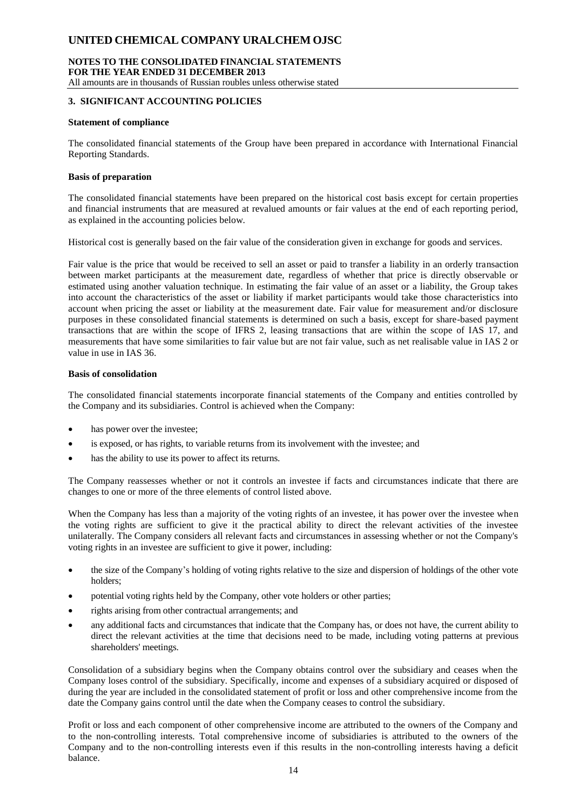#### **NOTES TO THE CONSOLIDATED FINANCIAL STATEMENTS FOR THE YEAR ENDED 31 DECEMBER 2013** All amounts are in thousands of Russian roubles unless otherwise stated

### **3. SIGNIFICANT ACCOUNTING POLICIES**

### **Statement of compliance**

The consolidated financial statements of the Group have been prepared in accordance with International Financial Reporting Standards.

### **Basis of preparation**

The consolidated financial statements have been prepared on the historical cost basis except for certain properties and financial instruments that are measured at revalued amounts or fair values at the end of each reporting period, as explained in the accounting policies below.

Historical cost is generally based on the fair value of the consideration given in exchange for goods and services.

Fair value is the price that would be received to sell an asset or paid to transfer a liability in an orderly transaction between market participants at the measurement date, regardless of whether that price is directly observable or estimated using another valuation technique. In estimating the fair value of an asset or a liability, the Group takes into account the characteristics of the asset or liability if market participants would take those characteristics into account when pricing the asset or liability at the measurement date. Fair value for measurement and/or disclosure purposes in these consolidated financial statements is determined on such a basis, except for share-based payment transactions that are within the scope of IFRS 2, leasing transactions that are within the scope of IAS 17, and measurements that have some similarities to fair value but are not fair value, such as net realisable value in IAS 2 or value in use in IAS 36.

### **Basis of consolidation**

The consolidated financial statements incorporate financial statements of the Company and entities controlled by the Company and its subsidiaries. Control is achieved when the Company:

- has power over the investee;
- is exposed, or has rights, to variable returns from its involvement with the investee; and
- has the ability to use its power to affect its returns.

The Company reassesses whether or not it controls an investee if facts and circumstances indicate that there are changes to one or more of the three elements of control listed above.

When the Company has less than a majority of the voting rights of an investee, it has power over the investee when the voting rights are sufficient to give it the practical ability to direct the relevant activities of the investee unilaterally. The Company considers all relevant facts and circumstances in assessing whether or not the Company's voting rights in an investee are sufficient to give it power, including:

- the size of the Company's holding of voting rights relative to the size and dispersion of holdings of the other vote holders;
- potential voting rights held by the Company, other vote holders or other parties;
- rights arising from other contractual arrangements; and
- any additional facts and circumstances that indicate that the Company has, or does not have, the current ability to direct the relevant activities at the time that decisions need to be made, including voting patterns at previous shareholders' meetings.

Consolidation of a subsidiary begins when the Company obtains control over the subsidiary and ceases when the Company loses control of the subsidiary. Specifically, income and expenses of a subsidiary acquired or disposed of during the year are included in the consolidated statement of profit or loss and other comprehensive income from the date the Company gains control until the date when the Company ceases to control the subsidiary.

Profit or loss and each component of other comprehensive income are attributed to the owners of the Company and to the non-controlling interests. Total comprehensive income of subsidiaries is attributed to the owners of the Company and to the non-controlling interests even if this results in the non-controlling interests having a deficit balance.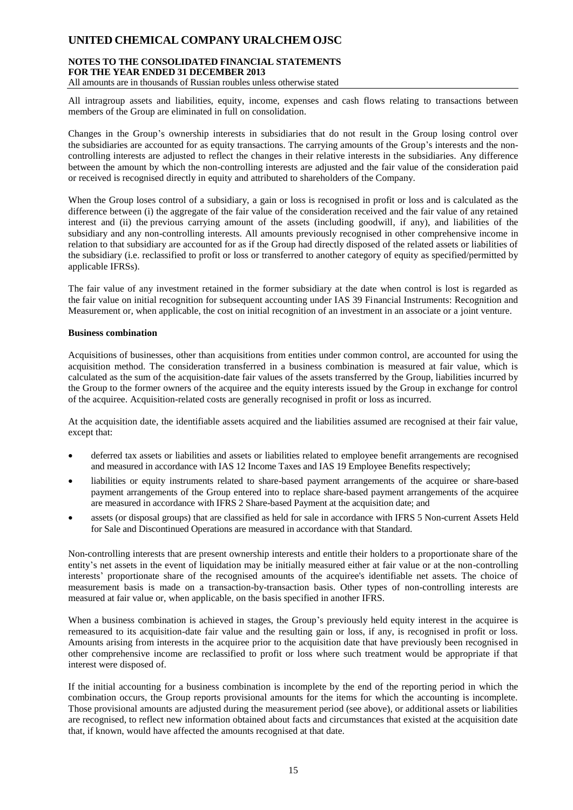#### **NOTES TO THE CONSOLIDATED FINANCIAL STATEMENTS FOR THE YEAR ENDED 31 DECEMBER 2013** All amounts are in thousands of Russian roubles unless otherwise stated

All intragroup assets and liabilities, equity, income, expenses and cash flows relating to transactions between members of the Group are eliminated in full on consolidation.

Changes in the Group's ownership interests in subsidiaries that do not result in the Group losing control over the subsidiaries are accounted for as equity transactions. The carrying amounts of the Group's interests and the noncontrolling interests are adjusted to reflect the changes in their relative interests in the subsidiaries. Any difference between the amount by which the non-controlling interests are adjusted and the fair value of the consideration paid or received is recognised directly in equity and attributed to shareholders of the Company.

When the Group loses control of a subsidiary, a gain or loss is recognised in profit or loss and is calculated as the difference between (i) the aggregate of the fair value of the consideration received and the fair value of any retained interest and (ii) the previous carrying amount of the assets (including goodwill, if any), and liabilities of the subsidiary and any non-controlling interests. All amounts previously recognised in other comprehensive income in relation to that subsidiary are accounted for as if the Group had directly disposed of the related assets or liabilities of the subsidiary (i.e. reclassified to profit or loss or transferred to another category of equity as specified/permitted by applicable IFRSs).

The fair value of any investment retained in the former subsidiary at the date when control is lost is regarded as the fair value on initial recognition for subsequent accounting under IAS 39 Financial Instruments: Recognition and Measurement or, when applicable, the cost on initial recognition of an investment in an associate or a joint venture.

### **Business combination**

Acquisitions of businesses, other than acquisitions from entities under common control, are accounted for using the acquisition method. The consideration transferred in a business combination is measured at fair value, which is calculated as the sum of the acquisition-date fair values of the assets transferred by the Group, liabilities incurred by the Group to the former owners of the acquiree and the equity interests issued by the Group in exchange for control of the acquiree. Acquisition-related costs are generally recognised in profit or loss as incurred.

At the acquisition date, the identifiable assets acquired and the liabilities assumed are recognised at their fair value, except that:

- deferred tax assets or liabilities and assets or liabilities related to employee benefit arrangements are recognised and measured in accordance with IAS 12 Income Taxes and IAS 19 Employee Benefits respectively;
- liabilities or equity instruments related to share-based payment arrangements of the acquiree or share-based payment arrangements of the Group entered into to replace share-based payment arrangements of the acquiree are measured in accordance with IFRS 2 Share-based Payment at the acquisition date; and
- assets (or disposal groups) that are classified as held for sale in accordance with IFRS 5 Non-current Assets Held for Sale and Discontinued Operations are measured in accordance with that Standard.

Non-controlling interests that are present ownership interests and entitle their holders to a proportionate share of the entity's net assets in the event of liquidation may be initially measured either at fair value or at the non-controlling interests' proportionate share of the recognised amounts of the acquiree's identifiable net assets. The choice of measurement basis is made on a transaction-by-transaction basis. Other types of non-controlling interests are measured at fair value or, when applicable, on the basis specified in another IFRS.

When a business combination is achieved in stages, the Group's previously held equity interest in the acquiree is remeasured to its acquisition-date fair value and the resulting gain or loss, if any, is recognised in profit or loss. Amounts arising from interests in the acquiree prior to the acquisition date that have previously been recognised in other comprehensive income are reclassified to profit or loss where such treatment would be appropriate if that interest were disposed of.

If the initial accounting for a business combination is incomplete by the end of the reporting period in which the combination occurs, the Group reports provisional amounts for the items for which the accounting is incomplete. Those provisional amounts are adjusted during the measurement period (see above), or additional assets or liabilities are recognised, to reflect new information obtained about facts and circumstances that existed at the acquisition date that, if known, would have affected the amounts recognised at that date.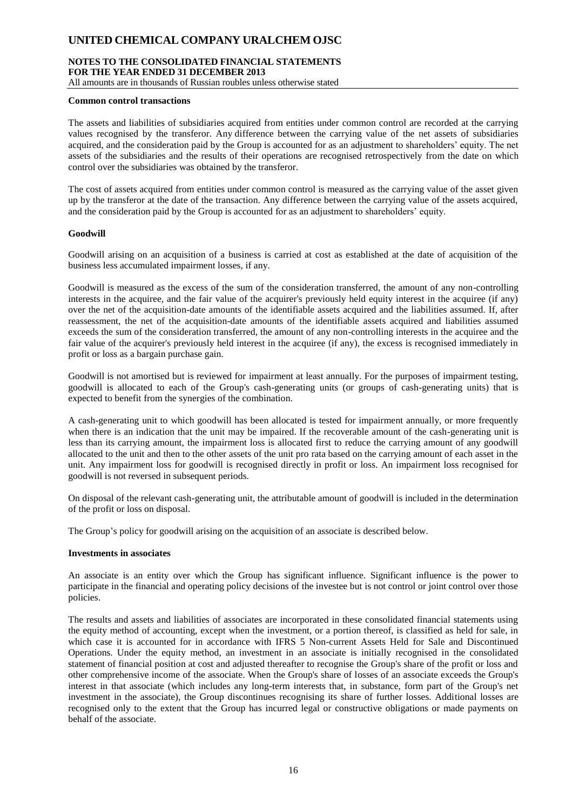#### **NOTES TO THE CONSOLIDATED FINANCIAL STATEMENTS FOR THE YEAR ENDED 31 DECEMBER 2013** All amounts are in thousands of Russian roubles unless otherwise stated

#### **Common control transactions**

The assets and liabilities of subsidiaries acquired from entities under common control are recorded at the carrying values recognised by the transferor. Any difference between the carrying value of the net assets of subsidiaries acquired, and the consideration paid by the Group is accounted for as an adjustment to shareholders' equity. The net assets of the subsidiaries and the results of their operations are recognised retrospectively from the date on which control over the subsidiaries was obtained by the transferor.

The cost of assets acquired from entities under common control is measured as the carrying value of the asset given up by the transferor at the date of the transaction. Any difference between the carrying value of the assets acquired, and the consideration paid by the Group is accounted for as an adjustment to shareholders' equity.

#### **Goodwill**

Goodwill arising on an acquisition of a business is carried at cost as established at the date of acquisition of the business less accumulated impairment losses, if any.

Goodwill is measured as the excess of the sum of the consideration transferred, the amount of any non-controlling interests in the acquiree, and the fair value of the acquirer's previously held equity interest in the acquiree (if any) over the net of the acquisition-date amounts of the identifiable assets acquired and the liabilities assumed. If, after reassessment, the net of the acquisition-date amounts of the identifiable assets acquired and liabilities assumed exceeds the sum of the consideration transferred, the amount of any non-controlling interests in the acquiree and the fair value of the acquirer's previously held interest in the acquiree (if any), the excess is recognised immediately in profit or loss as a bargain purchase gain.

Goodwill is not amortised but is reviewed for impairment at least annually. For the purposes of impairment testing, goodwill is allocated to each of the Group's cash-generating units (or groups of cash-generating units) that is expected to benefit from the synergies of the combination.

A cash-generating unit to which goodwill has been allocated is tested for impairment annually, or more frequently when there is an indication that the unit may be impaired. If the recoverable amount of the cash-generating unit is less than its carrying amount, the impairment loss is allocated first to reduce the carrying amount of any goodwill allocated to the unit and then to the other assets of the unit pro rata based on the carrying amount of each asset in the unit. Any impairment loss for goodwill is recognised directly in profit or loss. An impairment loss recognised for goodwill is not reversed in subsequent periods.

On disposal of the relevant cash-generating unit, the attributable amount of goodwill is included in the determination of the profit or loss on disposal.

The Group's policy for goodwill arising on the acquisition of an associate is described below.

#### **Investments in associates**

An associate is an entity over which the Group has significant influence. Significant influence is the power to participate in the financial and operating policy decisions of the investee but is not control or joint control over those policies.

The results and assets and liabilities of associates are incorporated in these consolidated financial statements using the equity method of accounting, except when the investment, or a portion thereof, is classified as held for sale, in which case it is accounted for in accordance with IFRS 5 Non-current Assets Held for Sale and Discontinued Operations. Under the equity method, an investment in an associate is initially recognised in the consolidated statement of financial position at cost and adjusted thereafter to recognise the Group's share of the profit or loss and other comprehensive income of the associate. When the Group's share of losses of an associate exceeds the Group's interest in that associate (which includes any long-term interests that, in substance, form part of the Group's net investment in the associate), the Group discontinues recognising its share of further losses. Additional losses are recognised only to the extent that the Group has incurred legal or constructive obligations or made payments on behalf of the associate.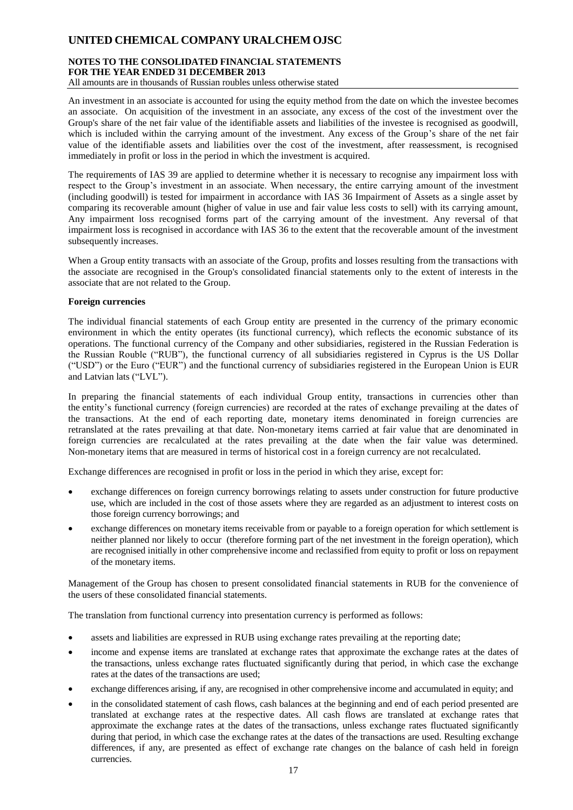#### **NOTES TO THE CONSOLIDATED FINANCIAL STATEMENTS FOR THE YEAR ENDED 31 DECEMBER 2013** All amounts are in thousands of Russian roubles unless otherwise stated

An investment in an associate is accounted for using the equity method from the date on which the investee becomes an associate. On acquisition of the investment in an associate, any excess of the cost of the investment over the Group's share of the net fair value of the identifiable assets and liabilities of the investee is recognised as goodwill, which is included within the carrying amount of the investment. Any excess of the Group's share of the net fair value of the identifiable assets and liabilities over the cost of the investment, after reassessment, is recognised immediately in profit or loss in the period in which the investment is acquired.

The requirements of IAS 39 are applied to determine whether it is necessary to recognise any impairment loss with respect to the Group's investment in an associate. When necessary, the entire carrying amount of the investment (including goodwill) is tested for impairment in accordance with IAS 36 Impairment of Assets as a single asset by comparing its recoverable amount (higher of value in use and fair value less costs to sell) with its carrying amount, Any impairment loss recognised forms part of the carrying amount of the investment. Any reversal of that impairment loss is recognised in accordance with IAS 36 to the extent that the recoverable amount of the investment subsequently increases.

When a Group entity transacts with an associate of the Group, profits and losses resulting from the transactions with the associate are recognised in the Group's consolidated financial statements only to the extent of interests in the associate that are not related to the Group.

### **Foreign currencies**

The individual financial statements of each Group entity are presented in the currency of the primary economic environment in which the entity operates (its functional currency), which reflects the economic substance of its operations. The functional currency of the Company and other subsidiaries, registered in the Russian Federation is the Russian Rouble ("RUB"), the functional currency of all subsidiaries registered in Cyprus is the US Dollar ("USD") or the Euro ("EUR") and the functional currency of subsidiaries registered in the European Union is EUR and Latvian lats ("LVL").

In preparing the financial statements of each individual Group entity, transactions in currencies other than the entity's functional currency (foreign currencies) are recorded at the rates of exchange prevailing at the dates of the transactions. At the end of each reporting date, monetary items denominated in foreign currencies are retranslated at the rates prevailing at that date. Non-monetary items carried at fair value that are denominated in foreign currencies are recalculated at the rates prevailing at the date when the fair value was determined. Non-monetary items that are measured in terms of historical cost in a foreign currency are not recalculated.

Exchange differences are recognised in profit or loss in the period in which they arise, except for:

- exchange differences on foreign currency borrowings relating to assets under construction for future productive use, which are included in the cost of those assets where they are regarded as an adjustment to interest costs on those foreign currency borrowings; and
- exchange differences on monetary items receivable from or payable to a foreign operation for which settlement is neither planned nor likely to occur (therefore forming part of the net investment in the foreign operation), which are recognised initially in other comprehensive income and reclassified from equity to profit or loss on repayment of the monetary items.

Management of the Group has chosen to present consolidated financial statements in RUB for the convenience of the users of these consolidated financial statements.

The translation from functional currency into presentation currency is performed as follows:

- assets and liabilities are expressed in RUB using exchange rates prevailing at the reporting date;
- income and expense items are translated at exchange rates that approximate the exchange rates at the dates of the transactions, unless exchange rates fluctuated significantly during that period, in which case the exchange rates at the dates of the transactions are used;
- exchange differences arising, if any, are recognised in other comprehensive income and accumulated in equity; and
- in the consolidated statement of cash flows, cash balances at the beginning and end of each period presented are translated at exchange rates at the respective dates. All cash flows are translated at exchange rates that approximate the exchange rates at the dates of the transactions, unless exchange rates fluctuated significantly during that period, in which case the exchange rates at the dates of the transactions are used. Resulting exchange differences, if any, are presented as effect of exchange rate changes on the balance of cash held in foreign currencies.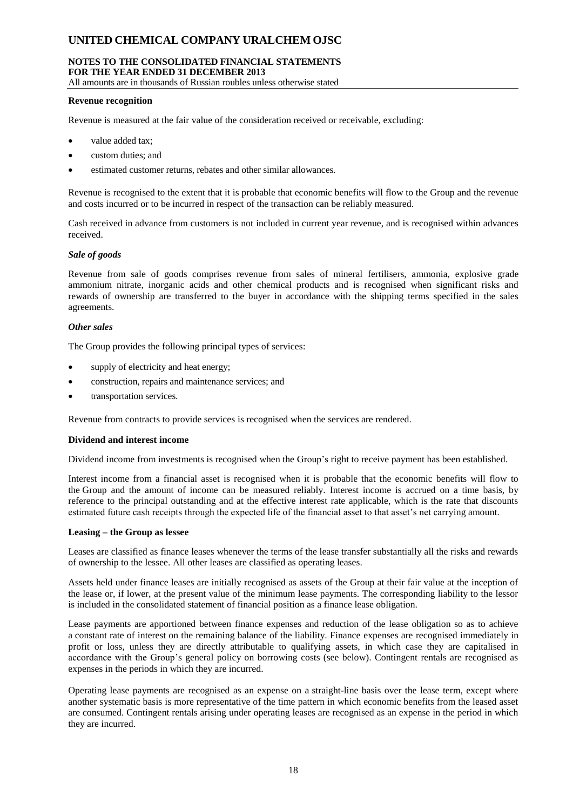# **NOTES TO THE CONSOLIDATED FINANCIAL STATEMENTS FOR THE YEAR ENDED 31 DECEMBER 2013**

All amounts are in thousands of Russian roubles unless otherwise stated

### **Revenue recognition**

Revenue is measured at the fair value of the consideration received or receivable, excluding:

- value added tax;
- custom duties; and
- estimated customer returns, rebates and other similar allowances.

Revenue is recognised to the extent that it is probable that economic benefits will flow to the Group and the revenue and costs incurred or to be incurred in respect of the transaction can be reliably measured.

Cash received in advance from customers is not included in current year revenue, and is recognised within advances received.

### *Sale of goods*

Revenue from sale of goods comprises revenue from sales of mineral fertilisers, ammonia, explosive grade ammonium nitrate, inorganic acids and other chemical products and is recognised when significant risks and rewards of ownership are transferred to the buyer in accordance with the shipping terms specified in the sales agreements.

### *Other sales*

The Group provides the following principal types of services:

- supply of electricity and heat energy;
- construction, repairs and maintenance services; and
- transportation services.

Revenue from contracts to provide services is recognised when the services are rendered.

#### **Dividend and interest income**

Dividend income from investments is recognised when the Group's right to receive payment has been established.

Interest income from a financial asset is recognised when it is probable that the economic benefits will flow to the Group and the amount of income can be measured reliably. Interest income is accrued on a time basis, by reference to the principal outstanding and at the effective interest rate applicable, which is the rate that discounts estimated future cash receipts through the expected life of the financial asset to that asset's net carrying amount.

### **Leasing – the Group as lessee**

Leases are classified as finance leases whenever the terms of the lease transfer substantially all the risks and rewards of ownership to the lessee. All other leases are classified as operating leases.

Assets held under finance leases are initially recognised as assets of the Group at their fair value at the inception of the lease or, if lower, at the present value of the minimum lease payments. The corresponding liability to the lessor is included in the consolidated statement of financial position as a finance lease obligation.

Lease payments are apportioned between finance expenses and reduction of the lease obligation so as to achieve a constant rate of interest on the remaining balance of the liability. Finance expenses are recognised immediately in profit or loss, unless they are directly attributable to qualifying assets, in which case they are capitalised in accordance with the Group's general policy on borrowing costs (see below). Contingent rentals are recognised as expenses in the periods in which they are incurred.

Operating lease payments are recognised as an expense on a straight-line basis over the lease term, except where another systematic basis is more representative of the time pattern in which economic benefits from the leased asset are consumed. Contingent rentals arising under operating leases are recognised as an expense in the period in which they are incurred.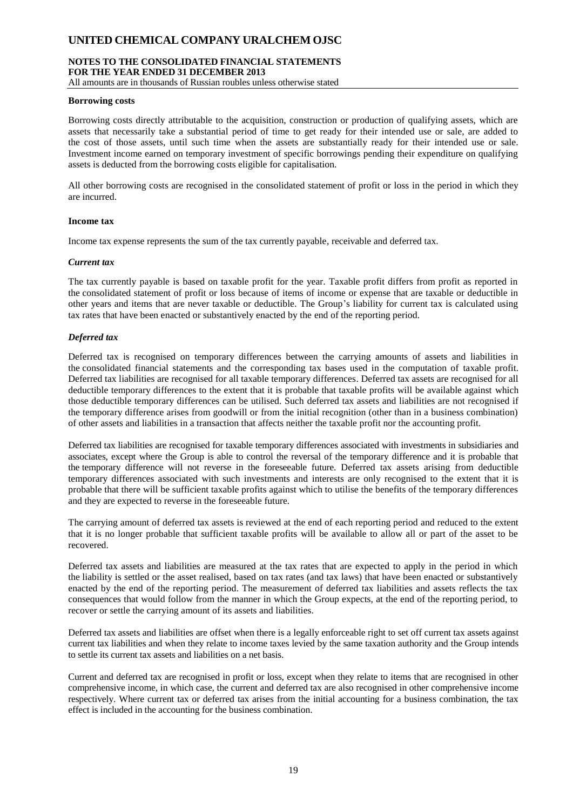# **NOTES TO THE CONSOLIDATED FINANCIAL STATEMENTS FOR THE YEAR ENDED 31 DECEMBER 2013**

All amounts are in thousands of Russian roubles unless otherwise stated

### **Borrowing costs**

Borrowing costs directly attributable to the acquisition, construction or production of qualifying assets, which are assets that necessarily take a substantial period of time to get ready for their intended use or sale, are added to the cost of those assets, until such time when the assets are substantially ready for their intended use or sale. Investment income earned on temporary investment of specific borrowings pending their expenditure on qualifying assets is deducted from the borrowing costs eligible for capitalisation.

All other borrowing costs are recognised in the consolidated statement of profit or loss in the period in which they are incurred.

### **Income tax**

Income tax expense represents the sum of the tax currently payable, receivable and deferred tax.

### *Current tax*

The tax currently payable is based on taxable profit for the year. Taxable profit differs from profit as reported in the consolidated statement of profit or loss because of items of income or expense that are taxable or deductible in other years and items that are never taxable or deductible. The Group's liability for current tax is calculated using tax rates that have been enacted or substantively enacted by the end of the reporting period.

### *Deferred tax*

Deferred tax is recognised on temporary differences between the carrying amounts of assets and liabilities in the consolidated financial statements and the corresponding tax bases used in the computation of taxable profit. Deferred tax liabilities are recognised for all taxable temporary differences. Deferred tax assets are recognised for all deductible temporary differences to the extent that it is probable that taxable profits will be available against which those deductible temporary differences can be utilised. Such deferred tax assets and liabilities are not recognised if the temporary difference arises from goodwill or from the initial recognition (other than in a business combination) of other assets and liabilities in a transaction that affects neither the taxable profit nor the accounting profit.

Deferred tax liabilities are recognised for taxable temporary differences associated with investments in subsidiaries and associates, except where the Group is able to control the reversal of the temporary difference and it is probable that the temporary difference will not reverse in the foreseeable future. Deferred tax assets arising from deductible temporary differences associated with such investments and interests are only recognised to the extent that it is probable that there will be sufficient taxable profits against which to utilise the benefits of the temporary differences and they are expected to reverse in the foreseeable future.

The carrying amount of deferred tax assets is reviewed at the end of each reporting period and reduced to the extent that it is no longer probable that sufficient taxable profits will be available to allow all or part of the asset to be recovered.

Deferred tax assets and liabilities are measured at the tax rates that are expected to apply in the period in which the liability is settled or the asset realised, based on tax rates (and tax laws) that have been enacted or substantively enacted by the end of the reporting period. The measurement of deferred tax liabilities and assets reflects the tax consequences that would follow from the manner in which the Group expects, at the end of the reporting period, to recover or settle the carrying amount of its assets and liabilities.

Deferred tax assets and liabilities are offset when there is a legally enforceable right to set off current tax assets against current tax liabilities and when they relate to income taxes levied by the same taxation authority and the Group intends to settle its current tax assets and liabilities on a net basis.

Current and deferred tax are recognised in profit or loss, except when they relate to items that are recognised in other comprehensive income, in which case, the current and deferred tax are also recognised in other comprehensive income respectively. Where current tax or deferred tax arises from the initial accounting for a business combination, the tax effect is included in the accounting for the business combination.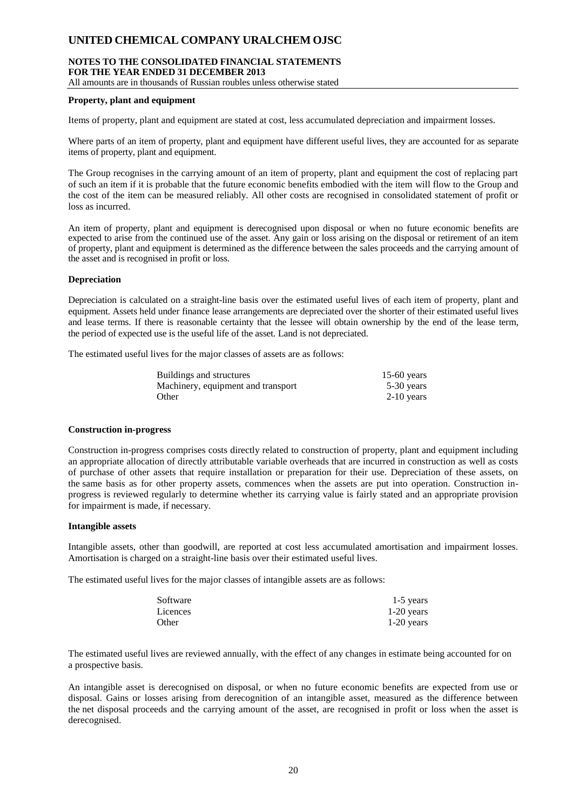# **NOTES TO THE CONSOLIDATED FINANCIAL STATEMENTS FOR THE YEAR ENDED 31 DECEMBER 2013**

All amounts are in thousands of Russian roubles unless otherwise stated

### **Property, plant and equipment**

Items of property, plant and equipment are stated at cost, less accumulated depreciation and impairment losses.

Where parts of an item of property, plant and equipment have different useful lives, they are accounted for as separate items of property, plant and equipment.

The Group recognises in the carrying amount of an item of property, plant and equipment the cost of replacing part of such an item if it is probable that the future economic benefits embodied with the item will flow to the Group and the cost of the item can be measured reliably. All other costs are recognised in consolidated statement of profit or loss as incurred.

An item of property, plant and equipment is derecognised upon disposal or when no future economic benefits are expected to arise from the continued use of the asset. Any gain or loss arising on the disposal or retirement of an item of property, plant and equipment is determined as the difference between the sales proceeds and the carrying amount of the asset and is recognised in profit or loss.

### **Depreciation**

Depreciation is calculated on a straight-line basis over the estimated useful lives of each item of property, plant and equipment. Assets held under finance lease arrangements are depreciated over the shorter of their estimated useful lives and lease terms. If there is reasonable certainty that the lessee will obtain ownership by the end of the lease term, the period of expected use is the useful life of the asset. Land is not depreciated.

The estimated useful lives for the major classes of assets are as follows:

| Buildings and structures           | $15-60$ years |
|------------------------------------|---------------|
| Machinery, equipment and transport | 5-30 years    |
| Other                              | $2-10$ years  |

#### **Construction in-progress**

Construction in-progress comprises costs directly related to construction of property, plant and equipment including an appropriate allocation of directly attributable variable overheads that are incurred in construction as well as costs of purchase of other assets that require installation or preparation for their use. Depreciation of these assets, on the same basis as for other property assets, commences when the assets are put into operation. Construction inprogress is reviewed regularly to determine whether its carrying value is fairly stated and an appropriate provision for impairment is made, if necessary.

#### **Intangible assets**

Intangible assets, other than goodwill, are reported at cost less accumulated amortisation and impairment losses. Amortisation is charged on a straight-line basis over their estimated useful lives.

The estimated useful lives for the major classes of intangible assets are as follows:

| Software | $1-5$ years  |
|----------|--------------|
| Licences | $1-20$ years |
| Other    | $1-20$ years |

The estimated useful lives are reviewed annually, with the effect of any changes in estimate being accounted for on a prospective basis.

An intangible asset is derecognised on disposal, or when no future economic benefits are expected from use or disposal. Gains or losses arising from derecognition of an intangible asset, measured as the difference between the net disposal proceeds and the carrying amount of the asset, are recognised in profit or loss when the asset is derecognised.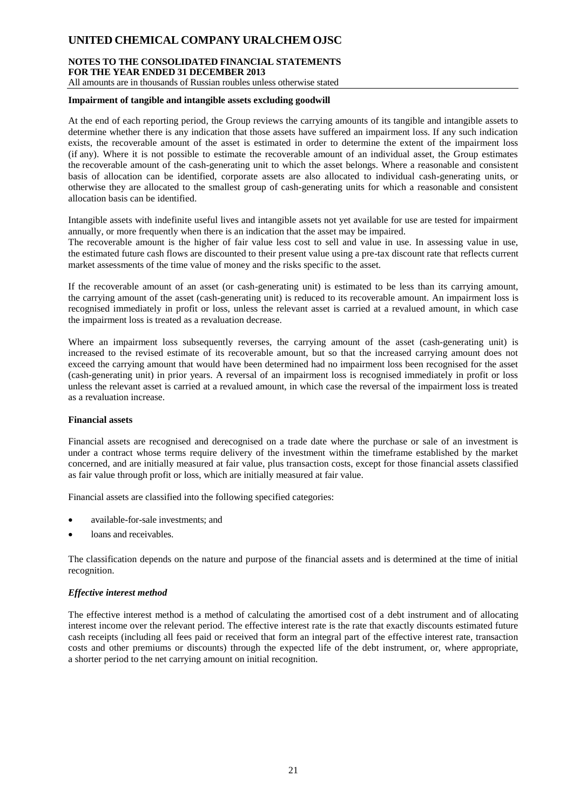# **NOTES TO THE CONSOLIDATED FINANCIAL STATEMENTS FOR THE YEAR ENDED 31 DECEMBER 2013**

### All amounts are in thousands of Russian roubles unless otherwise stated

### **Impairment of tangible and intangible assets excluding goodwill**

At the end of each reporting period, the Group reviews the carrying amounts of its tangible and intangible assets to determine whether there is any indication that those assets have suffered an impairment loss. If any such indication exists, the recoverable amount of the asset is estimated in order to determine the extent of the impairment loss (if any). Where it is not possible to estimate the recoverable amount of an individual asset, the Group estimates the recoverable amount of the cash-generating unit to which the asset belongs. Where a reasonable and consistent basis of allocation can be identified, corporate assets are also allocated to individual cash-generating units, or otherwise they are allocated to the smallest group of cash-generating units for which a reasonable and consistent allocation basis can be identified.

Intangible assets with indefinite useful lives and intangible assets not yet available for use are tested for impairment annually, or more frequently when there is an indication that the asset may be impaired.

The recoverable amount is the higher of fair value less cost to sell and value in use. In assessing value in use, the estimated future cash flows are discounted to their present value using a pre-tax discount rate that reflects current market assessments of the time value of money and the risks specific to the asset.

If the recoverable amount of an asset (or cash-generating unit) is estimated to be less than its carrying amount, the carrying amount of the asset (cash-generating unit) is reduced to its recoverable amount. An impairment loss is recognised immediately in profit or loss, unless the relevant asset is carried at a revalued amount, in which case the impairment loss is treated as a revaluation decrease.

Where an impairment loss subsequently reverses, the carrying amount of the asset (cash-generating unit) is increased to the revised estimate of its recoverable amount, but so that the increased carrying amount does not exceed the carrying amount that would have been determined had no impairment loss been recognised for the asset (cash-generating unit) in prior years. A reversal of an impairment loss is recognised immediately in profit or loss unless the relevant asset is carried at a revalued amount, in which case the reversal of the impairment loss is treated as a revaluation increase.

### **Financial assets**

Financial assets are recognised and derecognised on a trade date where the purchase or sale of an investment is under a contract whose terms require delivery of the investment within the timeframe established by the market concerned, and are initially measured at fair value, plus transaction costs, except for those financial assets classified as fair value through profit or loss, which are initially measured at fair value.

Financial assets are classified into the following specified categories:

- available-for-sale investments; and
- loans and receivables.

The classification depends on the nature and purpose of the financial assets and is determined at the time of initial recognition.

### *Effective interest method*

The effective interest method is a method of calculating the amortised cost of a debt instrument and of allocating interest income over the relevant period. The effective interest rate is the rate that exactly discounts estimated future cash receipts (including all fees paid or received that form an integral part of the effective interest rate, transaction costs and other premiums or discounts) through the expected life of the debt instrument, or, where appropriate, a shorter period to the net carrying amount on initial recognition.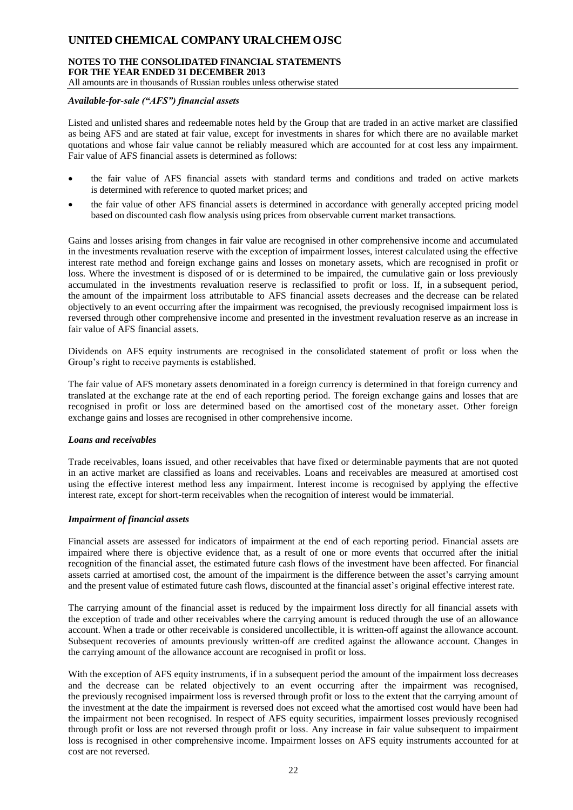# **NOTES TO THE CONSOLIDATED FINANCIAL STATEMENTS FOR THE YEAR ENDED 31 DECEMBER 2013**

### All amounts are in thousands of Russian roubles unless otherwise stated

### *Available-for-sale ("AFS") financial assets*

Listed and unlisted shares and redeemable notes held by the Group that are traded in an active market are classified as being AFS and are stated at fair value, except for investments in shares for which there are no available market quotations and whose fair value cannot be reliably measured which are accounted for at cost less any impairment. Fair value of AFS financial assets is determined as follows:

- the fair value of AFS financial assets with standard terms and conditions and traded on active markets is determined with reference to quoted market prices; and
- the fair value of other AFS financial assets is determined in accordance with generally accepted pricing model based on discounted cash flow analysis using prices from observable current market transactions.

Gains and losses arising from changes in fair value are recognised in other comprehensive income and accumulated in the investments revaluation reserve with the exception of impairment losses, interest calculated using the effective interest rate method and foreign exchange gains and losses on monetary assets, which are recognised in profit or loss. Where the investment is disposed of or is determined to be impaired, the cumulative gain or loss previously accumulated in the investments revaluation reserve is reclassified to profit or loss. If, in a subsequent period, the amount of the impairment loss attributable to AFS financial assets decreases and the decrease can be related objectively to an event occurring after the impairment was recognised, the previously recognised impairment loss is reversed through other comprehensive income and presented in the investment revaluation reserve as an increase in fair value of AFS financial assets.

Dividends on AFS equity instruments are recognised in the consolidated statement of profit or loss when the Group's right to receive payments is established.

The fair value of AFS monetary assets denominated in a foreign currency is determined in that foreign currency and translated at the exchange rate at the end of each reporting period. The foreign exchange gains and losses that are recognised in profit or loss are determined based on the amortised cost of the monetary asset. Other foreign exchange gains and losses are recognised in other comprehensive income.

#### *Loans and receivables*

Trade receivables, loans issued, and other receivables that have fixed or determinable payments that are not quoted in an active market are classified as loans and receivables. Loans and receivables are measured at amortised cost using the effective interest method less any impairment. Interest income is recognised by applying the effective interest rate, except for short-term receivables when the recognition of interest would be immaterial.

### *Impairment of financial assets*

Financial assets are assessed for indicators of impairment at the end of each reporting period. Financial assets are impaired where there is objective evidence that, as a result of one or more events that occurred after the initial recognition of the financial asset, the estimated future cash flows of the investment have been affected. For financial assets carried at amortised cost, the amount of the impairment is the difference between the asset's carrying amount and the present value of estimated future cash flows, discounted at the financial asset's original effective interest rate.

The carrying amount of the financial asset is reduced by the impairment loss directly for all financial assets with the exception of trade and other receivables where the carrying amount is reduced through the use of an allowance account. When a trade or other receivable is considered uncollectible, it is written-off against the allowance account. Subsequent recoveries of amounts previously written-off are credited against the allowance account. Changes in the carrying amount of the allowance account are recognised in profit or loss.

With the exception of AFS equity instruments, if in a subsequent period the amount of the impairment loss decreases and the decrease can be related objectively to an event occurring after the impairment was recognised, the previously recognised impairment loss is reversed through profit or loss to the extent that the carrying amount of the investment at the date the impairment is reversed does not exceed what the amortised cost would have been had the impairment not been recognised. In respect of AFS equity securities, impairment losses previously recognised through profit or loss are not reversed through profit or loss. Any increase in fair value subsequent to impairment loss is recognised in other comprehensive income. Impairment losses on AFS equity instruments accounted for at cost are not reversed.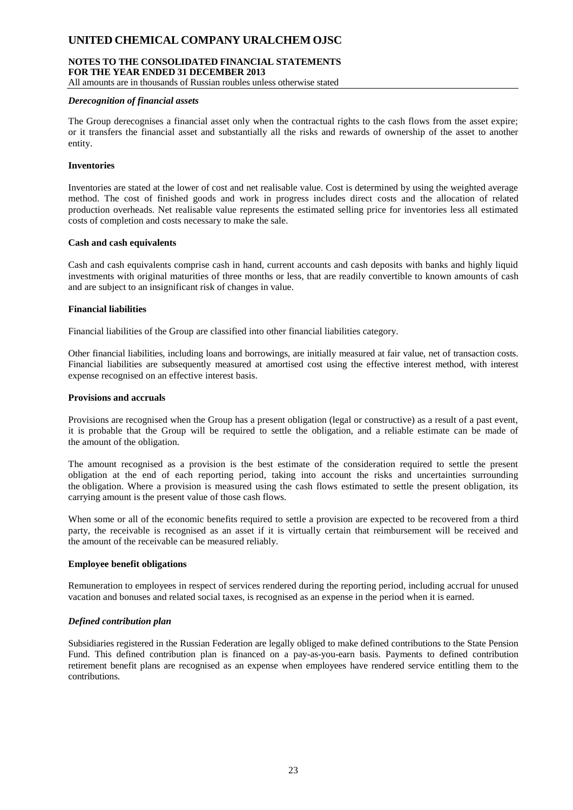#### **NOTES TO THE CONSOLIDATED FINANCIAL STATEMENTS FOR THE YEAR ENDED 31 DECEMBER 2013** All amounts are in thousands of Russian roubles unless otherwise stated

# *Derecognition of financial assets*

The Group derecognises a financial asset only when the contractual rights to the cash flows from the asset expire; or it transfers the financial asset and substantially all the risks and rewards of ownership of the asset to another entity.

### **Inventories**

Inventories are stated at the lower of cost and net realisable value. Cost is determined by using the weighted average method. The cost of finished goods and work in progress includes direct costs and the allocation of related production overheads. Net realisable value represents the estimated selling price for inventories less all estimated costs of completion and costs necessary to make the sale.

### **Cash and cash equivalents**

Cash and cash equivalents comprise cash in hand, current accounts and cash deposits with banks and highly liquid investments with original maturities of three months or less, that are readily convertible to known amounts of cash and are subject to an insignificant risk of changes in value.

### **Financial liabilities**

Financial liabilities of the Group are classified into other financial liabilities category.

Other financial liabilities, including loans and borrowings, are initially measured at fair value, net of transaction costs. Financial liabilities are subsequently measured at amortised cost using the effective interest method, with interest expense recognised on an effective interest basis.

### **Provisions and accruals**

Provisions are recognised when the Group has a present obligation (legal or constructive) as a result of a past event, it is probable that the Group will be required to settle the obligation, and a reliable estimate can be made of the amount of the obligation.

The amount recognised as a provision is the best estimate of the consideration required to settle the present obligation at the end of each reporting period, taking into account the risks and uncertainties surrounding the obligation. Where a provision is measured using the cash flows estimated to settle the present obligation, its carrying amount is the present value of those cash flows.

When some or all of the economic benefits required to settle a provision are expected to be recovered from a third party, the receivable is recognised as an asset if it is virtually certain that reimbursement will be received and the amount of the receivable can be measured reliably.

### **Employee benefit obligations**

Remuneration to employees in respect of services rendered during the reporting period, including accrual for unused vacation and bonuses and related social taxes, is recognised as an expense in the period when it is earned.

### *Defined contribution plan*

Subsidiaries registered in the Russian Federation are legally obliged to make defined contributions to the State Pension Fund. This defined contribution plan is financed on a pay-as-you-earn basis. Payments to defined contribution retirement benefit plans are recognised as an expense when employees have rendered service entitling them to the contributions.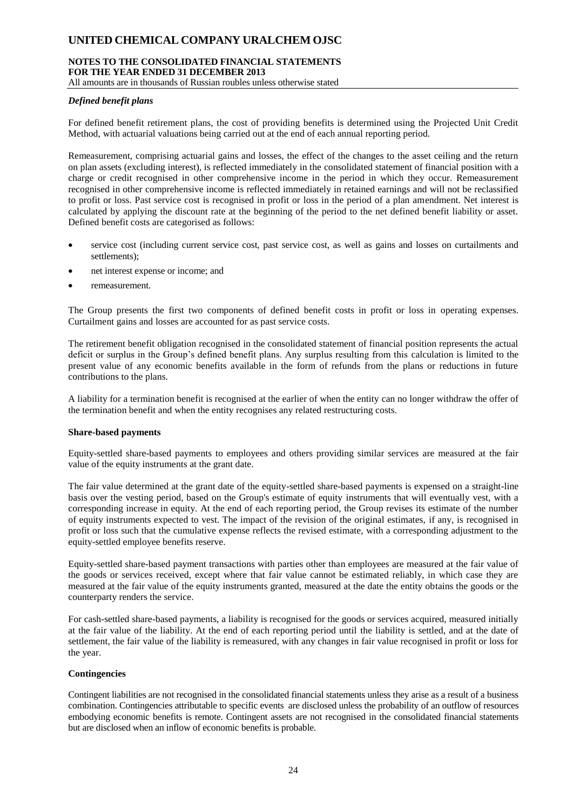# **NOTES TO THE CONSOLIDATED FINANCIAL STATEMENTS FOR THE YEAR ENDED 31 DECEMBER 2013**

### All amounts are in thousands of Russian roubles unless otherwise stated

### *Defined benefit plans*

For defined benefit retirement plans, the cost of providing benefits is determined using the Projected Unit Credit Method, with actuarial valuations being carried out at the end of each annual reporting period.

Remeasurement, comprising actuarial gains and losses, the effect of the changes to the asset ceiling and the return on plan assets (excluding interest), is reflected immediately in the consolidated statement of financial position with a charge or credit recognised in other comprehensive income in the period in which they occur. Remeasurement recognised in other comprehensive income is reflected immediately in retained earnings and will not be reclassified to profit or loss. Past service cost is recognised in profit or loss in the period of a plan amendment. Net interest is calculated by applying the discount rate at the beginning of the period to the net defined benefit liability or asset. Defined benefit costs are categorised as follows:

- service cost (including current service cost, past service cost, as well as gains and losses on curtailments and settlements);
- net interest expense or income; and
- remeasurement.

The Group presents the first two components of defined benefit costs in profit or loss in operating expenses. Curtailment gains and losses are accounted for as past service costs.

The retirement benefit obligation recognised in the consolidated statement of financial position represents the actual deficit or surplus in the Group's defined benefit plans. Any surplus resulting from this calculation is limited to the present value of any economic benefits available in the form of refunds from the plans or reductions in future contributions to the plans.

A liability for a termination benefit is recognised at the earlier of when the entity can no longer withdraw the offer of the termination benefit and when the entity recognises any related restructuring costs.

#### **Share-based payments**

Equity-settled share-based payments to employees and others providing similar services are measured at the fair value of the equity instruments at the grant date.

The fair value determined at the grant date of the equity-settled share-based payments is expensed on a straight-line basis over the vesting period, based on the Group's estimate of equity instruments that will eventually vest, with a corresponding increase in equity. At the end of each reporting period, the Group revises its estimate of the number of equity instruments expected to vest. The impact of the revision of the original estimates, if any, is recognised in profit or loss such that the cumulative expense reflects the revised estimate, with a corresponding adjustment to the equity-settled employee benefits reserve.

Equity-settled share-based payment transactions with parties other than employees are measured at the fair value of the goods or services received, except where that fair value cannot be estimated reliably, in which case they are measured at the fair value of the equity instruments granted, measured at the date the entity obtains the goods or the counterparty renders the service.

For cash-settled share-based payments, a liability is recognised for the goods or services acquired, measured initially at the fair value of the liability. At the end of each reporting period until the liability is settled, and at the date of settlement, the fair value of the liability is remeasured, with any changes in fair value recognised in profit or loss for the year.

### **Contingencies**

Contingent liabilities are not recognised in the consolidated financial statements unless they arise as a result of a business combination. Contingencies attributable to specific events are disclosed unless the probability of an outflow of resources embodying economic benefits is remote. Contingent assets are not recognised in the consolidated financial statements but are disclosed when an inflow of economic benefits is probable.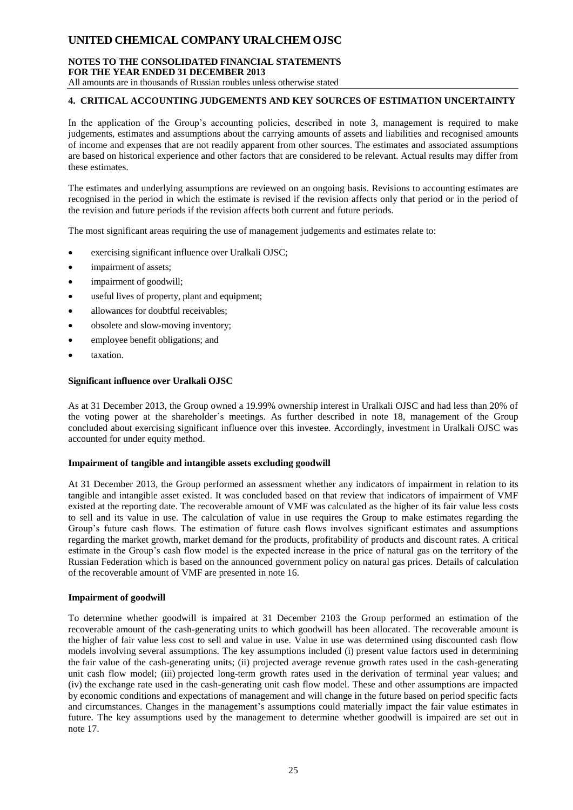#### **NOTES TO THE CONSOLIDATED FINANCIAL STATEMENTS FOR THE YEAR ENDED 31 DECEMBER 2013** All amounts are in thousands of Russian roubles unless otherwise stated

### **4. CRITICAL ACCOUNTING JUDGEMENTS AND KEY SOURCES OF ESTIMATION UNCERTAINTY**

In the application of the Group's accounting policies, described in note 3, management is required to make judgements, estimates and assumptions about the carrying amounts of assets and liabilities and recognised amounts of income and expenses that are not readily apparent from other sources. The estimates and associated assumptions are based on historical experience and other factors that are considered to be relevant. Actual results may differ from these estimates.

The estimates and underlying assumptions are reviewed on an ongoing basis. Revisions to accounting estimates are recognised in the period in which the estimate is revised if the revision affects only that period or in the period of the revision and future periods if the revision affects both current and future periods.

The most significant areas requiring the use of management judgements and estimates relate to:

- exercising significant influence over Uralkali OJSC;
- impairment of assets;
- impairment of goodwill;
- useful lives of property, plant and equipment;
- allowances for doubtful receivables;
- obsolete and slow-moving inventory;
- employee benefit obligations; and
- taxation.

### **Significant influence over Uralkali OJSC**

As at 31 December 2013, the Group owned a 19.99% ownership interest in Uralkali OJSC and had less than 20% of the voting power at the shareholder's meetings. As further described in note 18, management of the Group concluded about exercising significant influence over this investee. Accordingly, investment in Uralkali OJSC was accounted for under equity method.

### **Impairment of tangible and intangible assets excluding goodwill**

At 31 December 2013, the Group performed an assessment whether any indicators of impairment in relation to its tangible and intangible asset existed. It was concluded based on that review that indicators of impairment of VMF existed at the reporting date. The recoverable amount of VMF was calculated as the higher of its fair value less costs to sell and its value in use. The calculation of value in use requires the Group to make estimates regarding the Group's future cash flows. The estimation of future cash flows involves significant estimates and assumptions regarding the market growth, market demand for the products, profitability of products and discount rates. A critical estimate in the Group's cash flow model is the expected increase in the price of natural gas on the territory of the Russian Federation which is based on the announced government policy on natural gas prices. Details of calculation of the recoverable amount of VMF are presented in note 16.

### **Impairment of goodwill**

To determine whether goodwill is impaired at 31 December 2103 the Group performed an estimation of the recoverable amount of the cash-generating units to which goodwill has been allocated. The recoverable amount is the higher of fair value less cost to sell and value in use. Value in use was determined using discounted cash flow models involving several assumptions. The key assumptions included (i) present value factors used in determining the fair value of the cash-generating units; (ii) projected average revenue growth rates used in the cash-generating unit cash flow model; (iii) projected long-term growth rates used in the derivation of terminal year values; and (iv) the exchange rate used in the cash-generating unit cash flow model. These and other assumptions are impacted by economic conditions and expectations of management and will change in the future based on period specific facts and circumstances. Changes in the management's assumptions could materially impact the fair value estimates in future. The key assumptions used by the management to determine whether goodwill is impaired are set out in note 17.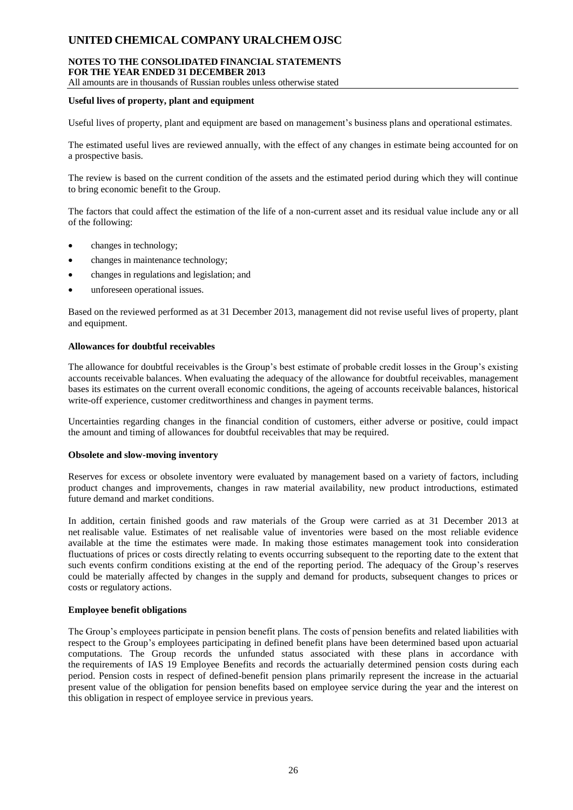### **NOTES TO THE CONSOLIDATED FINANCIAL STATEMENTS FOR THE YEAR ENDED 31 DECEMBER 2013**

All amounts are in thousands of Russian roubles unless otherwise stated

### **Useful lives of property, plant and equipment**

Useful lives of property, plant and equipment are based on management's business plans and operational estimates.

The estimated useful lives are reviewed annually, with the effect of any changes in estimate being accounted for on a prospective basis.

The review is based on the current condition of the assets and the estimated period during which they will continue to bring economic benefit to the Group.

The factors that could affect the estimation of the life of a non-current asset and its residual value include any or all of the following:

- changes in technology;
- changes in maintenance technology;
- changes in regulations and legislation; and
- unforeseen operational issues.

Based on the reviewed performed as at 31 December 2013, management did not revise useful lives of property, plant and equipment.

### **Allowances for doubtful receivables**

The allowance for doubtful receivables is the Group's best estimate of probable credit losses in the Group's existing accounts receivable balances. When evaluating the adequacy of the allowance for doubtful receivables, management bases its estimates on the current overall economic conditions, the ageing of accounts receivable balances, historical write-off experience, customer creditworthiness and changes in payment terms.

Uncertainties regarding changes in the financial condition of customers, either adverse or positive, could impact the amount and timing of allowances for doubtful receivables that may be required.

#### **Obsolete and slow-moving inventory**

Reserves for excess or obsolete inventory were evaluated by management based on a variety of factors, including product changes and improvements, changes in raw material availability, new product introductions, estimated future demand and market conditions.

In addition, certain finished goods and raw materials of the Group were carried as at 31 December 2013 at net realisable value. Estimates of net realisable value of inventories were based on the most reliable evidence available at the time the estimates were made. In making those estimates management took into consideration fluctuations of prices or costs directly relating to events occurring subsequent to the reporting date to the extent that such events confirm conditions existing at the end of the reporting period. The adequacy of the Group's reserves could be materially affected by changes in the supply and demand for products, subsequent changes to prices or costs or regulatory actions.

#### **Employee benefit obligations**

The Group's employees participate in pension benefit plans. The costs of pension benefits and related liabilities with respect to the Group's employees participating in defined benefit plans have been determined based upon actuarial computations. The Group records the unfunded status associated with these plans in accordance with the requirements of IAS 19 Employee Benefits and records the actuarially determined pension costs during each period. Pension costs in respect of defined-benefit pension plans primarily represent the increase in the actuarial present value of the obligation for pension benefits based on employee service during the year and the interest on this obligation in respect of employee service in previous years.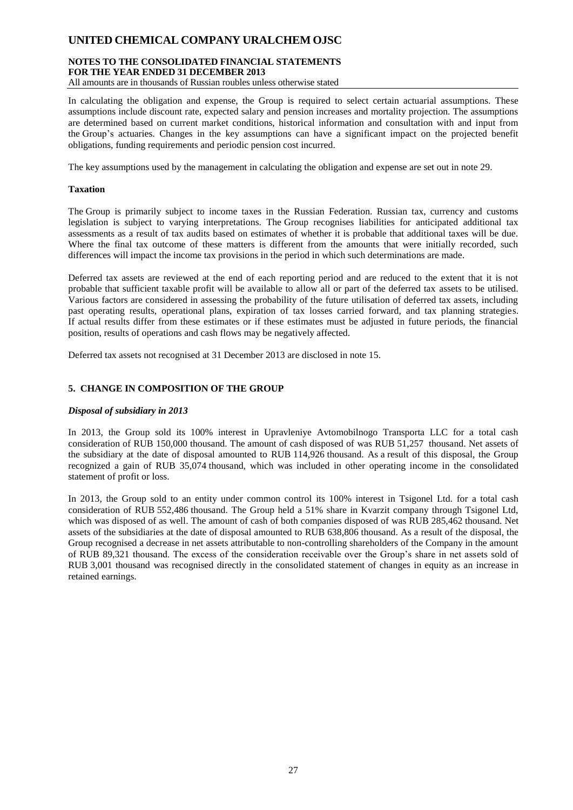#### **NOTES TO THE CONSOLIDATED FINANCIAL STATEMENTS FOR THE YEAR ENDED 31 DECEMBER 2013** All amounts are in thousands of Russian roubles unless otherwise stated

In calculating the obligation and expense, the Group is required to select certain actuarial assumptions. These assumptions include discount rate, expected salary and pension increases and mortality projection. The assumptions are determined based on current market conditions, historical information and consultation with and input from the Group's actuaries. Changes in the key assumptions can have a significant impact on the projected benefit obligations, funding requirements and periodic pension cost incurred.

The key assumptions used by the management in calculating the obligation and expense are set out in note 29.

### **Taxation**

The Group is primarily subject to income taxes in the Russian Federation. Russian tax, currency and customs legislation is subject to varying interpretations. The Group recognises liabilities for anticipated additional tax assessments as a result of tax audits based on estimates of whether it is probable that additional taxes will be due. Where the final tax outcome of these matters is different from the amounts that were initially recorded, such differences will impact the income tax provisions in the period in which such determinations are made.

Deferred tax assets are reviewed at the end of each reporting period and are reduced to the extent that it is not probable that sufficient taxable profit will be available to allow all or part of the deferred tax assets to be utilised. Various factors are considered in assessing the probability of the future utilisation of deferred tax assets, including past operating results, operational plans, expiration of tax losses carried forward, and tax planning strategies. If actual results differ from these estimates or if these estimates must be adjusted in future periods, the financial position, results of operations and cash flows may be negatively affected.

Deferred tax assets not recognised at 31 December 2013 are disclosed in note 15.

### **5. CHANGE IN COMPOSITION OF THE GROUP**

### *Disposal of subsidiary in 2013*

In 2013, the Group sold its 100% interest in Upravleniye Avtomobilnogo Transporta LLC for a total cash consideration of RUB 150,000 thousand. The amount of cash disposed of was RUB 51,257 thousand. Net assets of the subsidiary at the date of disposal amounted to RUB 114,926 thousand. As a result of this disposal, the Group recognized a gain of RUB 35,074 thousand, which was included in other operating income in the consolidated statement of profit or loss.

In 2013, the Group sold to an entity under common control its 100% interest in Tsigonel Ltd. for a total cash consideration of RUB 552,486 thousand. The Group held a 51% share in Kvarzit company through Tsigonel Ltd, which was disposed of as well. The amount of cash of both companies disposed of was RUB 285,462 thousand. Net assets of the subsidiaries at the date of disposal amounted to RUB 638,806 thousand. As a result of the disposal, the Group recognised a decrease in net assets attributable to non-controlling shareholders of the Company in the amount of RUB 89,321 thousand. The excess of the consideration receivable over the Group's share in net assets sold of RUB 3,001 thousand was recognised directly in the consolidated statement of changes in equity as an increase in retained earnings.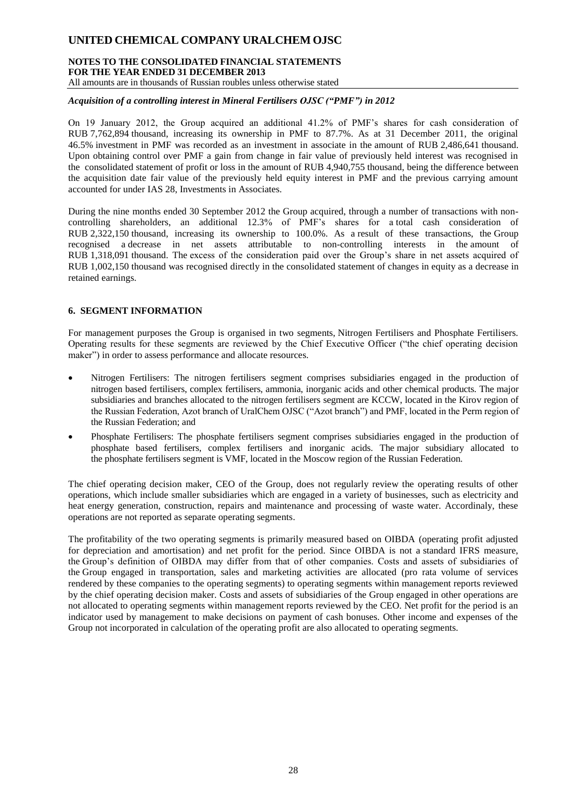# **NOTES TO THE CONSOLIDATED FINANCIAL STATEMENTS FOR THE YEAR ENDED 31 DECEMBER 2013**

### All amounts are in thousands of Russian roubles unless otherwise stated

### *Acquisition of a controlling interest in Mineral Fertilisers OJSC ("PMF") in 2012*

On 19 January 2012, the Group acquired an additional 41.2% of PMF's shares for cash consideration of RUB 7,762,894 thousand, increasing its ownership in PMF to 87.7%. As at 31 December 2011, the original 46.5% investment in PMF was recorded as an investment in associate in the amount of RUB 2,486,641 thousand. Upon obtaining control over PMF a gain from change in fair value of previously held interest was recognised in the consolidated statement of profit or loss in the amount of RUB 4,940,755 thousand, being the difference between the acquisition date fair value of the previously held equity interest in PMF and the previous carrying amount accounted for under IAS 28, Investments in Associates.

During the nine months ended 30 September 2012 the Group acquired, through a number of transactions with noncontrolling shareholders, an additional 12.3% of PMF's shares for a total cash consideration of RUB 2,322,150 thousand, increasing its ownership to 100.0%. As a result of these transactions, the Group recognised a decrease in net assets attributable to non-controlling interests in the amount of RUB 1,318,091 thousand. The excess of the consideration paid over the Group's share in net assets acquired of RUB 1,002,150 thousand was recognised directly in the consolidated statement of changes in equity as a decrease in retained earnings.

### **6. SEGMENT INFORMATION**

For management purposes the Group is organised in two segments, Nitrogen Fertilisers and Phosphate Fertilisers. Operating results for these segments are reviewed by the Chief Executive Officer ("the chief operating decision maker") in order to assess performance and allocate resources.

- Nitrogen Fertilisers: The nitrogen fertilisers segment comprises subsidiaries engaged in the production of nitrogen based fertilisers, complex fertilisers, ammonia, inorganic acids and other chemical products. The major subsidiaries and branches allocated to the nitrogen fertilisers segment are KCCW, located in the Kirov region of the Russian Federation, Azot branch of UralChem OJSC ("Azot branch") and PMF, located in the Perm region of the Russian Federation; and
- Phosphate Fertilisers: The phosphate fertilisers segment comprises subsidiaries engaged in the production of phosphate based fertilisers, complex fertilisers and inorganic acids. The major subsidiary allocated to the phosphate fertilisers segment is VMF, located in the Moscow region of the Russian Federation.

The chief operating decision maker, CEO of the Group, does not regularly review the operating results of other operations, which include smaller subsidiaries which are engaged in a variety of businesses, such as electricity and heat energy generation, construction, repairs and maintenance and processing of waste water. Accordinaly, these operations are not reported as separate operating segments.

The profitability of the two operating segments is primarily measured based on OIBDA (operating profit adjusted for depreciation and amortisation) and net profit for the period. Since OIBDA is not a standard IFRS measure, the Group's definition of OIBDA may differ from that of other companies. Costs and assets of subsidiaries of the Group engaged in transportation, sales and marketing activities are allocated (pro rata volume of services rendered by these companies to the operating segments) to operating segments within management reports reviewed by the chief operating decision maker. Costs and assets of subsidiaries of the Group engaged in other operations are not allocated to operating segments within management reports reviewed by the CEO. Net profit for the period is an indicator used by management to make decisions on payment of cash bonuses. Other income and expenses of the Group not incorporated in calculation of the operating profit are also allocated to operating segments.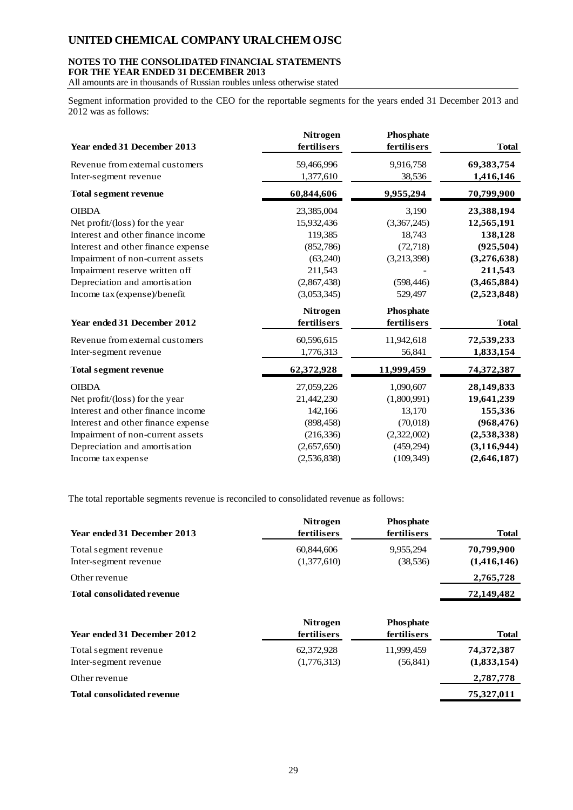# **NOTES TO THE CONSOLIDATED FINANCIAL STATEMENTS FOR THE YEAR ENDED 31 DECEMBER 2013**

All amounts are in thousands of Russian roubles unless otherwise stated

Segment information provided to the CEO for the reportable segments for the years ended 31 December 2013 and 2012 was as follows:

| Year ended 31 December 2013        | <b>Nitrogen</b><br>fertilisers | <b>Phosphate</b><br>fertilisers | <b>Total</b>  |
|------------------------------------|--------------------------------|---------------------------------|---------------|
| Revenue from external customers    | 59,466,996                     | 9,916,758                       | 69,383,754    |
| Inter-segment revenue              | 1,377,610                      | 38,536                          | 1,416,146     |
| <b>Total segment revenue</b>       | 60,844,606                     | 9,955,294                       | 70,799,900    |
| <b>OIBDA</b>                       | 23,385,004                     | 3,190                           | 23,388,194    |
| Net profit/(loss) for the year     | 15,932,436                     | (3,367,245)                     | 12,565,191    |
| Interest and other finance income  | 119,385                        | 18,743                          | 138,128       |
| Interest and other finance expense | (852,786)                      | (72, 718)                       | (925, 504)    |
| Impairment of non-current assets   | (63,240)                       | (3,213,398)                     | (3,276,638)   |
| Impairment reserve written off     | 211,543                        |                                 | 211,543       |
| Depreciation and amortisation      | (2,867,438)                    | (598, 446)                      | (3,465,884)   |
| Income tax (expense)/benefit       | (3,053,345)                    | 529,497                         | (2,523,848)   |
|                                    | <b>Nitrogen</b>                | <b>Phosphate</b>                |               |
| Year ended 31 December 2012        | fertilisers                    | fertilisers                     | <b>Total</b>  |
| Revenue from external customers    | 60,596,615                     | 11,942,618                      | 72,539,233    |
| Inter-segment revenue              | 1,776,313                      | 56,841                          | 1,833,154     |
| <b>Total segment revenue</b>       | 62,372,928                     | 11,999,459                      | 74,372,387    |
| <b>OIBDA</b>                       | 27,059,226                     | 1,090,607                       | 28,149,833    |
| Net profit/(loss) for the year     | 21,442,230                     | (1,800,991)                     | 19,641,239    |
| Interest and other finance income  | 142,166                        | 13,170                          | 155,336       |
| Interest and other finance expense | (898, 458)                     | (70,018)                        | (968, 476)    |
| Impairment of non-current assets   | (216, 336)                     | (2,322,002)                     | (2,538,338)   |
| Depreciation and amortisation      | (2,657,650)                    | (459, 294)                      | (3, 116, 944) |
| Income tax expense                 | (2,536,838)                    | (109, 349)                      | (2,646,187)   |

The total reportable segments revenue is reconciled to consolidated revenue as follows:

| <b>Nitrogen</b><br>fertilisers | <b>Phosphate</b><br>fertilisers | <b>Total</b> |
|--------------------------------|---------------------------------|--------------|
| 60,844,606                     | 9,955,294                       | 70,799,900   |
| (1,377,610)                    | (38, 536)                       | (1,416,146)  |
|                                |                                 | 2,765,728    |
|                                |                                 | 72,149,482   |
|                                |                                 |              |

|                                   | <b>Nitrogen</b> | <b>Phosphate</b> |              |
|-----------------------------------|-----------------|------------------|--------------|
| Year ended 31 December 2012       | fertilisers     | fertilisers      | <b>Total</b> |
| Total segment revenue             | 62,372,928      | 11,999,459       | 74,372,387   |
| Inter-segment revenue             | (1,776,313)     | (56, 841)        | (1,833,154)  |
| Other revenue                     |                 |                  | 2,787,778    |
| <b>Total consolidated revenue</b> |                 |                  | 75,327,011   |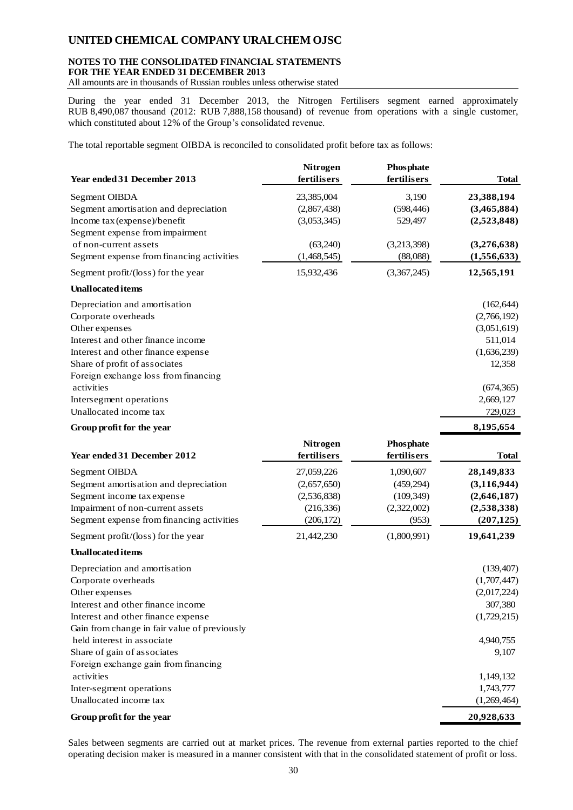### **NOTES TO THE CONSOLIDATED FINANCIAL STATEMENTS FOR THE YEAR ENDED 31 DECEMBER 2013**

All amounts are in thousands of Russian roubles unless otherwise stated

During the year ended 31 December 2013, the Nitrogen Fertilisers segment earned approximately RUB 8,490,087 thousand (2012: RUB 7,888,158 thousand) of revenue from operations with a single customer, which constituted about 12% of the Group's consolidated revenue.

The total reportable segment OIBDA is reconciled to consolidated profit before tax as follows:

| Year ended 31 December 2013                  | <b>Nitrogen</b><br>fertilisers | <b>Phosphate</b><br>fertilisers | <b>Total</b>  |
|----------------------------------------------|--------------------------------|---------------------------------|---------------|
| Segment OIBDA                                | 23,385,004                     | 3,190                           | 23,388,194    |
| Segment amortisation and depreciation        | (2,867,438)                    | (598, 446)                      | (3,465,884)   |
| Income tax (expense)/benefit                 | (3,053,345)                    | 529,497                         | (2,523,848)   |
| Segment expense from impairment              |                                |                                 |               |
| of non-current assets                        | (63,240)                       | (3,213,398)                     | (3,276,638)   |
| Segment expense from financing activities    | (1,468,545)                    | (88,088)                        | (1,556,633)   |
| Segment profit/(loss) for the year           | 15,932,436                     | (3,367,245)                     | 12,565,191    |
| <b>Unallocated items</b>                     |                                |                                 |               |
| Depreciation and amortisation                |                                |                                 | (162, 644)    |
| Corporate overheads                          |                                |                                 | (2,766,192)   |
| Other expenses                               |                                |                                 | (3,051,619)   |
| Interest and other finance income            |                                |                                 | 511,014       |
| Interest and other finance expense           |                                |                                 | (1,636,239)   |
| Share of profit of associates                |                                |                                 | 12,358        |
| Foreign exchange loss from financing         |                                |                                 |               |
| activities                                   |                                |                                 | (674, 365)    |
| Intersegment operations                      |                                |                                 | 2,669,127     |
| Unallocated income tax                       |                                |                                 | 729,023       |
| Group profit for the year                    |                                |                                 | 8,195,654     |
|                                              | <b>Nitrogen</b>                | <b>Phosphate</b>                |               |
| Year ended 31 December 2012                  | fertilisers                    | fertilisers                     | <b>Total</b>  |
| Segment OIBDA                                | 27,059,226                     | 1,090,607                       | 28,149,833    |
| Segment amortisation and depreciation        | (2,657,650)                    | (459, 294)                      | (3, 116, 944) |
| Segment income tax expense                   | (2,536,838)                    | (109, 349)                      | (2,646,187)   |
| Impairment of non-current assets             | (216, 336)                     | (2,322,002)                     | (2,538,338)   |
| Segment expense from financing activities    | (206, 172)                     | (953)                           | (207, 125)    |
| Segment profit/(loss) for the year           | 21,442,230                     | (1,800,991)                     | 19,641,239    |
| <b>Unallocated items</b>                     |                                |                                 |               |
| Depreciation and amortisation                |                                |                                 | (139, 407)    |
| Corporate overheads                          |                                |                                 | (1,707,447)   |
| Other expenses                               |                                |                                 | (2,017,224)   |
| Interest and other finance income            |                                |                                 | 307,380       |
| Interest and other finance expense           |                                |                                 | (1,729,215)   |
| Gain from change in fair value of previously |                                |                                 |               |
| held interest in associate                   |                                |                                 | 4,940,755     |
| Share of gain of associates                  |                                |                                 | 9,107         |
| Foreign exchange gain from financing         |                                |                                 |               |
| activities                                   |                                |                                 | 1,149,132     |
| Inter-segment operations                     |                                |                                 | 1,743,777     |
| Unallocated income tax                       |                                |                                 | (1,269,464)   |
| Group profit for the year                    |                                |                                 | 20,928,633    |

Sales between segments are carried out at market prices. The revenue from external parties reported to the chief operating decision maker is measured in a manner consistent with that in the consolidated statement of profit or loss.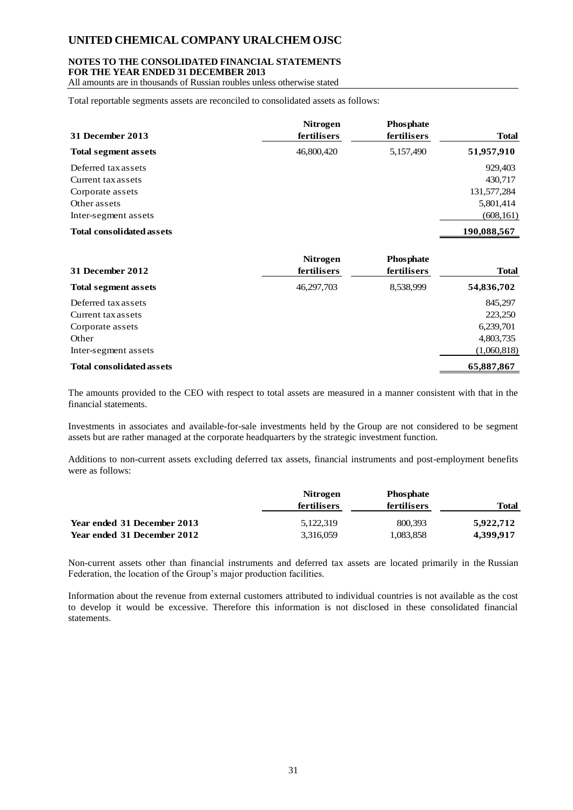### **NOTES TO THE CONSOLIDATED FINANCIAL STATEMENTS FOR THE YEAR ENDED 31 DECEMBER 2013**

All amounts are in thousands of Russian roubles unless otherwise stated

Total reportable segments assets are reconciled to consolidated assets as follows:

| 31 December 2013                 | <b>Nitrogen</b><br>fertilisers | <b>Phosphate</b><br>fertilisers | <b>Total</b> |
|----------------------------------|--------------------------------|---------------------------------|--------------|
| <b>Total segment assets</b>      | 46,800,420                     | 5,157,490                       | 51,957,910   |
| Deferred tax assets              |                                |                                 | 929,403      |
| Current tax assets               |                                |                                 | 430,717      |
| Corporate assets                 |                                |                                 | 131,577,284  |
| Other assets                     |                                |                                 | 5,801,414    |
| Inter-segment assets             |                                |                                 | (608, 161)   |
| <b>Total consolidated assets</b> |                                |                                 | 190,088,567  |

| 31 December 2012                 | <b>Nitrogen</b><br>fertilisers | <b>Phosphate</b><br>fertilisers | <b>Total</b> |
|----------------------------------|--------------------------------|---------------------------------|--------------|
| <b>Total segment assets</b>      | 46,297,703                     | 8,538,999                       | 54,836,702   |
| Deferred tax assets              |                                |                                 | 845,297      |
| Current tax assets               |                                |                                 | 223,250      |
| Corporate assets                 |                                |                                 | 6,239,701    |
| Other                            |                                |                                 | 4,803,735    |
| Inter-segment assets             |                                |                                 | (1,060,818)  |
| <b>Total consolidated assets</b> |                                |                                 | 65,887,867   |

The amounts provided to the CEO with respect to total assets are measured in a manner consistent with that in the financial statements.

Investments in associates and available-for-sale investments held by the Group are not considered to be segment assets but are rather managed at the corporate headquarters by the strategic investment function.

Additions to non-current assets excluding deferred tax assets, financial instruments and post-employment benefits were as follows:

|                             | <b>Nitrogen</b> | <b>Phosphate</b> |              |
|-----------------------------|-----------------|------------------|--------------|
|                             | fertilisers     | fertilisers      | <b>Total</b> |
| Year ended 31 December 2013 | 5.122.319       | 800.393          | 5,922,712    |
| Year ended 31 December 2012 | 3,316,059       | 1,083,858        | 4,399,917    |

Non-current assets other than financial instruments and deferred tax assets are located primarily in the Russian Federation, the location of the Group's major production facilities.

Information about the revenue from external customers attributed to individual countries is not available as the cost to develop it would be excessive. Therefore this information is not disclosed in these consolidated financial statements.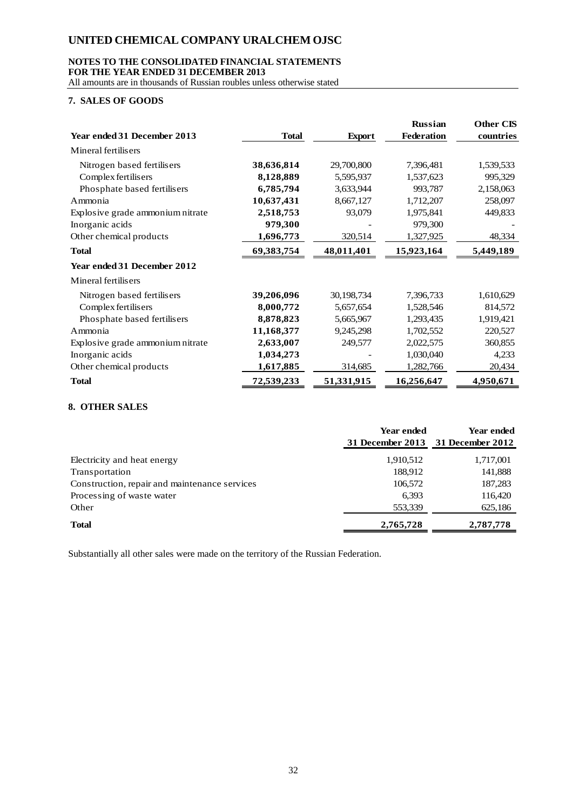# **NOTES TO THE CONSOLIDATED FINANCIAL STATEMENTS FOR THE YEAR ENDED 31 DECEMBER 2013**

All amounts are in thousands of Russian roubles unless otherwise stated

### **7. SALES OF GOODS**

|                                  |              |               | <b>Russian</b>    | <b>Other CIS</b> |
|----------------------------------|--------------|---------------|-------------------|------------------|
| Year ended 31 December 2013      | <b>Total</b> | <b>Export</b> | <b>Federation</b> | countries        |
| Mineral fertilisers              |              |               |                   |                  |
| Nitrogen based fertilisers       | 38,636,814   | 29,700,800    | 7,396,481         | 1,539,533        |
| Complex fertilisers              | 8,128,889    | 5,595,937     | 1,537,623         | 995,329          |
| Phosphate based fertilisers      | 6,785,794    | 3,633,944     | 993,787           | 2,158,063        |
| Ammonia                          | 10,637,431   | 8,667,127     | 1,712,207         | 258,097          |
| Explosive grade ammonium nitrate | 2,518,753    | 93,079        | 1,975,841         | 449,833          |
| Inorganic acids                  | 979,300      |               | 979,300           |                  |
| Other chemical products          | 1,696,773    | 320,514       | 1,327,925         | 48,334           |
| <b>Total</b>                     | 69,383,754   | 48,011,401    | 15,923,164        | 5,449,189        |
| Year ended 31 December 2012      |              |               |                   |                  |
| Mineral fertilisers              |              |               |                   |                  |
| Nitrogen based fertilisers       | 39,206,096   | 30,198,734    | 7,396,733         | 1,610,629        |
| Complex fertilisers              | 8,000,772    | 5,657,654     | 1,528,546         | 814,572          |
| Phosphate based fertilisers      | 8,878,823    | 5,665,967     | 1,293,435         | 1,919,421        |
| Ammonia                          | 11,168,377   | 9,245,298     | 1,702,552         | 220,527          |
| Explosive grade ammonium nitrate | 2,633,007    | 249,577       | 2,022,575         | 360,855          |
| Inorganic acids                  | 1,034,273    |               | 1,030,040         | 4,233            |
| Other chemical products          | 1,617,885    | 314,685       | 1,282,766         | 20,434           |
| <b>Total</b>                     | 72,539,233   | 51,331,915    | 16,256,647        | 4,950,671        |

### **8. OTHER SALES**

|                                               | Year ended<br>31 December 2013 | Year ended<br>31 December 2012 |
|-----------------------------------------------|--------------------------------|--------------------------------|
| Electricity and heat energy                   | 1,910,512                      | 1,717,001                      |
| Transportation                                | 188,912                        | 141,888                        |
| Construction, repair and maintenance services | 106,572                        | 187,283                        |
| Processing of waste water                     | 6,393                          | 116,420                        |
| Other                                         | 553,339                        | 625,186                        |
| <b>Total</b>                                  | 2,765,728                      | 2,787,778                      |

Substantially all other sales were made on the territory of the Russian Federation.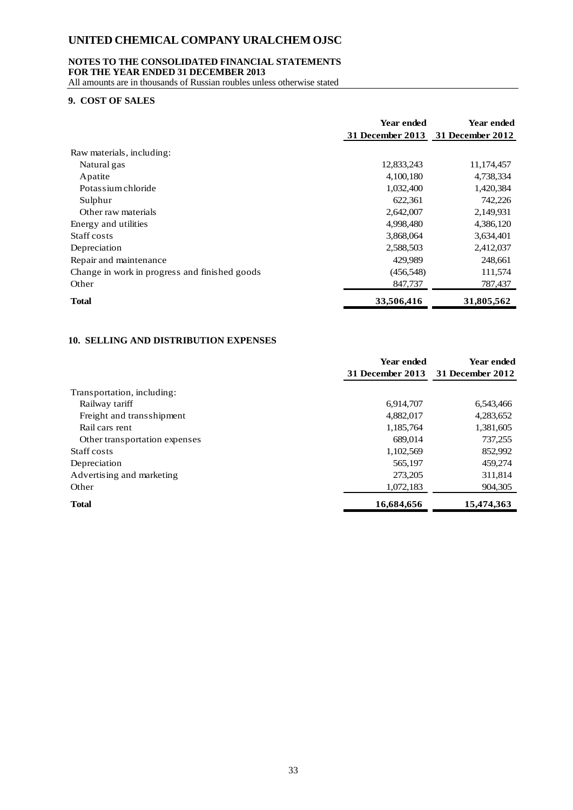# **NOTES TO THE CONSOLIDATED FINANCIAL STATEMENTS FOR THE YEAR ENDED 31 DECEMBER 2013**

All amounts are in thousands of Russian roubles unless otherwise stated

### **9. COST OF SALES**

|                                               | Year ended<br>31 December 2013 | Year ended<br>31 December 2012 |
|-----------------------------------------------|--------------------------------|--------------------------------|
| Raw materials, including:                     |                                |                                |
| Natural gas                                   | 12,833,243                     | 11,174,457                     |
| Apatite                                       | 4,100,180                      | 4,738,334                      |
| Potas sium chloride                           | 1,032,400                      | 1,420,384                      |
| Sulphur                                       | 622,361                        | 742,226                        |
| Other raw materials                           | 2,642,007                      | 2,149,931                      |
| Energy and utilities                          | 4,998,480                      | 4,386,120                      |
| Staff costs                                   | 3,868,064                      | 3,634,401                      |
| Depreciation                                  | 2,588,503                      | 2,412,037                      |
| Repair and maintenance                        | 429,989                        | 248,661                        |
| Change in work in progress and finished goods | (456,548)                      | 111,574                        |
| Other                                         | 847,737                        | 787,437                        |
| <b>Total</b>                                  | 33,506,416                     | 31,805,562                     |

### **10. SELLING AND DISTRIBUTION EXPENSES**

|                               | Year ended       | Year ended       |
|-------------------------------|------------------|------------------|
|                               | 31 December 2013 | 31 December 2012 |
| Transportation, including:    |                  |                  |
| Railway tariff                | 6,914,707        | 6,543,466        |
| Freight and transshipment     | 4,882,017        | 4,283,652        |
| Rail cars rent                | 1,185,764        | 1,381,605        |
| Other transportation expenses | 689,014          | 737,255          |
| Staff costs                   | 1,102,569        | 852,992          |
| Depreciation                  | 565,197          | 459,274          |
| Advertising and marketing     | 273,205          | 311,814          |
| Other                         | 1,072,183        | 904,305          |
| <b>Total</b>                  | 16,684,656       | 15,474,363       |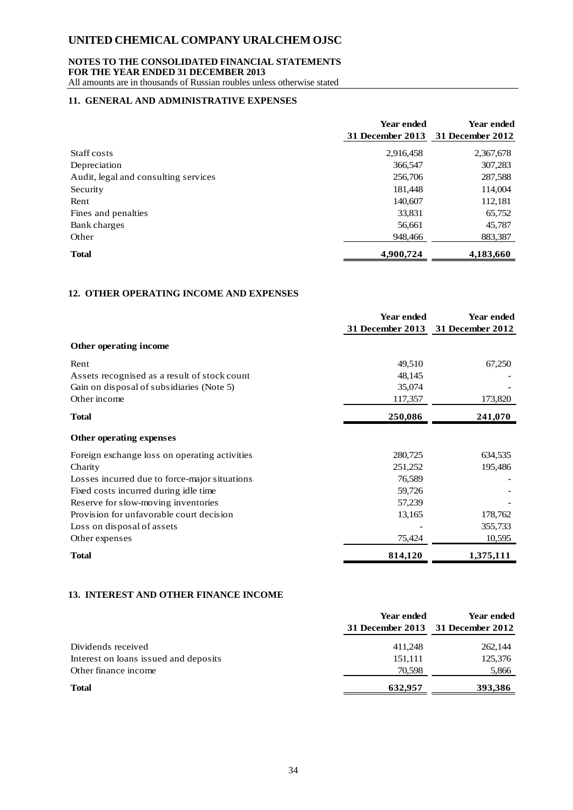# **NOTES TO THE CONSOLIDATED FINANCIAL STATEMENTS FOR THE YEAR ENDED 31 DECEMBER 2013**

All amounts are in thousands of Russian roubles unless otherwise stated

### **11. GENERAL AND ADMINISTRATIVE EXPENSES**

|                                      | Year ended       | Year ended       |
|--------------------------------------|------------------|------------------|
|                                      | 31 December 2013 | 31 December 2012 |
| Staff costs                          | 2,916,458        | 2,367,678        |
| Depreciation                         | 366,547          | 307,283          |
| Audit, legal and consulting services | 256,706          | 287,588          |
| Security                             | 181,448          | 114,004          |
| Rent                                 | 140,607          | 112,181          |
| Fines and penalties                  | 33,831           | 65,752           |
| Bank charges                         | 56,661           | 45,787           |
| Other                                | 948,466          | 883,387          |
| <b>Total</b>                         | 4,900,724        | 4,183,660        |

### **12. OTHER OPERATING INCOME AND EXPENSES**

|                                               | Year ended       | Year ended       |
|-----------------------------------------------|------------------|------------------|
|                                               | 31 December 2013 | 31 December 2012 |
| Other operating income                        |                  |                  |
| Rent                                          | 49,510           | 67,250           |
| Assets recognised as a result of stock count  | 48,145           |                  |
| Gain on disposal of subsidiaries (Note 5)     | 35,074           |                  |
| Other income                                  | 117,357          | 173,820          |
| <b>Total</b>                                  | 250,086          | 241,070          |
| Other operating expenses                      |                  |                  |
| Foreign exchange loss on operating activities | 280,725          | 634,535          |
| Charity                                       | 251,252          | 195,486          |
| Losses incurred due to force-major situations | 76,589           |                  |
| Fixed costs incurred during idle time         | 59,726           |                  |
| Reserve for slow-moving inventories           | 57,239           |                  |
| Provision for unfavorable court decision      | 13,165           | 178,762          |
| Loss on disposal of assets                    |                  | 355,733          |
| Other expenses                                | 75,424           | 10,595           |
| <b>Total</b>                                  | 814,120          | 1,375,111        |

### **13. INTEREST AND OTHER FINANCE INCOME**

|                                       | Year ended | Year ended                        |
|---------------------------------------|------------|-----------------------------------|
|                                       |            | 31 December 2013 31 December 2012 |
| Dividends received                    | 411,248    | 262,144                           |
| Interest on loans issued and deposits | 151,111    | 125,376                           |
| Other finance income                  | 70,598     | 5,866                             |
| <b>Total</b>                          | 632,957    | 393,386                           |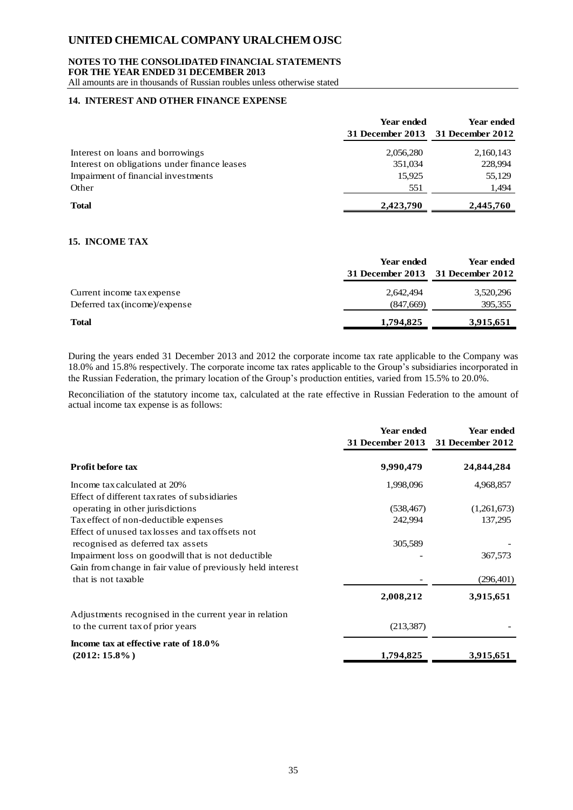#### **NOTES TO THE CONSOLIDATED FINANCIAL STATEMENTS FOR THE YEAR ENDED 31 DECEMBER 2013** All amounts are in thousands of Russian roubles unless otherwise stated

# **14. INTEREST AND OTHER FINANCE EXPENSE**

|                                              | Year ended | Year ended<br>31 December 2013 31 December 2012 |
|----------------------------------------------|------------|-------------------------------------------------|
| Interest on loans and borrowings             | 2,056,280  | 2,160,143                                       |
| Interest on obligations under finance leases | 351,034    | 228,994                                         |
| Impairment of financial investments          | 15.925     | 55,129                                          |
| Other                                        | 551        | 1,494                                           |
| <b>Total</b>                                 | 2,423,790  | 2,445,760                                       |

### **15. INCOME TAX**

|                               | Year ended | Year ended                        |
|-------------------------------|------------|-----------------------------------|
|                               |            | 31 December 2013 31 December 2012 |
| Current income tax expense    | 2,642,494  | 3,520,296                         |
| Deferred tax (income)/expense | (847,669)  | 395,355                           |
| <b>Total</b>                  | 1,794,825  | 3,915,651                         |

During the years ended 31 December 2013 and 2012 the corporate income tax rate applicable to the Company was 18.0% and 15.8% respectively. The corporate income tax rates applicable to the Group's subsidiaries incorporated in the Russian Federation, the primary location of the Group's production entities, varied from 15.5% to 20.0%.

Reconciliation of the statutory income tax, calculated at the rate effective in Russian Federation to the amount of actual income tax expense is as follows:

|                                                            | <b>Year ended</b><br><b>31 December 2013</b> | Year ended<br>31 December 2012 |
|------------------------------------------------------------|----------------------------------------------|--------------------------------|
| <b>Profit before tax</b>                                   | 9,990,479                                    | 24,844,284                     |
| Income tax calculated at 20%                               | 1,998,096                                    | 4,968,857                      |
| Effect of different tax rates of subsidiaries              |                                              |                                |
| operating in other jurisdictions                           | (538, 467)                                   | (1,261,673)                    |
| Tax effect of non-deductible expenses                      | 242,994                                      | 137,295                        |
| Effect of unused tax losses and tax offsets not            |                                              |                                |
| recognised as deferred tax assets                          | 305,589                                      |                                |
| Impairment loss on goodwill that is not deductible         |                                              | 367,573                        |
| Gain from change in fair value of previously held interest |                                              |                                |
| that is not taxable                                        |                                              | (296, 401)                     |
|                                                            | 2,008,212                                    | 3,915,651                      |
| Adjustments recognised in the current year in relation     |                                              |                                |
| to the current tax of prior years                          | (213, 387)                                   |                                |
| Income tax at effective rate of 18.0%                      |                                              |                                |
| $(2012:15.8\%)$                                            | 1,794,825                                    | 3,915,651                      |
|                                                            |                                              |                                |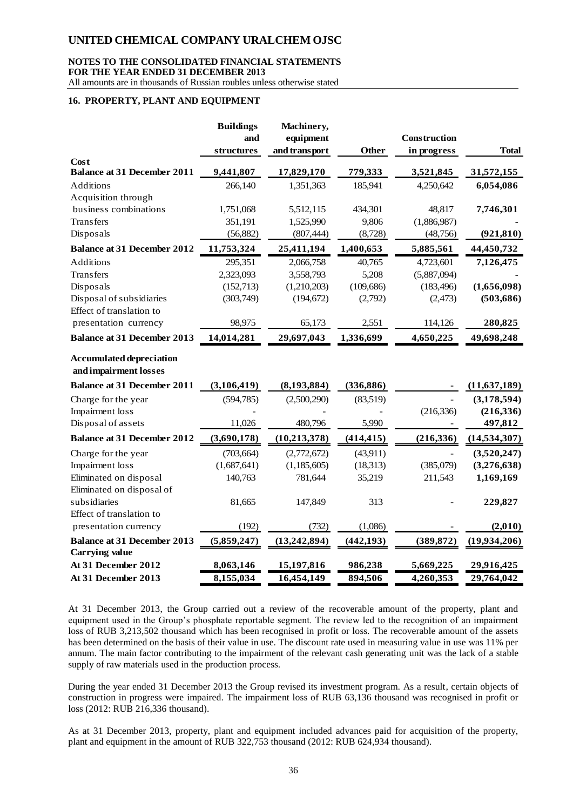### **NOTES TO THE CONSOLIDATED FINANCIAL STATEMENTS FOR THE YEAR ENDED 31 DECEMBER 2013**

All amounts are in thousands of Russian roubles unless otherwise stated

### **16. PROPERTY, PLANT AND EQUIPMENT**

|                                                                                                                                                                                                                                                                                                                                                                                                                                                                                                                                                                                                                                                                                                                                                                                                                                                                                                                                      | <b>Buildings</b>          | Machinery,     |            |              |                            |
|--------------------------------------------------------------------------------------------------------------------------------------------------------------------------------------------------------------------------------------------------------------------------------------------------------------------------------------------------------------------------------------------------------------------------------------------------------------------------------------------------------------------------------------------------------------------------------------------------------------------------------------------------------------------------------------------------------------------------------------------------------------------------------------------------------------------------------------------------------------------------------------------------------------------------------------|---------------------------|----------------|------------|--------------|----------------------------|
|                                                                                                                                                                                                                                                                                                                                                                                                                                                                                                                                                                                                                                                                                                                                                                                                                                                                                                                                      | and                       | equipment      |            | Construction |                            |
|                                                                                                                                                                                                                                                                                                                                                                                                                                                                                                                                                                                                                                                                                                                                                                                                                                                                                                                                      | structures                | and transport  | Other      | in progress  | <b>Total</b>               |
| Cost                                                                                                                                                                                                                                                                                                                                                                                                                                                                                                                                                                                                                                                                                                                                                                                                                                                                                                                                 |                           |                |            |              |                            |
| <b>Balance at 31 December 2011</b>                                                                                                                                                                                                                                                                                                                                                                                                                                                                                                                                                                                                                                                                                                                                                                                                                                                                                                   | 9,441,807                 | 17,829,170     | 779,333    | 3,521,845    | 31,572,155                 |
| <b>Additions</b>                                                                                                                                                                                                                                                                                                                                                                                                                                                                                                                                                                                                                                                                                                                                                                                                                                                                                                                     | 266,140                   | 1,351,363      | 185,941    | 4,250,642    | 6,054,086                  |
| Acquisition through                                                                                                                                                                                                                                                                                                                                                                                                                                                                                                                                                                                                                                                                                                                                                                                                                                                                                                                  |                           |                |            |              |                            |
| business combinations                                                                                                                                                                                                                                                                                                                                                                                                                                                                                                                                                                                                                                                                                                                                                                                                                                                                                                                | 1,751,068                 | 5,512,115      | 434,301    | 48,817       | 7,746,301                  |
| <b>Transfers</b>                                                                                                                                                                                                                                                                                                                                                                                                                                                                                                                                                                                                                                                                                                                                                                                                                                                                                                                     | 351,191                   | 1,525,990      | 9,806      | (1,886,987)  |                            |
| Disposals                                                                                                                                                                                                                                                                                                                                                                                                                                                                                                                                                                                                                                                                                                                                                                                                                                                                                                                            | (56, 882)                 | (807, 444)     | (8,728)    | (48,756)     | (921, 810)                 |
| <b>Balance at 31 December 2012</b>                                                                                                                                                                                                                                                                                                                                                                                                                                                                                                                                                                                                                                                                                                                                                                                                                                                                                                   | 11,753,324                | 25,411,194     | 1,400,653  | 5,885,561    | 44,450,732                 |
| Additions                                                                                                                                                                                                                                                                                                                                                                                                                                                                                                                                                                                                                                                                                                                                                                                                                                                                                                                            | 295,351                   | 2,066,758      | 40,765     | 4,723,601    | 7,126,475                  |
| <b>Transfers</b>                                                                                                                                                                                                                                                                                                                                                                                                                                                                                                                                                                                                                                                                                                                                                                                                                                                                                                                     | 2,323,093                 | 3,558,793      | 5,208      | (5,887,094)  |                            |
| Disposals                                                                                                                                                                                                                                                                                                                                                                                                                                                                                                                                                                                                                                                                                                                                                                                                                                                                                                                            | (152, 713)                | (1,210,203)    | (109, 686) | (183, 496)   | (1,656,098)                |
| Disposal of subsidiaries                                                                                                                                                                                                                                                                                                                                                                                                                                                                                                                                                                                                                                                                                                                                                                                                                                                                                                             | (303,749)                 | (194, 672)     | (2,792)    | (2,473)      | (503, 686)                 |
| Effect of translation to                                                                                                                                                                                                                                                                                                                                                                                                                                                                                                                                                                                                                                                                                                                                                                                                                                                                                                             |                           |                |            |              |                            |
| presentation currency                                                                                                                                                                                                                                                                                                                                                                                                                                                                                                                                                                                                                                                                                                                                                                                                                                                                                                                | 98,975                    | 65,173         | 2,551      | 114,126      | 280,825                    |
| <b>Balance at 31 December 2013</b>                                                                                                                                                                                                                                                                                                                                                                                                                                                                                                                                                                                                                                                                                                                                                                                                                                                                                                   | 14,014,281                | 29,697,043     | 1,336,699  | 4,650,225    | 49,698,248                 |
|                                                                                                                                                                                                                                                                                                                                                                                                                                                                                                                                                                                                                                                                                                                                                                                                                                                                                                                                      |                           |                |            |              |                            |
| <b>Accumulated depreciation</b>                                                                                                                                                                                                                                                                                                                                                                                                                                                                                                                                                                                                                                                                                                                                                                                                                                                                                                      |                           |                |            |              |                            |
| and impairment losses                                                                                                                                                                                                                                                                                                                                                                                                                                                                                                                                                                                                                                                                                                                                                                                                                                                                                                                |                           |                |            |              |                            |
| <b>Balance at 31 December 2011</b>                                                                                                                                                                                                                                                                                                                                                                                                                                                                                                                                                                                                                                                                                                                                                                                                                                                                                                   | (3,106,419)               | (8, 193, 884)  | (336, 886) |              | (11,637,189)               |
| Charge for the year                                                                                                                                                                                                                                                                                                                                                                                                                                                                                                                                                                                                                                                                                                                                                                                                                                                                                                                  | (594, 785)                | (2,500,290)    | (83,519)   |              | (3, 178, 594)              |
| Impairment loss                                                                                                                                                                                                                                                                                                                                                                                                                                                                                                                                                                                                                                                                                                                                                                                                                                                                                                                      |                           |                |            | (216, 336)   | (216, 336)                 |
| Disposal of assets                                                                                                                                                                                                                                                                                                                                                                                                                                                                                                                                                                                                                                                                                                                                                                                                                                                                                                                   | 11,026                    | 480,796        | 5,990      |              | 497,812                    |
| <b>Balance at 31 December 2012</b>                                                                                                                                                                                                                                                                                                                                                                                                                                                                                                                                                                                                                                                                                                                                                                                                                                                                                                   | (3,690,178)               | (10, 213, 378) | (414, 415) | (216, 336)   | (14, 534, 307)             |
|                                                                                                                                                                                                                                                                                                                                                                                                                                                                                                                                                                                                                                                                                                                                                                                                                                                                                                                                      |                           |                |            |              |                            |
| Charge for the year<br>Impairment loss                                                                                                                                                                                                                                                                                                                                                                                                                                                                                                                                                                                                                                                                                                                                                                                                                                                                                               | (703, 664)<br>(1,687,641) | (2,772,672)    | (43,911)   | (385,079)    | (3,520,247)<br>(3,276,638) |
|                                                                                                                                                                                                                                                                                                                                                                                                                                                                                                                                                                                                                                                                                                                                                                                                                                                                                                                                      |                           | (1,185,605)    | (18, 313)  |              |                            |
| Eliminated on disposal                                                                                                                                                                                                                                                                                                                                                                                                                                                                                                                                                                                                                                                                                                                                                                                                                                                                                                               | 140,763                   | 781,644        | 35,219     | 211,543      | 1,169,169                  |
| Eliminated on disposal of<br>subsidiaries                                                                                                                                                                                                                                                                                                                                                                                                                                                                                                                                                                                                                                                                                                                                                                                                                                                                                            |                           |                |            |              |                            |
|                                                                                                                                                                                                                                                                                                                                                                                                                                                                                                                                                                                                                                                                                                                                                                                                                                                                                                                                      | 81,665                    | 147,849        | 313        |              | 229,827                    |
| Effect of translation to                                                                                                                                                                                                                                                                                                                                                                                                                                                                                                                                                                                                                                                                                                                                                                                                                                                                                                             | (192)                     | (732)          | (1,086)    |              | (2,010)                    |
| presentation currency                                                                                                                                                                                                                                                                                                                                                                                                                                                                                                                                                                                                                                                                                                                                                                                                                                                                                                                |                           |                |            |              |                            |
| <b>Balance at 31 December 2013</b>                                                                                                                                                                                                                                                                                                                                                                                                                                                                                                                                                                                                                                                                                                                                                                                                                                                                                                   | (5,859,247)               | (13,242,894)   | (442, 193) | (389, 872)   | (19,934,206)               |
| <b>Carrying value</b>                                                                                                                                                                                                                                                                                                                                                                                                                                                                                                                                                                                                                                                                                                                                                                                                                                                                                                                |                           |                |            |              |                            |
| At 31 December 2012                                                                                                                                                                                                                                                                                                                                                                                                                                                                                                                                                                                                                                                                                                                                                                                                                                                                                                                  | 8,063,146                 | 15,197,816     | 986,238    | 5,669,225    | 29,916,425                 |
| At 31 December 2013                                                                                                                                                                                                                                                                                                                                                                                                                                                                                                                                                                                                                                                                                                                                                                                                                                                                                                                  | 8,155,034                 | 16,454,149     | 894,506    | 4,260,353    | 29,764,042                 |
| At 31 December 2013, the Group carried out a review of the recoverable amount of the property, plant and<br>equipment used in the Group's phosphate reportable segment. The review led to the recognition of an impairment<br>loss of RUB 3,213,502 thousand which has been recognised in profit or loss. The recoverable amount of the assets<br>has been determined on the basis of their value in use. The discount rate used in measuring value in use was 11% per<br>annum. The main factor contributing to the impairment of the relevant cash generating unit was the lack of a stable<br>supply of raw materials used in the production process.<br>During the year ended 31 December 2013 the Group revised its investment program. As a result, certain objects of<br>construction in progress were impaired. The impairment loss of RUB 63,136 thousand was recognised in profit or<br>loss (2012: RUB 216,336 thousand). |                           |                |            |              |                            |
| As at 31 December 2013, property, plant and equipment included advances paid for acquisition of the property,<br>plant and equipment in the amount of RUB 322,753 thousand (2012: RUB 624,934 thousand).                                                                                                                                                                                                                                                                                                                                                                                                                                                                                                                                                                                                                                                                                                                             |                           |                |            |              |                            |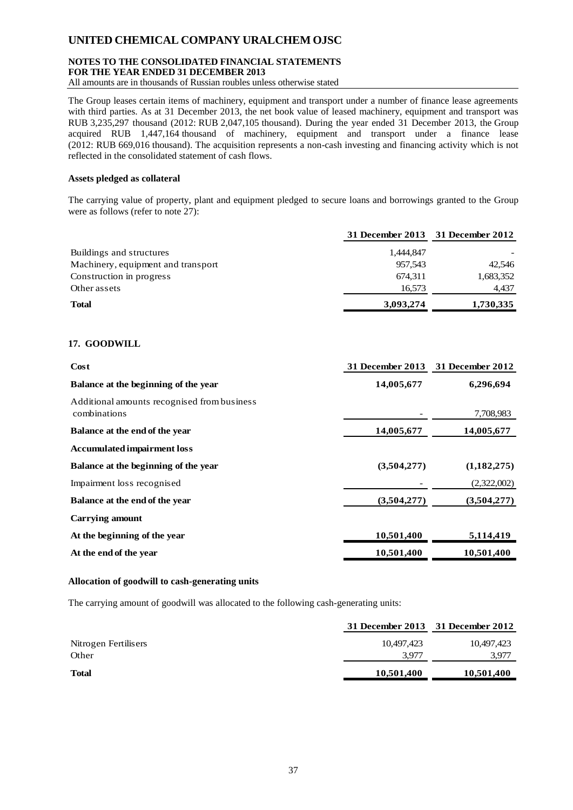#### **NOTES TO THE CONSOLIDATED FINANCIAL STATEMENTS FOR THE YEAR ENDED 31 DECEMBER 2013** All amounts are in thousands of Russian roubles unless otherwise stated

The Group leases certain items of machinery, equipment and transport under a number of finance lease agreements with third parties. As at 31 December 2013, the net book value of leased machinery, equipment and transport was RUB 3,235,297 thousand (2012: RUB 2,047,105 thousand). During the year ended 31 December 2013, the Group acquired RUB 1,447,164 thousand of machinery, equipment and transport under a finance lease (2012: RUB 669,016 thousand). The acquisition represents a non-cash investing and financing activity which is not reflected in the consolidated statement of cash flows.

### **Assets pledged as collateral**

The carrying value of property, plant and equipment pledged to secure loans and borrowings granted to the Group were as follows (refer to note 27):

|                                    |           | 31 December 2013 31 December 2012 |
|------------------------------------|-----------|-----------------------------------|
| Buildings and structures           | 1.444.847 |                                   |
| Machinery, equipment and transport | 957.543   | 42,546                            |
| Construction in progress           | 674.311   | 1,683,352                         |
| Other assets                       | 16,573    | 4.437                             |
| <b>Total</b>                       | 3,093,274 | 1,730,335                         |

### **17. GOODWILL**

| Cost                                                        |             | 31 December 2013 31 December 2012 |
|-------------------------------------------------------------|-------------|-----------------------------------|
| Balance at the beginning of the year                        | 14,005,677  | 6,296,694                         |
| Additional amounts recognised from business<br>combinations |             | 7,708,983                         |
| Balance at the end of the year                              | 14,005,677  | 14,005,677                        |
| <b>Accumulated impairment loss</b>                          |             |                                   |
| Balance at the beginning of the year                        | (3,504,277) | (1,182,275)                       |
| Impairment loss recognised                                  |             | (2,322,002)                       |
| Balance at the end of the year                              | (3,504,277) | (3,504,277)                       |
| <b>Carrying amount</b>                                      |             |                                   |
| At the beginning of the year                                | 10,501,400  | 5,114,419                         |
| At the end of the year                                      | 10,501,400  | 10,501,400                        |

#### **Allocation of goodwill to cash-generating units**

The carrying amount of goodwill was allocated to the following cash-generating units:

|                      | 31 December 2013 31 December 2012 |            |
|----------------------|-----------------------------------|------------|
| Nitrogen Fertilisers | 10.497.423                        | 10,497,423 |
| Other                | 3.977                             | 3.977      |
| <b>Total</b>         | 10,501,400                        | 10,501,400 |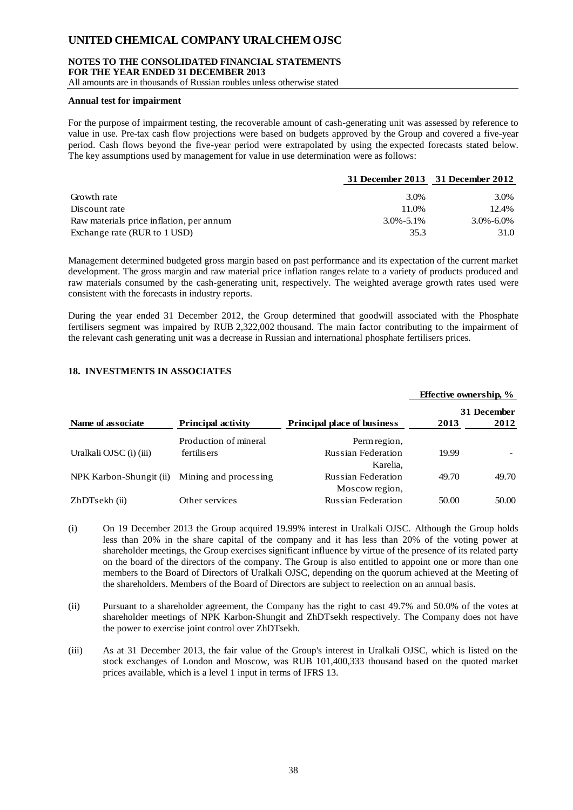# **NOTES TO THE CONSOLIDATED FINANCIAL STATEMENTS FOR THE YEAR ENDED 31 DECEMBER 2013**

All amounts are in thousands of Russian roubles unless otherwise stated

### **Annual test for impairment**

For the purpose of impairment testing, the recoverable amount of cash-generating unit was assessed by reference to value in use. Pre-tax cash flow projections were based on budgets approved by the Group and covered a five-year period. Cash flows beyond the five-year period were extrapolated by using the expected forecasts stated below. The key assumptions used by management for value in use determination were as follows:

|                                          | 31 December 2013 31 December 2012 |           |
|------------------------------------------|-----------------------------------|-----------|
| Growth rate                              | 3.0%                              | 3.0%      |
| Discount rate                            | 11.0%                             | 12.4%     |
| Raw materials price inflation, per annum | $3.0\% - 5.1\%$                   | 3.0%-6.0% |
| Exchange rate (RUR to 1 USD)             | 35.3                              | 31.0      |

Management determined budgeted gross margin based on past performance and its expectation of the current market development. The gross margin and raw material price inflation ranges relate to a variety of products produced and raw materials consumed by the cash-generating unit, respectively. The weighted average growth rates used were consistent with the forecasts in industry reports.

During the year ended 31 December 2012, the Group determined that goodwill associated with the Phosphate fertilisers segment was impaired by RUB 2,322,002 thousand. The main factor contributing to the impairment of the relevant cash generating unit was a decrease in Russian and international phosphate fertilisers prices.

### **18. INVESTMENTS IN ASSOCIATES**

|                         |                           |                                    | <b>Effective ownership, %</b> |             |
|-------------------------|---------------------------|------------------------------------|-------------------------------|-------------|
|                         |                           |                                    |                               | 31 December |
| Name of associate       | <b>Principal activity</b> | <b>Principal place of business</b> | 2013                          | 2012        |
|                         | Production of mineral     | Perm region,                       |                               |             |
| Uralkali OJSC (i) (iii) | fertilisers               | <b>Russian Federation</b>          | 19.99                         |             |
|                         |                           | Karelia.                           |                               |             |
| NPK Karbon-Shungit (ii) | Mining and processing     | <b>Russian Federation</b>          | 49.70                         | 49.70       |
|                         |                           | Moscow region,                     |                               |             |
| ZhDTsekh (ii)           | Other services            | <b>Russian Federation</b>          | 50.00                         | 50.00       |

- (i) On 19 December 2013 the Group acquired 19.99% interest in Uralkali OJSC. Although the Group holds less than 20% in the share capital of the company and it has less than 20% of the voting power at shareholder meetings, the Group exercises significant influence by virtue of the presence of its related party on the board of the directors of the company. The Group is also entitled to appoint one or more than one members to the Board of Directors of Uralkali OJSC, depending on the quorum achieved at the Meeting of the shareholders. Members of the Board of Directors are subject to reelection on an annual basis.
- (ii) Pursuant to a shareholder agreement, the Company has the right to cast 49.7% and 50.0% of the votes at shareholder meetings of NPK Karbon-Shungit and ZhDTsekh respectively. The Company does not have the power to exercise joint control over ZhDTsekh.
- (iii) As at 31 December 2013, the fair value of the Group's interest in Uralkali OJSC, which is listed on the stock exchanges of London and Moscow, was RUB 101,400,333 thousand based on the quoted market prices available, which is a level 1 input in terms of IFRS 13.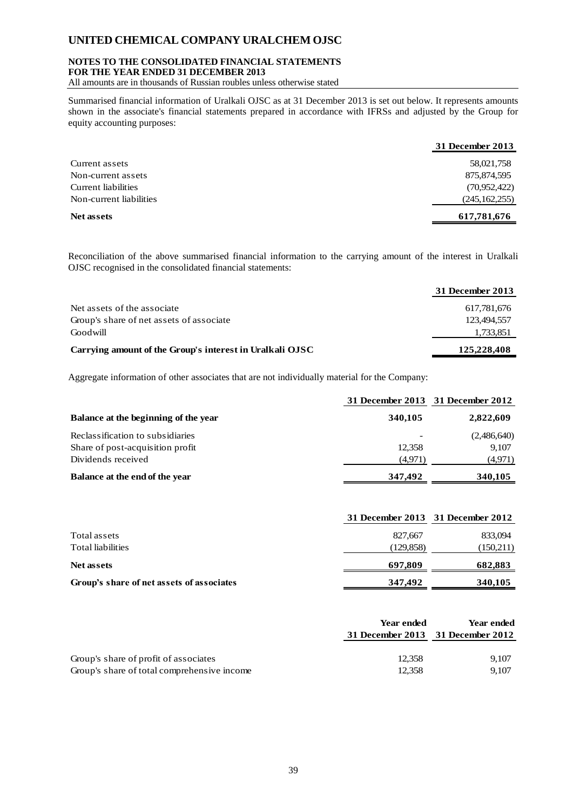### **NOTES TO THE CONSOLIDATED FINANCIAL STATEMENTS FOR THE YEAR ENDED 31 DECEMBER 2013**

All amounts are in thousands of Russian roubles unless otherwise stated

Summarised financial information of Uralkali OJSC as at 31 December 2013 is set out below. It represents amounts shown in the associate's financial statements prepared in accordance with IFRSs and adjusted by the Group for equity accounting purposes:

|                         | 31 December 2013 |
|-------------------------|------------------|
| Current assets          | 58,021,758       |
| Non-current assets      | 875,874,595      |
| Current liabilities     | (70,952,422)     |
| Non-current liabilities | (245, 162, 255)  |
| <b>Net assets</b>       | 617,781,676      |

Reconciliation of the above summarised financial information to the carrying amount of the interest in Uralkali OJSC recognised in the consolidated financial statements:

|                                                          | 31 December 2013 |
|----------------------------------------------------------|------------------|
| Net assets of the associate                              | 617,781,676      |
| Group's share of net assets of associate                 | 123,494,557      |
| Goodwill                                                 | 1,733,851        |
| Carrying amount of the Group's interest in Uralkali OJSC | 125,228,408      |

Aggregate information of other associates that are not individually material for the Company:

|                                      |         | 31 December 2013 31 December 2012 |
|--------------------------------------|---------|-----------------------------------|
| Balance at the beginning of the year | 340,105 | 2,822,609                         |
| Reclassification to subsidiaries     |         | (2,486,640)                       |
| Share of post-acquisition profit     | 12.358  | 9.107                             |
| Dividends received                   | (4.971) | (4,971)                           |
| Balance at the end of the year       | 347,492 | 340,105                           |

|                                           |            | 31 December 2013 31 December 2012 |
|-------------------------------------------|------------|-----------------------------------|
| Total assets                              | 827,667    | 833,094                           |
| Total liabilities                         | (129, 858) | (150,211)                         |
| <b>Net assets</b>                         | 697.809    | 682,883                           |
| Group's share of net assets of associates | 347,492    | 340,105                           |

|                                             | Year ended<br>31 December 2013 31 December 2012 | Year ended |
|---------------------------------------------|-------------------------------------------------|------------|
| Group's share of profit of associates       | 12.358                                          | 9.107      |
| Group's share of total comprehensive income | 12.358                                          | 9.107      |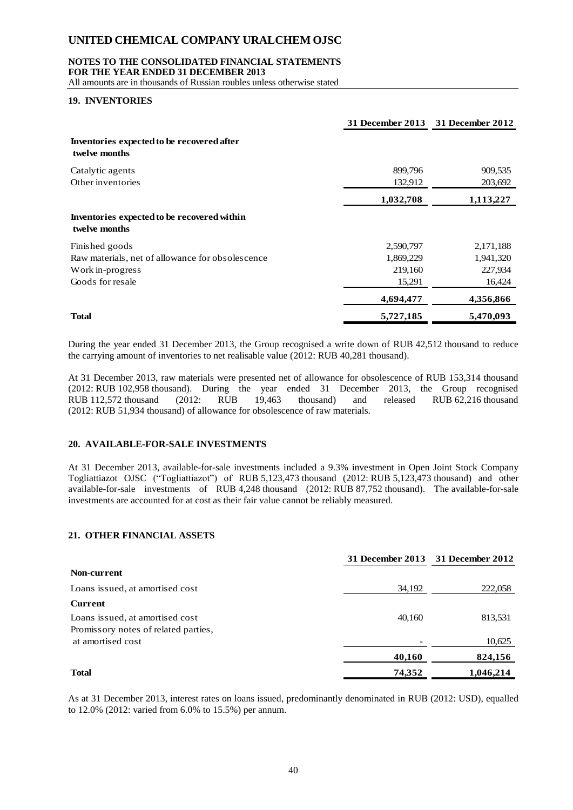#### **NOTES TO THE CONSOLIDATED FINANCIAL STATEMENTS FOR THE YEAR ENDED 31 DECEMBER 2013**

All amounts are in thousands of Russian roubles unless otherwise stated

### **19. INVENTORIES**

|                                                              |           | 31 December 2013 31 December 2012 |
|--------------------------------------------------------------|-----------|-----------------------------------|
| Inventories expected to be recovered after<br>twelve months  |           |                                   |
| Catalytic agents                                             | 899,796   | 909,535                           |
| Other inventories                                            | 132,912   | 203,692                           |
|                                                              | 1,032,708 | 1,113,227                         |
| Inventories expected to be recovered within<br>twelve months |           |                                   |
| Finished goods                                               | 2,590,797 | 2,171,188                         |
| Raw materials, net of allowance for obsolescence             | 1,869,229 | 1,941,320                         |
| Work in-progress                                             | 219,160   | 227,934                           |
| Goods for resale                                             | 15,291    | 16,424                            |
|                                                              | 4,694,477 | 4,356,866                         |
| <b>Total</b>                                                 | 5,727,185 | 5,470,093                         |

During the year ended 31 December 2013, the Group recognised a write down of RUB 42,512 thousand to reduce the carrying amount of inventories to net realisable value (2012: RUB 40,281 thousand).

At 31 December 2013, raw materials were presented net of allowance for obsolescence of RUB 153,314 thousand (2012: RUB 102,958 thousand). During the year ended 31 December 2013, the Group recognised RUB 112,572 thousand (2012: RUB 19,463 thousand) and released RUB 62,216 thousand (2012: RUB 51,934 thousand) of allowance for obsolescence of raw materials.

### **20. AVAILABLE-FOR-SALE INVESTMENTS**

At 31 December 2013, available-for-sale investments included a 9.3% investment in Open Joint Stock Company Togliattiazot OJSC ("Togliattiazot") of RUB 5,123,473 thousand (2012: RUB 5,123,473 thousand) and other available-for-sale investments of RUB 4,248 thousand (2012: RUB 87,752 thousand). The available-for-sale investments are accounted for at cost as their fair value cannot be reliably measured.

### **21. OTHER FINANCIAL ASSETS**

|                                      |        | 31 December 2013 31 December 2012 |
|--------------------------------------|--------|-----------------------------------|
| Non-current                          |        |                                   |
| Loans issued, at amortised cost      | 34,192 | 222,058                           |
| <b>Current</b>                       |        |                                   |
| Loans issued, at amortised cost      | 40,160 | 813,531                           |
| Promissory notes of related parties, |        |                                   |
| at amortised cost                    |        | 10,625                            |
|                                      | 40,160 | 824,156                           |
| <b>Total</b>                         | 74,352 | 1,046,214                         |

As at 31 December 2013, interest rates on loans issued, predominantly denominated in RUB (2012: USD), equalled to 12.0% (2012: varied from 6.0% to 15.5%) per annum.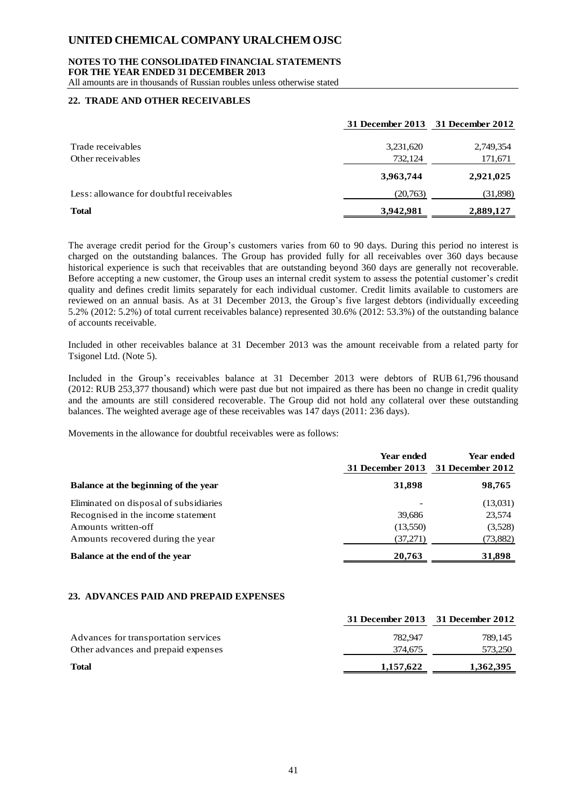# **NOTES TO THE CONSOLIDATED FINANCIAL STATEMENTS FOR THE YEAR ENDED 31 DECEMBER 2013**

All amounts are in thousands of Russian roubles unless otherwise stated

### **22. TRADE AND OTHER RECEIVABLES**

|                                          |           | 31 December 2013 31 December 2012 |
|------------------------------------------|-----------|-----------------------------------|
| Trade receivables                        | 3,231,620 | 2,749,354                         |
| Other receivables                        | 732,124   | 171,671                           |
|                                          | 3,963,744 | 2,921,025                         |
| Less: allowance for doubtful receivables | (20,763)  | (31,898)                          |
| <b>Total</b>                             | 3,942,981 | 2,889,127                         |

The average credit period for the Group's customers varies from 60 to 90 days. During this period no interest is charged on the outstanding balances. The Group has provided fully for all receivables over 360 days because historical experience is such that receivables that are outstanding beyond 360 days are generally not recoverable. Before accepting a new customer, the Group uses an internal credit system to assess the potential customer's credit quality and defines credit limits separately for each individual customer. Credit limits available to customers are reviewed on an annual basis. As at 31 December 2013, the Group's five largest debtors (individually exceeding 5.2% (2012: 5.2%) of total current receivables balance) represented 30.6% (2012: 53.3%) of the outstanding balance of accounts receivable.

Included in other receivables balance at 31 December 2013 was the amount receivable from a related party for Tsigonel Ltd. (Note 5).

Included in the Group's receivables balance at 31 December 2013 were debtors of RUB 61,796 thousand (2012: RUB 253,377 thousand) which were past due but not impaired as there has been no change in credit quality and the amounts are still considered recoverable. The Group did not hold any collateral over these outstanding balances. The weighted average age of these receivables was 147 days (2011: 236 days).

Movements in the allowance for doubtful receivables were as follows:

|                                        | Year ended<br><b>31 December 2013</b> | Year ended<br>31 December 2012 |
|----------------------------------------|---------------------------------------|--------------------------------|
| Balance at the beginning of the year   | 31,898                                | 98,765                         |
| Eliminated on disposal of subsidiaries |                                       | (13,031)                       |
| Recognised in the income statement     | 39,686                                | 23,574                         |
| Amounts written-off                    | (13,550)                              | (3,528)                        |
| Amounts recovered during the year      | (37,271)                              | (73,882)                       |
| Balance at the end of the year         | 20,763                                | 31,898                         |

### **23. ADVANCES PAID AND PREPAID EXPENSES**

|                                      |           | 31 December 2013 31 December 2012 |
|--------------------------------------|-----------|-----------------------------------|
| Advances for transportation services | 782,947   | 789.145                           |
| Other advances and prepaid expenses  | 374.675   | 573,250                           |
| <b>Total</b>                         | 1,157,622 | 1,362,395                         |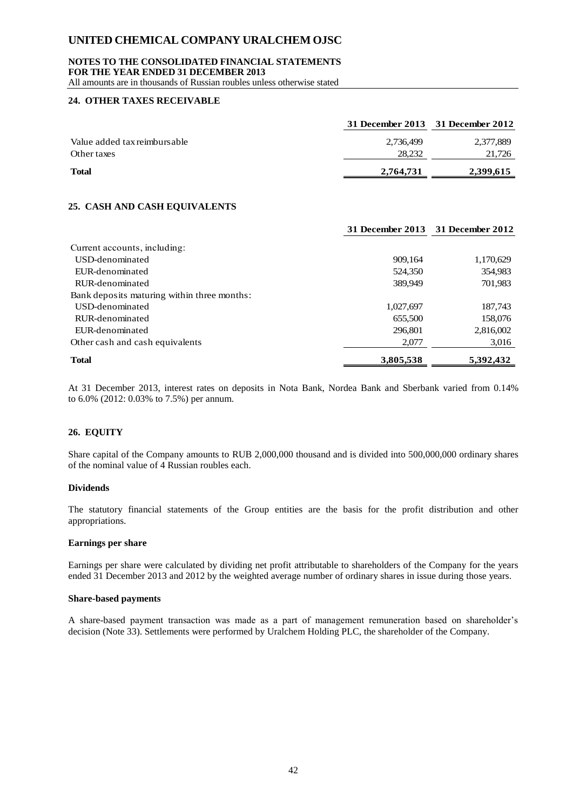### **NOTES TO THE CONSOLIDATED FINANCIAL STATEMENTS FOR THE YEAR ENDED 31 DECEMBER 2013**

All amounts are in thousands of Russian roubles unless otherwise stated

### **24. OTHER TAXES RECEIVABLE**

|                               |           | 31 December 2013 31 December 2012 |
|-------------------------------|-----------|-----------------------------------|
| Value added tax reimburs able | 2,736,499 | 2,377,889                         |
| Other taxes                   | 28.232    | 21,726                            |
| <b>Total</b>                  | 2,764,731 | 2,399,615                         |

### **25. CASH AND CASH EQUIVALENTS**

|                                             |           | 31 December 2013 31 December 2012 |
|---------------------------------------------|-----------|-----------------------------------|
| Current accounts, including:                |           |                                   |
| USD-denominated                             | 909,164   | 1,170,629                         |
| EUR-denominated                             | 524,350   | 354,983                           |
| RUR-denominated                             | 389,949   | 701,983                           |
| Bank deposits maturing within three months: |           |                                   |
| USD-denominated                             | 1,027,697 | 187,743                           |
| RUR-denominated                             | 655,500   | 158,076                           |
| EUR-denominated                             | 296,801   | 2,816,002                         |
| Other cash and cash equivalents             | 2.077     | 3,016                             |
| <b>Total</b>                                | 3.805.538 | 5,392,432                         |

At 31 December 2013, interest rates on deposits in Nota Bank, Nordea Bank and Sberbank varied from 0.14% to 6.0% (2012: 0.03% to 7.5%) per annum.

### **26. EQUITY**

Share capital of the Company amounts to RUB 2,000,000 thousand and is divided into 500,000,000 ordinary shares of the nominal value of 4 Russian roubles each.

### **Dividends**

The statutory financial statements of the Group entities are the basis for the profit distribution and other appropriations.

### **Earnings per share**

Earnings per share were calculated by dividing net profit attributable to shareholders of the Company for the years ended 31 December 2013 and 2012 by the weighted average number of ordinary shares in issue during those years.

#### **Share-based payments**

A share-based payment transaction was made as a part of management remuneration based on shareholder's decision (Note 33). Settlements were performed by Uralchem Holding PLC, the shareholder of the Company.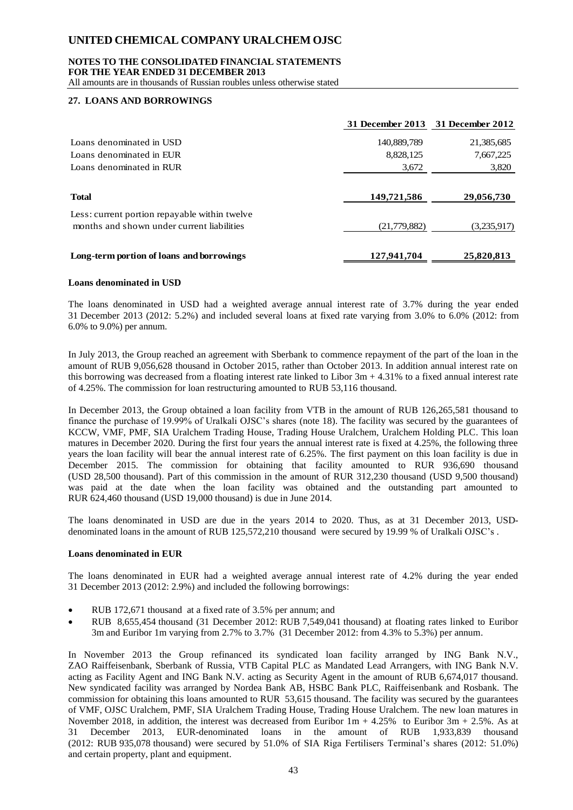# **NOTES TO THE CONSOLIDATED FINANCIAL STATEMENTS FOR THE YEAR ENDED 31 DECEMBER 2013**

### All amounts are in thousands of Russian roubles unless otherwise stated

### **27. LOANS AND BORROWINGS**

|                                                                                             | <b>31 December 2013</b> | 31 December 2012 |
|---------------------------------------------------------------------------------------------|-------------------------|------------------|
| Loans denominated in USD                                                                    | 140,889,789             | 21,385,685       |
| Loans denominated in EUR                                                                    | 8.828.125               | 7,667,225        |
| Loans denominated in RUR                                                                    | 3,672                   | 3,820            |
| <b>Total</b>                                                                                | 149,721,586             | 29,056,730       |
| Less: current portion repayable within twelve<br>months and shown under current liabilities | (21,779,882)            | (3,235,917)      |
| Long-term portion of loans and borrowings                                                   | 127,941,704             | 25,820,813       |

### **Loans denominated in USD**

The loans denominated in USD had a weighted average annual interest rate of 3.7% during the year ended 31 December 2013 (2012: 5.2%) and included several loans at fixed rate varying from 3.0% to 6.0% (2012: from 6.0% to 9.0%) per annum.

In July 2013, the Group reached an agreement with Sberbank to commence repayment of the part of the loan in the amount of RUB 9,056,628 thousand in October 2015, rather than October 2013. In addition annual interest rate on this borrowing was decreased from a floating interest rate linked to Libor  $3m + 4.31\%$  to a fixed annual interest rate of 4.25%. The commission for loan restructuring amounted to RUB 53,116 thousand.

In December 2013, the Group obtained a loan facility from VTB in the amount of RUB 126,265,581 thousand to finance the purchase of 19.99% of Uralkali OJSC's shares (note 18). The facility was secured by the guarantees of KCCW, VMF, PMF, SIA Uralchem Trading House, Trading House Uralchem, Uralchem Holding PLC. This loan matures in December 2020. During the first four years the annual interest rate is fixed at 4.25%, the following three years the loan facility will bear the annual interest rate of 6.25%. The first payment on this loan facility is due in December 2015. The commission for obtaining that facility amounted to RUR 936,690 thousand (USD 28,500 thousand). Part of this commission in the amount of RUR 312,230 thousand (USD 9,500 thousand) was paid at the date when the loan facility was obtained and the outstanding part amounted to RUR 624,460 thousand (USD 19,000 thousand) is due in June 2014.

The loans denominated in USD are due in the years 2014 to 2020. Thus, as at 31 December 2013, USDdenominated loans in the amount of RUB 125,572,210 thousand were secured by 19.99 % of Uralkali OJSC's .

### **Loans denominated in EUR**

The loans denominated in EUR had a weighted average annual interest rate of 4.2% during the year ended 31 December 2013 (2012: 2.9%) and included the following borrowings:

- RUB 172,671 thousand at a fixed rate of 3.5% per annum; and
- RUB 8,655,454 thousand (31 December 2012: RUB 7,549,041 thousand) at floating rates linked to Euribor 3m and Euribor 1m varying from 2.7% to 3.7% (31 December 2012: from 4.3% to 5.3%) per annum.

In November 2013 the Group refinanced its syndicated loan facility arranged by ING Bank N.V., ZAO Raiffeisenbank, Sberbank of Russia, VTB Capital PLC as Mandated Lead Arrangers, with ING Bank N.V. acting as Facility Agent and ING Bank N.V. acting as Security Agent in the amount of RUB 6,674,017 thousand. New syndicated facility was arranged by Nordea Bank AB, HSBC Bank PLC, Raiffeisenbank and Rosbank. The commission for obtaining this loans amounted to RUR 53,615 thousand. The facility was secured by the guarantees of VMF, OJSC Uralchem, PMF, SIA Uralchem Trading House, Trading House Uralchem. The new loan matures in November 2018, in addition, the interest was decreased from Euribor  $1m + 4.25%$  to Euribor 3m + 2.5%. As at 31 December 2013, EUR-denominated loans in the amount of RUB 1,933,839 thousand (2012: RUB 935,078 thousand) were secured by 51.0% of SIA Riga Fertilisers Terminal's shares (2012: 51.0%) and certain property, plant and equipment.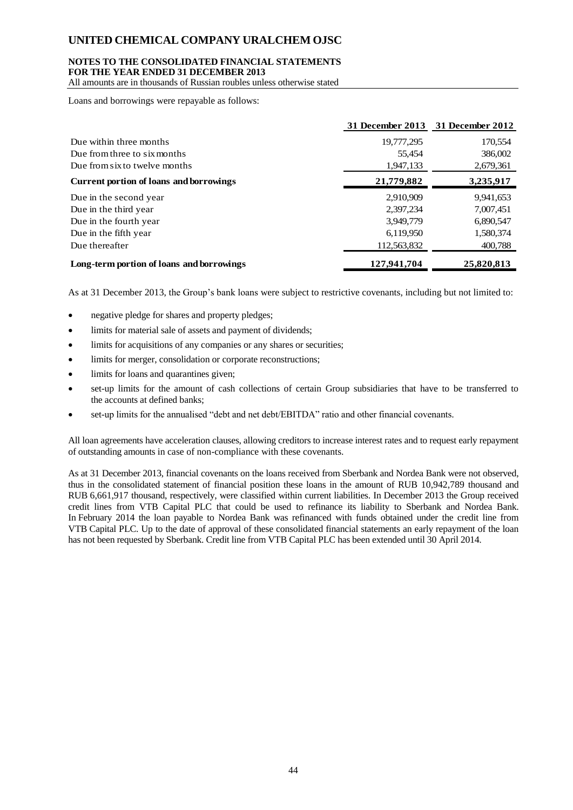### **NOTES TO THE CONSOLIDATED FINANCIAL STATEMENTS FOR THE YEAR ENDED 31 DECEMBER 2013**

All amounts are in thousands of Russian roubles unless otherwise stated

Loans and borrowings were repayable as follows:

|                                           | 31 December 2013 | 31 December 2012 |
|-------------------------------------------|------------------|------------------|
| Due within three months                   | 19,777,295       | 170,554          |
| Due from three to six months              | 55,454           | 386,002          |
| Due from six to twelve months             | 1,947,133        | 2,679,361        |
| Current portion of loans and borrowings   | 21,779,882       | 3,235,917        |
| Due in the second year                    | 2,910,909        | 9,941,653        |
| Due in the third year                     | 2,397,234        | 7,007,451        |
| Due in the fourth year.                   | 3,949,779        | 6,890,547        |
| Due in the fifth year                     | 6,119,950        | 1,580,374        |
| Due thereafter                            | 112,563,832      | 400,788          |
| Long-term portion of loans and borrowings | 127,941,704      | 25,820,813       |

As at 31 December 2013, the Group's bank loans were subject to restrictive covenants, including but not limited to:

- negative pledge for shares and property pledges;
- limits for material sale of assets and payment of dividends;
- limits for acquisitions of any companies or any shares or securities;
- limits for merger, consolidation or corporate reconstructions;
- limits for loans and quarantines given;
- set-up limits for the amount of cash collections of certain Group subsidiaries that have to be transferred to the accounts at defined banks;
- set-up limits for the annualised "debt and net debt/EBITDA" ratio and other financial covenants.

All loan agreements have acceleration clauses, allowing creditors to increase interest rates and to request early repayment of outstanding amounts in case of non-compliance with these covenants.

As at 31 December 2013, financial covenants on the loans received from Sberbank and Nordea Bank were not observed, thus in the consolidated statement of financial position these loans in the amount of RUB 10,942,789 thousand and RUB 6,661,917 thousand, respectively, were classified within current liabilities. In December 2013 the Group received credit lines from VTB Capital PLC that could be used to refinance its liability to Sberbank and Nordea Bank. In February 2014 the loan payable to Nordea Bank was refinanced with funds obtained under the credit line from VTB Capital PLC. Up to the date of approval of these consolidated financial statements an early repayment of the loan has not been requested by Sberbank. Credit line from VTB Capital PLC has been extended until 30 April 2014.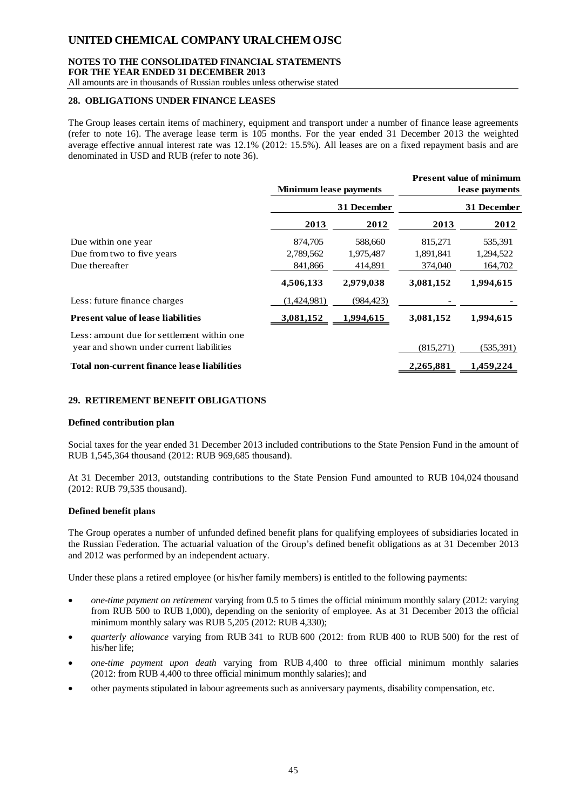# **NOTES TO THE CONSOLIDATED FINANCIAL STATEMENTS FOR THE YEAR ENDED 31 DECEMBER 2013**

All amounts are in thousands of Russian roubles unless otherwise stated

### **28. OBLIGATIONS UNDER FINANCE LEASES**

The Group leases certain items of machinery, equipment and transport under a number of finance lease agreements (refer to note 16). The average lease term is 105 months. For the year ended 31 December 2013 the weighted average effective annual interest rate was 12.1% (2012: 15.5%). All leases are on a fixed repayment basis and are denominated in USD and RUB (refer to note 36).

|                                                    |                        |             |           | <b>Present value of minimum</b> |
|----------------------------------------------------|------------------------|-------------|-----------|---------------------------------|
|                                                    | Minimum lease payments |             |           | lease payments                  |
|                                                    |                        | 31 December |           | 31 December                     |
|                                                    | 2013                   | 2012        | 2013      | 2012                            |
| Due within one year                                | 874,705                | 588,660     | 815,271   | 535,391                         |
| Due from two to five years                         | 2,789,562              | 1,975,487   | 1,891,841 | 1,294,522                       |
| Due thereafter                                     | 841,866                | 414,891     | 374,040   | 164,702                         |
|                                                    | 4,506,133              | 2,979,038   | 3,081,152 | 1,994,615                       |
| Less: future finance charges                       | (1,424,981)            | (984, 423)  |           |                                 |
| <b>Present value of lease liabilities</b>          | 3,081,152              | 1,994,615   | 3,081,152 | 1,994,615                       |
| Less: amount due for settlement within one         |                        |             |           |                                 |
| year and shown under current liabilities           |                        |             | (815,271) | (535,391)                       |
| <b>Total non-current finance lease liabilities</b> |                        |             | 2,265,881 | 1,459,224                       |

### **29. RETIREMENT BENEFIT OBLIGATIONS**

#### **Defined contribution plan**

Social taxes for the year ended 31 December 2013 included contributions to the State Pension Fund in the amount of RUB 1,545,364 thousand (2012: RUB 969,685 thousand).

At 31 December 2013, outstanding contributions to the State Pension Fund amounted to RUB 104,024 thousand (2012: RUB 79,535 thousand).

### **Defined benefit plans**

The Group operates a number of unfunded defined benefit plans for qualifying employees of subsidiaries located in the Russian Federation. The actuarial valuation of the Group's defined benefit obligations as at 31 December 2013 and 2012 was performed by an independent actuary.

Under these plans a retired employee (or his/her family members) is entitled to the following payments:

- *one-time payment on retirement* varying from 0.5 to 5 times the official minimum monthly salary (2012: varying from RUB 500 to RUB 1,000), depending on the seniority of employee. As at 31 December 2013 the official minimum monthly salary was RUB 5,205 (2012: RUB 4,330);
- *quarterly allowance* varying from RUB 341 to RUB 600 (2012: from RUB 400 to RUB 500) for the rest of his/her life;
- *one-time payment upon death* varying from RUB 4,400 to three official minimum monthly salaries (2012: from RUB 4,400 to three official minimum monthly salaries); and
- other payments stipulated in labour agreements such as anniversary payments, disability compensation, etc.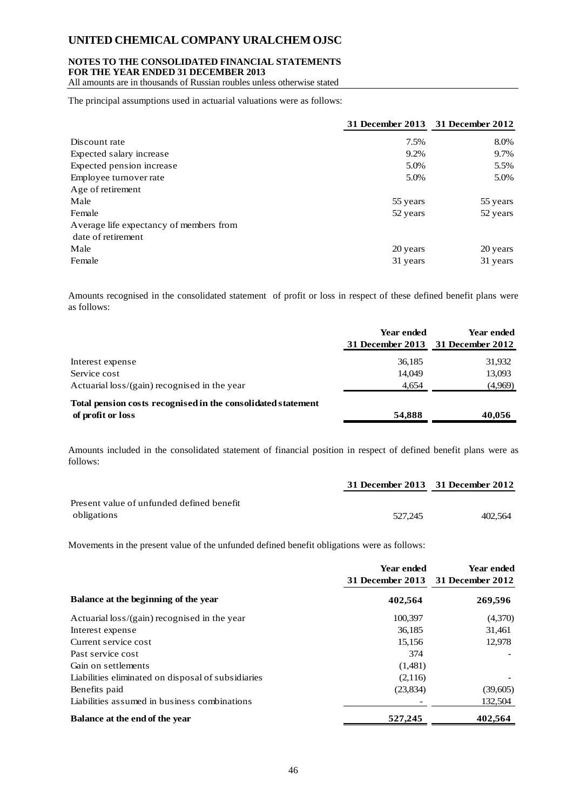### **NOTES TO THE CONSOLIDATED FINANCIAL STATEMENTS FOR THE YEAR ENDED 31 DECEMBER 2013**

All amounts are in thousands of Russian roubles unless otherwise stated

The principal assumptions used in actuarial valuations were as follows:

|                                         | 31 December 2013 | 31 December 2012 |
|-----------------------------------------|------------------|------------------|
| Discount rate                           | 7.5%             | 8.0%             |
| Expected salary increase                | 9.2%             | 9.7%             |
| Expected pension increase               | 5.0%             | 5.5%             |
| Employee turnover rate                  | 5.0%             | 5.0%             |
| Age of retirement                       |                  |                  |
| Male                                    | 55 years         | 55 years         |
| Female                                  | 52 years         | 52 years         |
| Average life expectancy of members from |                  |                  |
| date of retirement                      |                  |                  |
| Male                                    | 20 years         | 20 years         |
| Female                                  | 31 years         | 31 years         |

Amounts recognised in the consolidated statement of profit or loss in respect of these defined benefit plans were as follows:

|                                                              | Year ended<br><b>31 December 2013</b> | Year ended<br>31 December 2012 |
|--------------------------------------------------------------|---------------------------------------|--------------------------------|
| Interest expense                                             | 36,185                                | 31,932                         |
| Service cost                                                 | 14.049                                | 13,093                         |
| Actuarial loss/(gain) recognised in the year                 | 4,654                                 | (4,969)                        |
| Total pension costs recognised in the consolidated statement |                                       |                                |
| of profit or loss                                            | 54,888                                | 40,056                         |

Amounts included in the consolidated statement of financial position in respect of defined benefit plans were as follows:

|                                           | 31 December 2013 31 December 2012 |         |
|-------------------------------------------|-----------------------------------|---------|
| Present value of unfunded defined benefit |                                   |         |
| obligations                               | 527.245                           | 402,564 |

Movements in the present value of the unfunded defined benefit obligations were as follows:

|                                                    | <b>Year ended</b><br>31 December 2013 | <b>Year ended</b><br>31 December 2012 |
|----------------------------------------------------|---------------------------------------|---------------------------------------|
| Balance at the beginning of the year               | 402,564                               | 269,596                               |
| Actuarial loss/(gain) recognised in the year       | 100.397                               | (4,370)                               |
| Interest expense                                   | 36,185                                | 31,461                                |
| Current service cost                               | 15,156                                | 12,978                                |
| Past service cost                                  | 374                                   |                                       |
| Gain on settlements                                | (1,481)                               |                                       |
| Liabilities eliminated on disposal of subsidiaries | (2,116)                               |                                       |
| Benefits paid                                      | (23, 834)                             | (39,605)                              |
| Liabilities assumed in business combinations       |                                       | 132,504                               |
| Balance at the end of the year                     | 527,245                               | 402,564                               |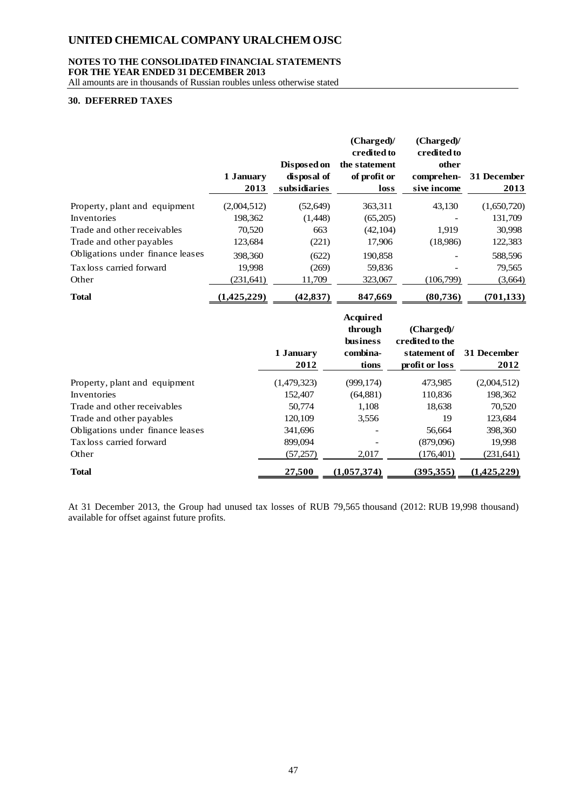### **NOTES TO THE CONSOLIDATED FINANCIAL STATEMENTS FOR THE YEAR ENDED 31 DECEMBER 2013**

All amounts are in thousands of Russian roubles unless otherwise stated

### **30. DEFERRED TAXES**

|                                  | 1 January<br>2013 | Disposed on<br>disposal of<br>subsidiaries | (Charged)/<br>credited to<br>the statement<br>of profit or<br>loss | (Charged)<br>credited to<br>other<br>comprehen-<br>sive income | 31 December<br>2013 |
|----------------------------------|-------------------|--------------------------------------------|--------------------------------------------------------------------|----------------------------------------------------------------|---------------------|
| Property, plant and equipment    | (2,004,512)       | (52, 649)                                  | 363,311                                                            | 43.130                                                         | (1,650,720)         |
| Inventories                      | 198,362           | (1,448)                                    | (65,205)                                                           |                                                                | 131,709             |
| Trade and other receivables      | 70,520            | 663                                        | (42,104)                                                           | 1.919                                                          | 30,998              |
| Trade and other payables         | 123,684           | (221)                                      | 17,906                                                             | (18,986)                                                       | 122,383             |
| Obligations under finance leases | 398,360           | (622)                                      | 190,858                                                            |                                                                | 588,596             |
| Tax loss carried forward         | 19,998            | (269)                                      | 59,836                                                             |                                                                | 79,565              |
| Other                            | (231, 641)        | 11,709                                     | 323,067                                                            | (106,799)                                                      | (3,664)             |
| <b>Total</b>                     | (1.425.229)       | (42, 837)                                  | 847,669                                                            | (80, 736)                                                      | (701, 133)          |

|                                  | 1 January<br>2012 | <b>Acquired</b><br>through<br><b>business</b><br>combina-<br>tions | (Charged)/<br>credited to the<br>statement of<br>profit or loss | 31 December<br>2012 |
|----------------------------------|-------------------|--------------------------------------------------------------------|-----------------------------------------------------------------|---------------------|
| Property, plant and equipment    | (1,479,323)       | (999, 174)                                                         | 473,985                                                         | (2,004,512)         |
| Inventories                      | 152,407           | (64,881)                                                           | 110,836                                                         | 198,362             |
| Trade and other receivables      | 50,774            | 1,108                                                              | 18,638                                                          | 70,520              |
| Trade and other payables         | 120,109           | 3,556                                                              | 19                                                              | 123,684             |
| Obligations under finance leases | 341,696           |                                                                    | 56.664                                                          | 398,360             |
| Tax loss carried forward         | 899,094           |                                                                    | (879,096)                                                       | 19,998              |
| Other                            | (57, 257)         | 2,017                                                              | (176, 401)                                                      | (231, 641)          |
| <b>Total</b>                     | 27,500            | (1,057,374)                                                        | (395, 355)                                                      | (1,425,229)         |

At 31 December 2013, the Group had unused tax losses of RUB 79,565 thousand (2012: RUB 19,998 thousand) available for offset against future profits.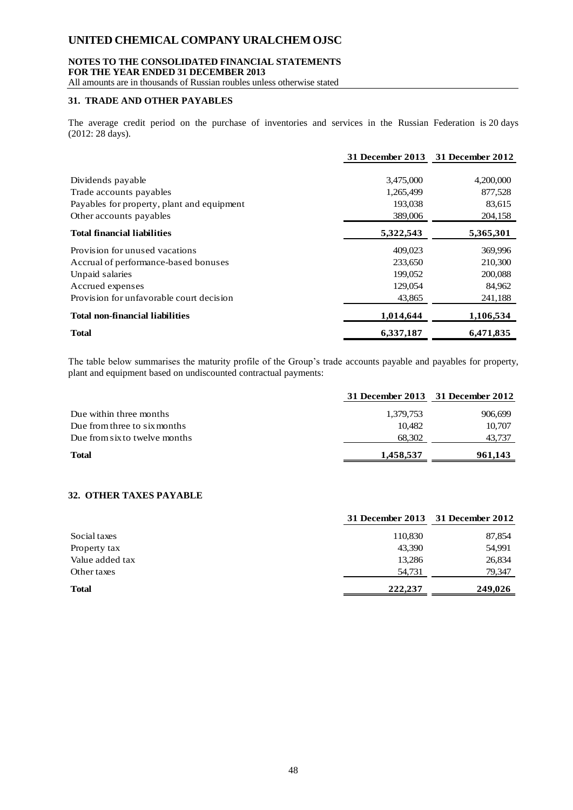### **NOTES TO THE CONSOLIDATED FINANCIAL STATEMENTS FOR THE YEAR ENDED 31 DECEMBER 2013**

All amounts are in thousands of Russian roubles unless otherwise stated

### **31. TRADE AND OTHER PAYABLES**

The average credit period on the purchase of inventories and services in the Russian Federation is 20 days (2012: 28 days).

|                                            |           | 31 December 2013 31 December 2012 |
|--------------------------------------------|-----------|-----------------------------------|
| Dividends payable                          | 3,475,000 | 4,200,000                         |
| Trade accounts payables                    | 1,265,499 | 877,528                           |
| Payables for property, plant and equipment | 193,038   | 83,615                            |
| Other accounts payables                    | 389,006   | 204,158                           |
| <b>Total financial liabilities</b>         | 5,322,543 | 5,365,301                         |
| Provision for unused vacations             | 409,023   | 369,996                           |
| Accrual of performance-based bonuses       | 233,650   | 210,300                           |
| Unpaid salaries                            | 199,052   | 200,088                           |
| Accrued expenses                           | 129,054   | 84,962                            |
| Provision for unfavorable court decision   | 43,865    | 241,188                           |
| <b>Total non-financial liabilities</b>     | 1,014,644 | 1,106,534                         |
| <b>Total</b>                               | 6,337,187 | 6,471,835                         |

The table below summarises the maturity profile of the Group's trade accounts payable and payables for property, plant and equipment based on undiscounted contractual payments:

|                               |           | 31 December 2013 31 December 2012 |
|-------------------------------|-----------|-----------------------------------|
| Due within three months       | 1,379,753 | 906,699                           |
| Due from three to six months  | 10.482    | 10.707                            |
| Due from six to twelve months | 68.302    | 43.737                            |
| <b>Total</b>                  | 1,458,537 | 961,143                           |

### **32. OTHER TAXES PAYABLE**

|                 |         | 31 December 2013 31 December 2012 |
|-----------------|---------|-----------------------------------|
| Social taxes    | 110,830 | 87,854                            |
| Property tax    | 43,390  | 54,991                            |
| Value added tax | 13.286  | 26,834                            |
| Other taxes     | 54,731  | 79,347                            |
| <b>Total</b>    | 222,237 | 249,026                           |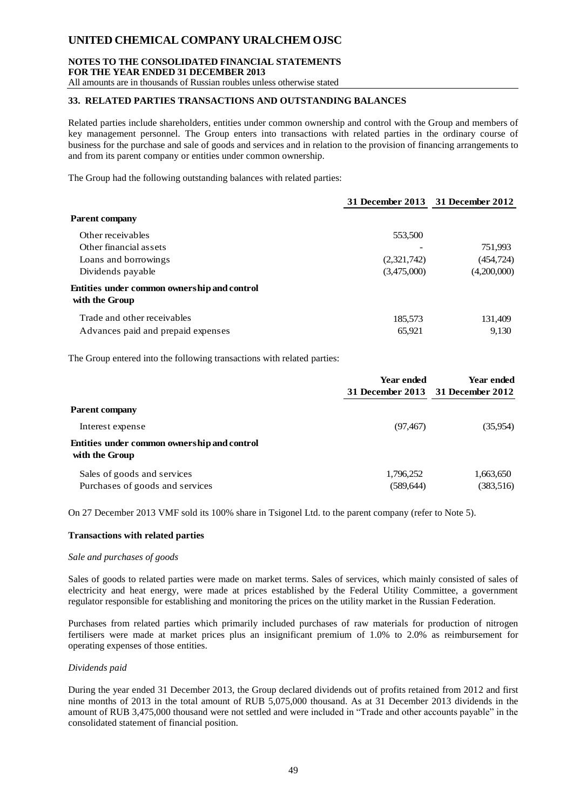#### **NOTES TO THE CONSOLIDATED FINANCIAL STATEMENTS FOR THE YEAR ENDED 31 DECEMBER 2013** All amounts are in thousands of Russian roubles unless otherwise stated

### **33. RELATED PARTIES TRANSACTIONS AND OUTSTANDING BALANCES**

Related parties include shareholders, entities under common ownership and control with the Group and members of key management personnel. The Group enters into transactions with related parties in the ordinary course of business for the purchase and sale of goods and services and in relation to the provision of financing arrangements to and from its parent company or entities under common ownership.

The Group had the following outstanding balances with related parties:

|                                                               |             | 31 December 2013 31 December 2012 |
|---------------------------------------------------------------|-------------|-----------------------------------|
| <b>Parent company</b>                                         |             |                                   |
| Other receivables                                             | 553,500     |                                   |
| Other financial assets                                        |             | 751,993                           |
| Loans and borrowings                                          | (2,321,742) | (454, 724)                        |
| Dividends payable                                             | (3,475,000) | (4,200,000)                       |
| Entities under common ownership and control<br>with the Group |             |                                   |
| Trade and other receivables                                   | 185,573     | 131,409                           |
| Advances paid and prepaid expenses                            | 65.921      | 9,130                             |

The Group entered into the following transactions with related parties:

|                                                                | Year ended              | <b>Year ended</b><br>31 December 2013 31 December 2012 |
|----------------------------------------------------------------|-------------------------|--------------------------------------------------------|
| <b>Parent company</b>                                          |                         |                                                        |
| Interest expense                                               | (97, 467)               | (35,954)                                               |
| Entities under common ownership and control<br>with the Group  |                         |                                                        |
| Sales of goods and services<br>Purchases of goods and services | 1,796,252<br>(589, 644) | 1,663,650<br>(383, 516)                                |

On 27 December 2013 VMF sold its 100% share in Tsigonel Ltd. to the parent company (refer to Note 5).

### **Transactions with related parties**

#### *Sale and purchases of goods*

Sales of goods to related parties were made on market terms. Sales of services, which mainly consisted of sales of electricity and heat energy, were made at prices established by the Federal Utility Committee, a government regulator responsible for establishing and monitoring the prices on the utility market in the Russian Federation.

Purchases from related parties which primarily included purchases of raw materials for production of nitrogen fertilisers were made at market prices plus an insignificant premium of 1.0% to 2.0% as reimbursement for operating expenses of those entities.

### *Dividends paid*

During the year ended 31 December 2013, the Group declared dividends out of profits retained from 2012 and first nine months of 2013 in the total amount of RUB 5,075,000 thousand. As at 31 December 2013 dividends in the amount of RUB 3,475,000 thousand were not settled and were included in "Trade and other accounts payable" in the consolidated statement of financial position.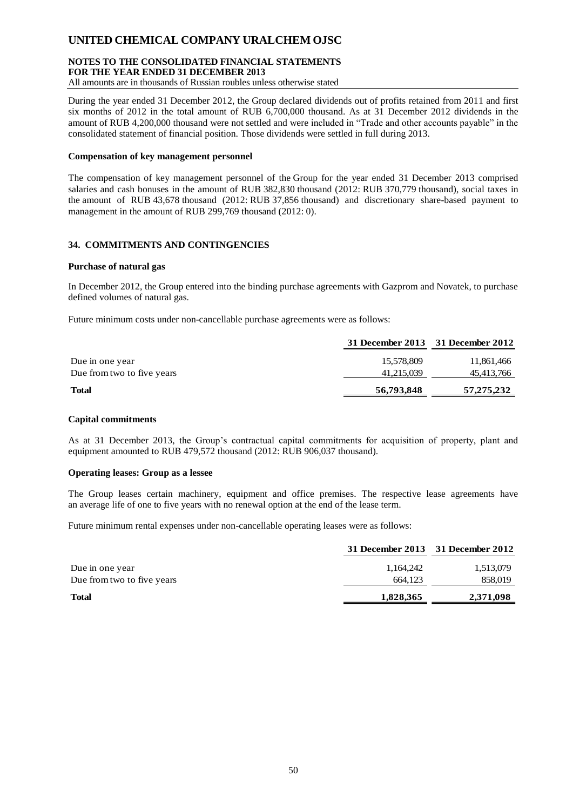#### **NOTES TO THE CONSOLIDATED FINANCIAL STATEMENTS FOR THE YEAR ENDED 31 DECEMBER 2013** All amounts are in thousands of Russian roubles unless otherwise stated

During the year ended 31 December 2012, the Group declared dividends out of profits retained from 2011 and first six months of 2012 in the total amount of RUB 6,700,000 thousand. As at 31 December 2012 dividends in the amount of RUB 4,200,000 thousand were not settled and were included in "Trade and other accounts payable" in the consolidated statement of financial position. Those dividends were settled in full during 2013.

### **Compensation of key management personnel**

The compensation of key management personnel of the Group for the year ended 31 December 2013 comprised salaries and cash bonuses in the amount of RUB 382,830 thousand (2012: RUB 370,779 thousand), social taxes in the amount of RUB 43,678 thousand (2012: RUB 37,856 thousand) and discretionary share-based payment to management in the amount of RUB 299,769 thousand (2012: 0).

### **34. COMMITMENTS AND CONTINGENCIES**

### **Purchase of natural gas**

In December 2012, the Group entered into the binding purchase agreements with Gazprom and Novatek, to purchase defined volumes of natural gas.

Future minimum costs under non-cancellable purchase agreements were as follows:

|                            |            | 31 December 2013 31 December 2012 |
|----------------------------|------------|-----------------------------------|
| Due in one year            | 15,578,809 | 11,861,466                        |
| Due from two to five years | 41,215,039 | 45,413,766                        |
| <b>Total</b>               | 56,793,848 | 57,275,232                        |

### **Capital commitments**

As at 31 December 2013, the Group's contractual capital commitments for acquisition of property, plant and equipment amounted to RUB 479,572 thousand (2012: RUB 906,037 thousand).

### **Operating leases: Group as a lessee**

The Group leases certain machinery, equipment and office premises. The respective lease agreements have an average life of one to five years with no renewal option at the end of the lease term.

Future minimum rental expenses under non-cancellable operating leases were as follows:

|                            |           | 31 December 2013 31 December 2012 |
|----------------------------|-----------|-----------------------------------|
| Due in one year            | 1,164,242 | 1,513,079                         |
| Due from two to five years | 664.123   | 858,019                           |
| <b>Total</b>               | 1,828,365 | 2,371,098                         |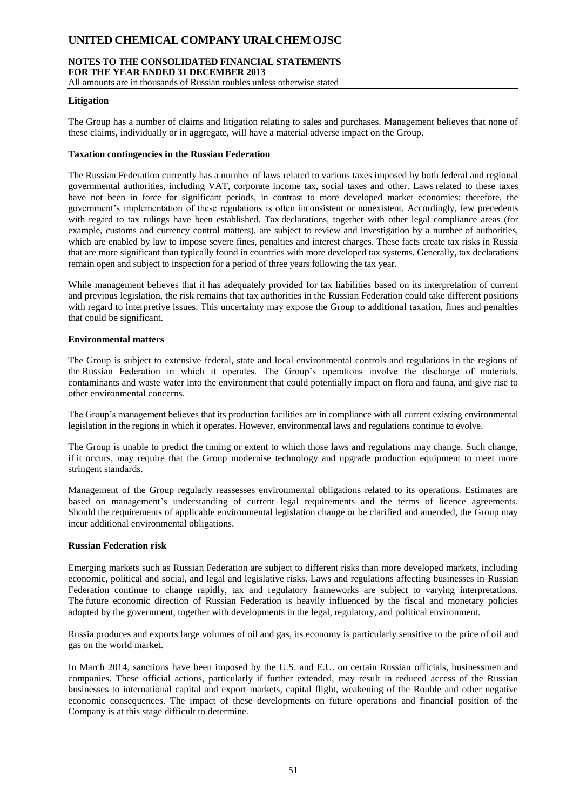#### **NOTES TO THE CONSOLIDATED FINANCIAL STATEMENTS FOR THE YEAR ENDED 31 DECEMBER 2013** All amounts are in thousands of Russian roubles unless otherwise stated

### **Litigation**

The Group has a number of claims and litigation relating to sales and purchases. Management believes that none of these claims, individually or in aggregate, will have a material adverse impact on the Group.

### **Taxation contingencies in the Russian Federation**

The Russian Federation currently has a number of laws related to various taxes imposed by both federal and regional governmental authorities, including VAT, corporate income tax, social taxes and other. Laws related to these taxes have not been in force for significant periods, in contrast to more developed market economies; therefore, the government's implementation of these regulations is often inconsistent or nonexistent. Accordingly, few precedents with regard to tax rulings have been established. Tax declarations, together with other legal compliance areas (for example, customs and currency control matters), are subject to review and investigation by a number of authorities, which are enabled by law to impose severe fines, penalties and interest charges. These facts create tax risks in Russia that are more significant than typically found in countries with more developed tax systems. Generally, tax declarations remain open and subject to inspection for a period of three years following the tax year.

While management believes that it has adequately provided for tax liabilities based on its interpretation of current and previous legislation, the risk remains that tax authorities in the Russian Federation could take different positions with regard to interpretive issues. This uncertainty may expose the Group to additional taxation, fines and penalties that could be significant.

### **Environmental matters**

The Group is subject to extensive federal, state and local environmental controls and regulations in the regions of the Russian Federation in which it operates. The Group's operations involve the discharge of materials, contaminants and waste water into the environment that could potentially impact on flora and fauna, and give rise to other environmental concerns.

The Group's management believes that its production facilities are in compliance with all current existing environmental legislation in the regions in which it operates. However, environmental laws and regulations continue to evolve.

The Group is unable to predict the timing or extent to which those laws and regulations may change. Such change, if it occurs, may require that the Group modernise technology and upgrade production equipment to meet more stringent standards.

Management of the Group regularly reassesses environmental obligations related to its operations. Estimates are based on management's understanding of current legal requirements and the terms of licence agreements. Should the requirements of applicable environmental legislation change or be clarified and amended, the Group may incur additional environmental obligations.

#### **Russian Federation risk**

Emerging markets such as Russian Federation are subject to different risks than more developed markets, including economic, political and social, and legal and legislative risks. Laws and regulations affecting businesses in Russian Federation continue to change rapidly, tax and regulatory frameworks are subject to varying interpretations. The future economic direction of Russian Federation is heavily influenced by the fiscal and monetary policies adopted by the government, together with developments in the legal, regulatory, and political environment.

Russia produces and exports large volumes of oil and gas, its economy is particularly sensitive to the price of oil and gas on the world market.

In March 2014, sanctions have been imposed by the U.S. and E.U. on certain Russian officials, businessmen and companies. These official actions, particularly if further extended, may result in reduced access of the Russian businesses to international capital and export markets, capital flight, weakening of the Rouble and other negative economic consequences. The impact of these developments on future operations and financial position of the Company is at this stage difficult to determine.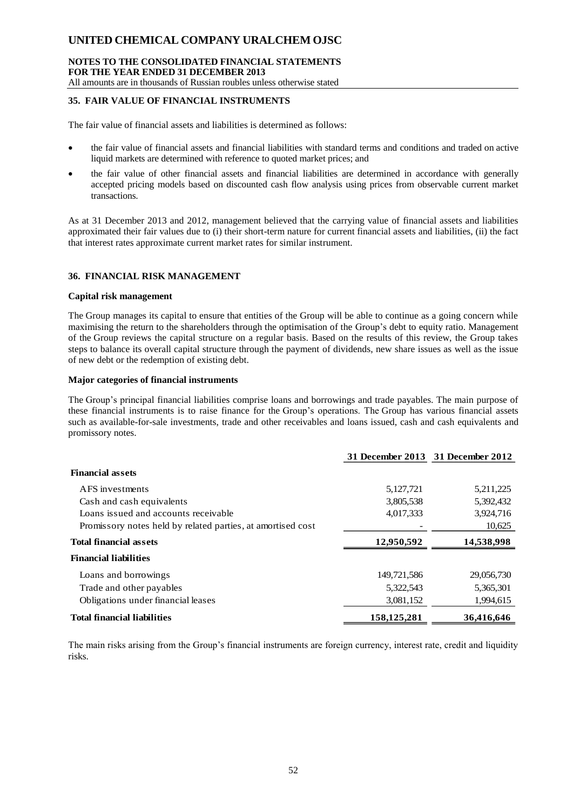#### **NOTES TO THE CONSOLIDATED FINANCIAL STATEMENTS FOR THE YEAR ENDED 31 DECEMBER 2013** All amounts are in thousands of Russian roubles unless otherwise stated

### **35. FAIR VALUE OF FINANCIAL INSTRUMENTS**

The fair value of financial assets and liabilities is determined as follows:

- the fair value of financial assets and financial liabilities with standard terms and conditions and traded on active liquid markets are determined with reference to quoted market prices; and
- the fair value of other financial assets and financial liabilities are determined in accordance with generally accepted pricing models based on discounted cash flow analysis using prices from observable current market transactions.

As at 31 December 2013 and 2012, management believed that the carrying value of financial assets and liabilities approximated their fair values due to (i) their short-term nature for current financial assets and liabilities, (ii) the fact that interest rates approximate current market rates for similar instrument.

### **36. FINANCIAL RISK MANAGEMENT**

### **Capital risk management**

The Group manages its capital to ensure that entities of the Group will be able to continue as a going concern while maximising the return to the shareholders through the optimisation of the Group's debt to equity ratio. Management of the Group reviews the capital structure on a regular basis. Based on the results of this review, the Group takes steps to balance its overall capital structure through the payment of dividends, new share issues as well as the issue of new debt or the redemption of existing debt.

### **Major categories of financial instruments**

The Group's principal financial liabilities comprise loans and borrowings and trade payables. The main purpose of these financial instruments is to raise finance for the Group's operations. The Group has various financial assets such as available-for-sale investments, trade and other receivables and loans issued, cash and cash equivalents and promissory notes.

|                                                             |               | 31 December 2013 31 December 2012 |
|-------------------------------------------------------------|---------------|-----------------------------------|
| <b>Financial assets</b>                                     |               |                                   |
| AFS investments                                             | 5,127,721     | 5, 211, 225                       |
| Cash and cash equivalents                                   | 3,805,538     | 5,392,432                         |
| Loans issued and accounts receivable                        | 4,017,333     | 3,924,716                         |
| Promissory notes held by related parties, at amortised cost |               | 10,625                            |
| <b>Total financial assets</b>                               | 12,950,592    | 14,538,998                        |
| <b>Financial liabilities</b>                                |               |                                   |
| Loans and borrowings                                        | 149,721,586   | 29,056,730                        |
| Trade and other payables                                    | 5,322,543     | 5,365,301                         |
| Obligations under financial leases                          | 3,081,152     | 1,994,615                         |
| <b>Total financial liabilities</b>                          | 158, 125, 281 | 36,416,646                        |

The main risks arising from the Group's financial instruments are foreign currency, interest rate, credit and liquidity risks.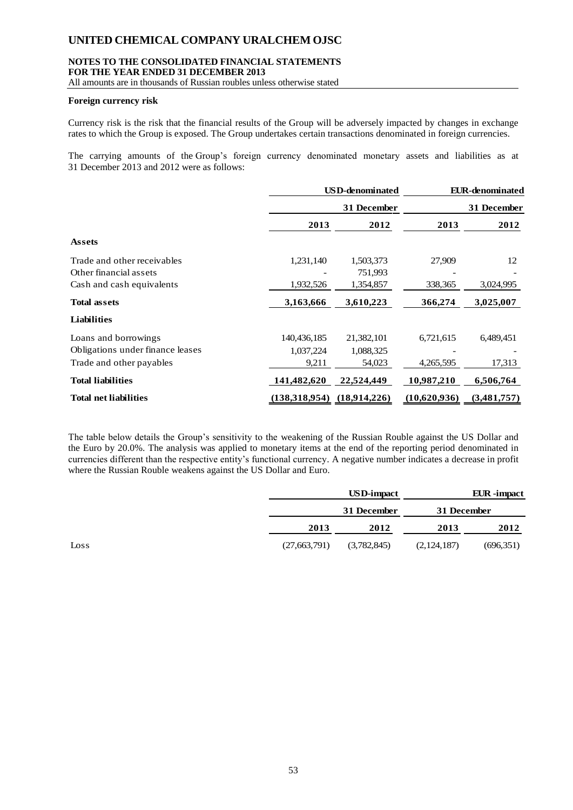# **NOTES TO THE CONSOLIDATED FINANCIAL STATEMENTS FOR THE YEAR ENDED 31 DECEMBER 2013**

All amounts are in thousands of Russian roubles unless otherwise stated

### **Foreign currency risk**

Currency risk is the risk that the financial results of the Group will be adversely impacted by changes in exchange rates to which the Group is exposed. The Group undertakes certain transactions denominated in foreign currencies.

The carrying amounts of the Group's foreign currency denominated monetary assets and liabilities as at 31 December 2013 and 2012 were as follows:

|                                  |               | <b>USD-denominated</b> |              | <b>EUR-denominated</b> |  |
|----------------------------------|---------------|------------------------|--------------|------------------------|--|
|                                  |               | 31 December            |              | 31 December            |  |
|                                  | 2013          | 2012                   | 2013         | 2012                   |  |
| <b>Assets</b>                    |               |                        |              |                        |  |
| Trade and other receivables      | 1,231,140     | 1,503,373              | 27,909       | 12                     |  |
| Other financial assets           |               | 751,993                |              |                        |  |
| Cash and cash equivalents        | 1,932,526     | 1,354,857              | 338,365      | 3,024,995              |  |
| <b>Total assets</b>              | 3,163,666     | 3,610,223              | 366,274      | 3,025,007              |  |
| <b>Liabilities</b>               |               |                        |              |                        |  |
| Loans and borrowings             | 140,436,185   | 21,382,101             | 6,721,615    | 6,489,451              |  |
| Obligations under finance leases | 1,037,224     | 1,088,325              |              |                        |  |
| Trade and other payables         | 9,211         | 54,023                 | 4,265,595    | 17,313                 |  |
| <b>Total liabilities</b>         | 141,482,620   | 22,524,449             | 10,987,210   | 6,506,764              |  |
| <b>Total net liabilities</b>     | (138,318,954) | (18,914,226)           | (10,620,936) | (3,481,757)            |  |

The table below details the Group's sensitivity to the weakening of the Russian Rouble against the US Dollar and the Euro by 20.0%. The analysis was applied to monetary items at the end of the reporting period denominated in currencies different than the respective entity's functional currency. A negative number indicates a decrease in profit where the Russian Rouble weakens against the US Dollar and Euro.

|      |                | <b>USD-impact</b> | <b>EUR</b> -impact |            |
|------|----------------|-------------------|--------------------|------------|
|      |                | 31 December       | 31 December        |            |
|      | 2013           | 2012              | 2013               | 2012       |
| Loss | (27, 663, 791) | (3,782,845)       | (2,124,187)        | (696, 351) |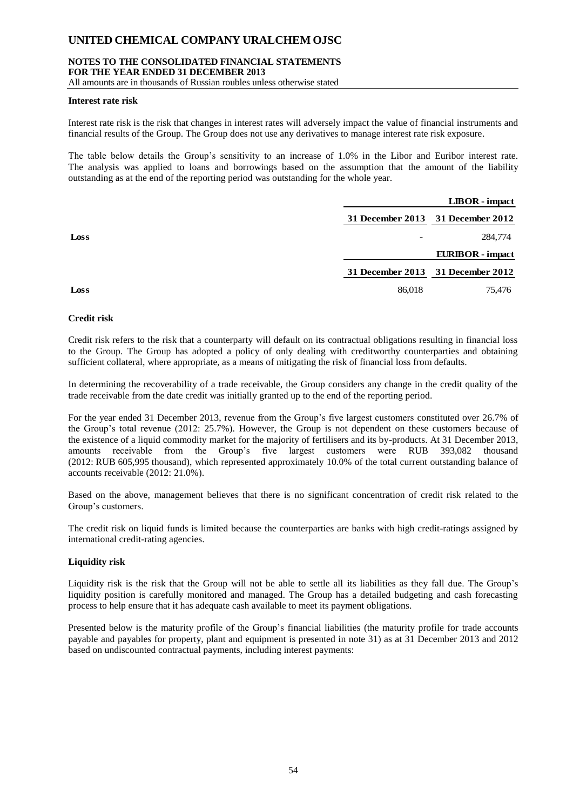# **NOTES TO THE CONSOLIDATED FINANCIAL STATEMENTS FOR THE YEAR ENDED 31 DECEMBER 2013**

All amounts are in thousands of Russian roubles unless otherwise stated

### **Interest rate risk**

Interest rate risk is the risk that changes in interest rates will adversely impact the value of financial instruments and financial results of the Group. The Group does not use any derivatives to manage interest rate risk exposure.

The table below details the Group's sensitivity to an increase of 1.0% in the Libor and Euribor interest rate. The analysis was applied to loans and borrowings based on the assumption that the amount of the liability outstanding as at the end of the reporting period was outstanding for the whole year.

|      |        | LIBOR - impact                    |
|------|--------|-----------------------------------|
|      |        | 31 December 2013 31 December 2012 |
| Loss |        | 284,774                           |
|      |        | <b>EURIBOR</b> - impact           |
|      |        | 31 December 2013 31 December 2012 |
| Loss | 86,018 | 75.476                            |

### **Credit risk**

Credit risk refers to the risk that a counterparty will default on its contractual obligations resulting in financial loss to the Group. The Group has adopted a policy of only dealing with creditworthy counterparties and obtaining sufficient collateral, where appropriate, as a means of mitigating the risk of financial loss from defaults.

In determining the recoverability of a trade receivable, the Group considers any change in the credit quality of the trade receivable from the date credit was initially granted up to the end of the reporting period.

For the year ended 31 December 2013, revenue from the Group's five largest customers constituted over 26.7% of the Group's total revenue (2012: 25.7%). However, the Group is not dependent on these customers because of the existence of a liquid commodity market for the majority of fertilisers and its by-products. At 31 December 2013, amounts receivable from the Group's five largest customers were RUB 393,082 thousand (2012: RUB 605,995 thousand), which represented approximately 10.0% of the total current outstanding balance of accounts receivable (2012: 21.0%).

Based on the above, management believes that there is no significant concentration of credit risk related to the Group's customers.

The credit risk on liquid funds is limited because the counterparties are banks with high credit-ratings assigned by international credit-rating agencies.

### **Liquidity risk**

Liquidity risk is the risk that the Group will not be able to settle all its liabilities as they fall due. The Group's liquidity position is carefully monitored and managed. The Group has a detailed budgeting and cash forecasting process to help ensure that it has adequate cash available to meet its payment obligations.

Presented below is the maturity profile of the Group's financial liabilities (the maturity profile for trade accounts payable and payables for property, plant and equipment is presented in note 31) as at 31 December 2013 and 2012 based on undiscounted contractual payments, including interest payments: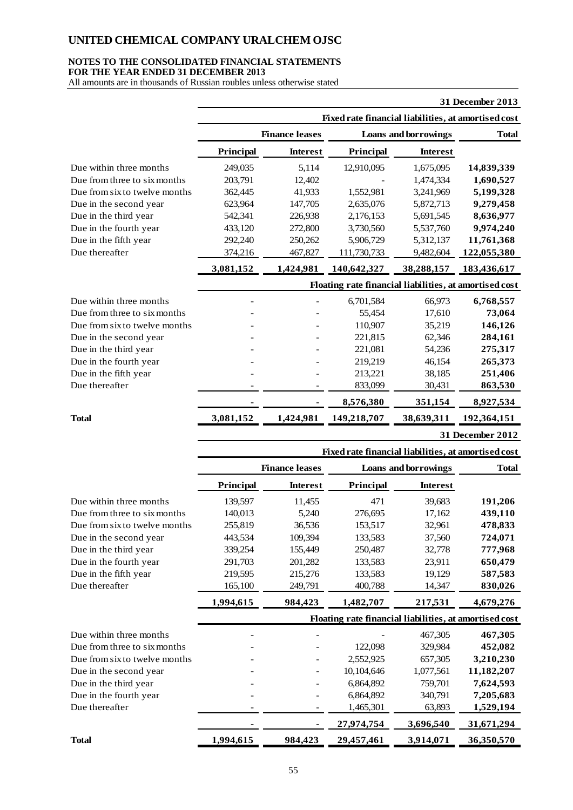#### **NOTES TO THE CONSOLIDATED FINANCIAL STATEMENTS FOR THE YEAR ENDED 31 DECEMBER 2013**

All amounts are in thousands of Russian roubles unless otherwise stated

|                               | 31 December 2013                                    |                 |                                                        |                             |                  |
|-------------------------------|-----------------------------------------------------|-----------------|--------------------------------------------------------|-----------------------------|------------------|
|                               | Fixed rate financial liabilities, at amortised cost |                 |                                                        |                             |                  |
|                               | <b>Finance leases</b>                               |                 |                                                        | <b>Loans and borrowings</b> |                  |
|                               | Principal                                           | <b>Interest</b> | Principal                                              | <b>Interest</b>             |                  |
| Due within three months       | 249,035                                             | 5,114           | 12,910,095                                             | 1,675,095                   | 14,839,339       |
| Due from three to six months  | 203,791                                             | 12,402          |                                                        | 1,474,334                   | 1,690,527        |
| Due from six to twelve months | 362,445                                             | 41,933          | 1,552,981                                              | 3,241,969                   | 5,199,328        |
| Due in the second year        | 623,964                                             | 147,705         | 2,635,076                                              | 5,872,713                   | 9,279,458        |
| Due in the third year         | 542,341                                             | 226,938         | 2,176,153                                              | 5,691,545                   | 8,636,977        |
| Due in the fourth year        | 433,120                                             | 272,800         | 3,730,560                                              | 5,537,760                   | 9,974,240        |
| Due in the fifth year         | 292,240                                             | 250,262         | 5,906,729                                              | 5,312,137                   | 11,761,368       |
| Due thereafter                | 374,216                                             | 467,827         | 111,730,733                                            | 9,482,604                   | 122,055,380      |
|                               | 3,081,152                                           | 1,424,981       | 140,642,327                                            | 38,288,157                  | 183,436,617      |
|                               |                                                     |                 | Floating rate financial liabilities, at amortised cost |                             |                  |
| Due within three months       |                                                     |                 | 6,701,584                                              | 66,973                      | 6,768,557        |
| Due from three to six months  |                                                     |                 | 55,454                                                 | 17,610                      | 73,064           |
| Due from six to twelve months |                                                     |                 | 110,907                                                | 35,219                      | 146,126          |
| Due in the second year        |                                                     |                 | 221,815                                                | 62,346                      | 284,161          |
| Due in the third year         |                                                     |                 | 221,081                                                | 54,236                      | 275,317          |
| Due in the fourth year        |                                                     |                 | 219,219                                                | 46,154                      | 265,373          |
| Due in the fifth year         |                                                     |                 | 213,221                                                | 38,185                      | 251,406          |
| Due thereafter                |                                                     |                 | 833,099                                                | 30,431                      | 863,530          |
|                               |                                                     |                 | 8,576,380                                              | 351,154                     | 8,927,534        |
| <b>Total</b>                  | 3,081,152                                           | 1,424,981       | 149,218,707                                            | 38,639,311                  | 192,364,151      |
|                               |                                                     |                 |                                                        |                             | 31 December 2012 |

**Total Principal Interest Principal Interest** Due within three months 139,597 11,455 471 39,683 **191,206** Due from three to six months 140,013 5,240 276,695 17,162 **439,110** Due from six to twelve months 255,819 36,536 153,517 32,961 **478,833** Due in the second year 443,534 109,394 133,583 37,560 **724,071** Due in the third year 339,254 155,449 250,487 32,778 **777,968** Due in the fourth year 291,703 201,282 133,583 23,911 **650,479** Due in the fifth year 219,595 215,276 133,583 19,129 **587,583** Due thereafter 165,100 249,791 400,788 14,347 **830,026 1,994,615 984,423 1,482,707 217,531 4,679,276** Due within three months - - - 467,305 **467,305** Due from three to six months **122,098** 329,984 **452,082** Due from six to twelve months - - 2,552,925 657,305 **3,210,230 Floating rate financial liabilities, at amortised cost Finance leases Loans and borrowings Fixed rate financial liabilities, at amortised cost**

| <b>Total</b>           | 1,994,615                | 984,423                  | 29,457,461 | 3,914,071 | 36,350,570 |
|------------------------|--------------------------|--------------------------|------------|-----------|------------|
|                        | $\blacksquare$           |                          | 27.974.754 | 3,696,540 | 31,671,294 |
| Due thereafter         |                          |                          | 1.465.301  | 63,893    | 1,529,194  |
| Due in the fourth year | $\overline{\phantom{a}}$ | $\overline{\phantom{0}}$ | 6,864,892  | 340,791   | 7,205,683  |
| Due in the third year  | -                        |                          | 6,864,892  | 759.701   | 7,624,593  |
| Due in the second year | $\overline{\phantom{0}}$ |                          | 10,104,646 | 1,077,561 | 11,182,207 |